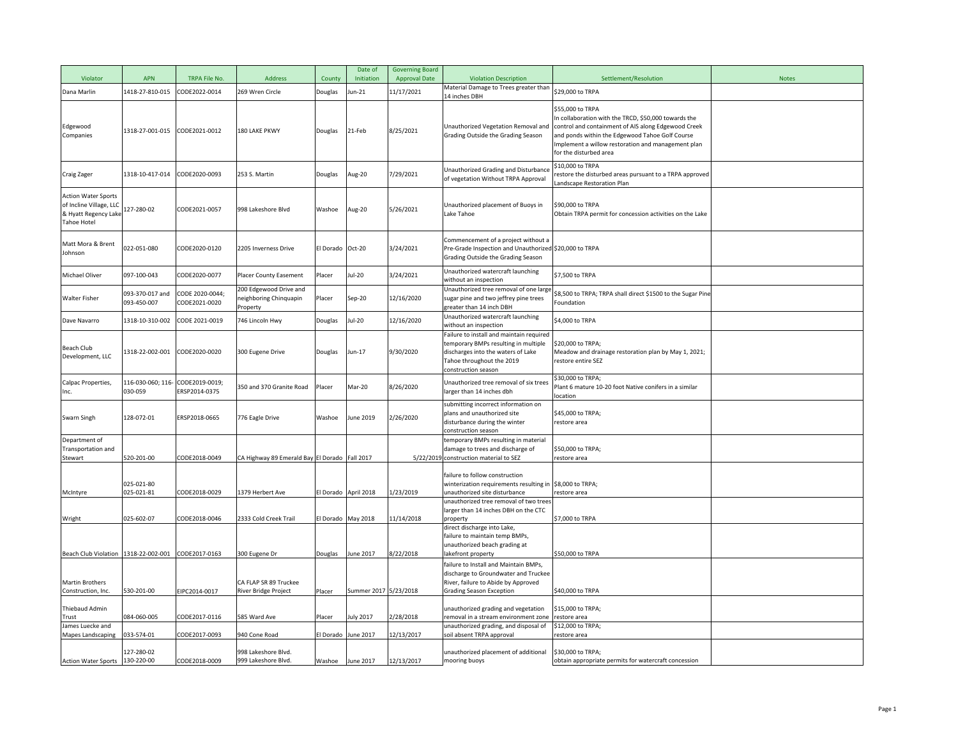| Violator                                                                                            | <b>APN</b>                     | TRPA File No.                   | Address                                                     | County           | Date of<br>Initiation | <b>Governing Board</b><br><b>Approval Date</b> | <b>Violation Description</b>                                                                                                                                               | Settlement/Resolution                                                                                                                                                                                                                                            | <b>Notes</b> |
|-----------------------------------------------------------------------------------------------------|--------------------------------|---------------------------------|-------------------------------------------------------------|------------------|-----------------------|------------------------------------------------|----------------------------------------------------------------------------------------------------------------------------------------------------------------------------|------------------------------------------------------------------------------------------------------------------------------------------------------------------------------------------------------------------------------------------------------------------|--------------|
| Dana Marlin                                                                                         | 1418-27-810-015                | CODE2022-0014                   | 269 Wren Circle                                             | Douglas          | Jun-21                | 11/17/2021                                     | Material Damage to Trees greater than<br>14 inches DBH                                                                                                                     | \$29,000 to TRPA                                                                                                                                                                                                                                                 |              |
| Edgewood<br>Companies                                                                               | 1318-27-001-015                | CODE2021-0012                   | 180 LAKE PKWY                                               | Douglas          | 21-Feb                | 8/25/2021                                      | Unauthorized Vegetation Removal and<br>Grading Outside the Grading Season                                                                                                  | \$55,000 to TRPA<br>n collaboration with the TRCD, \$50,000 towards the<br>control and containment of AIS along Edgewood Creek<br>and ponds within the Edgewood Tahoe Golf Course<br>mplement a willow restoration and management plan<br>for the disturbed area |              |
| Craig Zager                                                                                         | 1318-10-417-014                | CODE2020-0093                   | 253 S. Martin                                               | Douglas          | Aug-20                | 7/29/2021                                      | Unauthorized Grading and Disturbance<br>of vegetation Without TRPA Approval                                                                                                | \$10,000 to TRPA<br>estore the disturbed areas pursuant to a TRPA approved<br>andscape Restoration Plan                                                                                                                                                          |              |
| <b>Action Water Sports</b><br>of Incline Village, LLC<br>& Hyatt Regency Lake<br><b>Tahoe Hotel</b> | 127-280-02                     | CODE2021-0057                   | 998 Lakeshore Blvd                                          | Washoe           | Aug-20                | 5/26/2021                                      | Unauthorized placement of Buoys in<br>Lake Tahoe                                                                                                                           | \$90,000 to TRPA<br>Obtain TRPA permit for concession activities on the Lake                                                                                                                                                                                     |              |
| Matt Mora & Brent<br>Johnson                                                                        | 022-051-080                    | CODE2020-0120                   | 2205 Inverness Drive                                        | El Dorado Oct-20 |                       | 3/24/2021                                      | Commencement of a project without a<br>Pre-Grade Inspection and Unauthorized \$20,000 to TRPA<br>Grading Outside the Grading Season                                        |                                                                                                                                                                                                                                                                  |              |
| Michael Oliver                                                                                      | 097-100-043                    | CODE2020-0077                   | Placer County Easement                                      | Placer           | Jul-20                | 3/24/2021                                      | Unauthorized watercraft launching<br>without an inspection                                                                                                                 | \$7,500 to TRPA                                                                                                                                                                                                                                                  |              |
| <b>Walter Fisher</b>                                                                                | 093-370-017 and<br>093-450-007 | ODE 2020-0044;<br>CODE2021-0020 | 200 Edgewood Drive and<br>eighboring Chinquapin<br>Property | Placer           | Sep-20                | 12/16/2020                                     | Unauthorized tree removal of one larg<br>sugar pine and two jeffrey pine trees<br>greater than 14 inch DBH                                                                 | \$8,500 to TRPA; TRPA shall direct \$1500 to the Sugar Pine<br>Foundation                                                                                                                                                                                        |              |
| Dave Navarro                                                                                        | 1318-10-310-002                | CODE 2021-0019                  | 746 Lincoln Hwy                                             | Douglas          | Jul-20                | 12/16/2020                                     | Unauthorized watercraft launching<br>without an inspection                                                                                                                 | \$4,000 to TRPA                                                                                                                                                                                                                                                  |              |
| <b>Beach Club</b><br>Development, LLC                                                               | 1318-22-002-001                | CODE2020-0020                   | 300 Eugene Drive                                            | Douglas          | Jun-17                | 9/30/2020                                      | Failure to install and maintain required<br>temporary BMPs resulting in multiple<br>discharges into the waters of Lake<br>Tahoe throughout the 2019<br>construction season | \$20,000 to TRPA;<br>Meadow and drainage restoration plan by May 1, 2021;<br>restore entire SEZ                                                                                                                                                                  |              |
| Calpac Properties,<br>Inc.                                                                          | 116-030-060; 116-<br>030-059   | CODE2019-0019;<br>ERSP2014-0375 | 350 and 370 Granite Road                                    | Placer           | Mar-20                | 8/26/2020                                      | Unauthorized tree removal of six trees<br>larger than 14 inches dbh                                                                                                        | \$30,000 to TRPA;<br>Plant 6 mature 10-20 foot Native conifers in a similar<br>ocation                                                                                                                                                                           |              |
| Swarn Singh                                                                                         | 128-072-01                     | ERSP2018-0665                   | 776 Eagle Drive                                             | Washoe           | June 2019             | 2/26/2020                                      | submitting incorrect information on<br>plans and unauthorized site<br>disturbance during the winter<br>construction season                                                 | \$45,000 to TRPA;<br>restore area                                                                                                                                                                                                                                |              |
| Department of<br>Transportation and                                                                 |                                |                                 |                                                             |                  |                       |                                                | temporary BMPs resulting in material<br>damage to trees and discharge of                                                                                                   | \$50,000 to TRPA;                                                                                                                                                                                                                                                |              |
| Stewart                                                                                             | 520-201-00                     | CODE2018-0049                   | CA Highway 89 Emerald Bay El Dorado Fall 2017               |                  |                       |                                                | 5/22/2019 construction material to SEZ                                                                                                                                     | restore area                                                                                                                                                                                                                                                     |              |
| McIntyre                                                                                            | 025-021-80<br>025-021-81       | CODE2018-0029                   | 1379 Herbert Ave                                            |                  | El Dorado April 2018  | 1/23/2019                                      | failure to follow construction<br>winterization requirements resulting in<br>unauthorized site disturbance                                                                 | \$8,000 to TRPA;<br>restore area                                                                                                                                                                                                                                 |              |
| Wright                                                                                              | 025-602-07                     | CODE2018-0046                   | 2333 Cold Creek Trail                                       |                  | El Dorado May 2018    | 11/14/2018                                     | unauthorized tree removal of two trees<br>larger than 14 inches DBH on the CTC<br>property                                                                                 | \$7,000 to TRPA                                                                                                                                                                                                                                                  |              |
| Beach Club Violation 1318-22-002-001                                                                |                                | CODE2017-0163                   | 300 Eugene Dr                                               | Douglas          | June 2017             | 8/22/2018                                      | direct discharge into Lake,<br>failure to maintain temp BMPs,<br>unauthorized beach grading at<br>akefront property                                                        | \$50,000 to TRPA                                                                                                                                                                                                                                                 |              |
| <b>Martin Brothers</b><br>Construction, Inc.                                                        | 530-201-00                     | EIPC2014-0017                   | CA FLAP SR 89 Truckee<br>River Bridge Project               | Placer           | Summer 2017 5/23/2018 |                                                | failure to Install and Maintain BMPs,<br>discharge to Groundwater and Truckee<br>River, failure to Abide by Approved<br><b>Grading Season Exception</b>                    | \$40,000 to TRPA                                                                                                                                                                                                                                                 |              |
| Thiebaud Admin<br><b>Trust</b>                                                                      | 084-060-005                    | CODE2017-0116                   | 585 Ward Ave                                                | Placer           | July 2017             | 2/28/2018                                      | unauthorized grading and vegetation<br>removal in a stream environment zone                                                                                                | \$15,000 to TRPA;<br>restore area                                                                                                                                                                                                                                |              |
| James Luecke and<br>Mapes Landscaping                                                               | 033-574-01                     | ODE2017-0093                    | 940 Cone Road                                               |                  | El Dorado June 2017   | 12/13/2017                                     | unauthorized grading, and disposal of<br>soil absent TRPA approval                                                                                                         | \$12,000 to TRPA;<br>estore area                                                                                                                                                                                                                                 |              |
| Action Water Sports 130-220-00                                                                      | 127-280-02                     | CODE2018-0009                   | 998 Lakeshore Blvd.<br>999 Lakeshore Blvd.                  |                  | Washoe June 2017      | 12/13/2017                                     | unauthorized placement of additional<br>mooring buoys                                                                                                                      | \$30,000 to TRPA;<br>obtain appropriate permits for watercraft concession                                                                                                                                                                                        |              |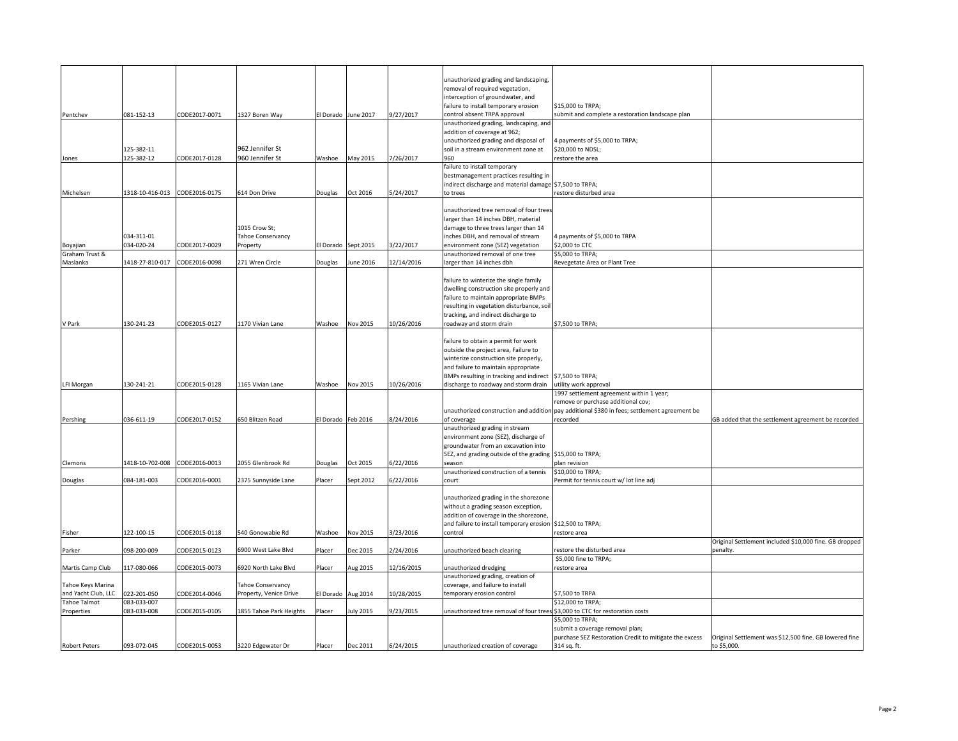|                            |                            |               |                          |                    |                     |            | unauthorized grading and landscaping,                                          |                                                                                              |                                                        |
|----------------------------|----------------------------|---------------|--------------------------|--------------------|---------------------|------------|--------------------------------------------------------------------------------|----------------------------------------------------------------------------------------------|--------------------------------------------------------|
|                            |                            |               |                          |                    |                     |            | removal of required vegetation,                                                |                                                                                              |                                                        |
|                            |                            |               |                          |                    |                     |            | interception of groundwater, and                                               | \$15,000 to TRPA;                                                                            |                                                        |
| Pentchev                   | 081-152-13                 | CODE2017-0071 | 1327 Boren Way           |                    | El Dorado June 2017 | 9/27/2017  | failure to install temporary erosion<br>control absent TRPA approval           | submit and complete a restoration landscape plan                                             |                                                        |
|                            |                            |               |                          |                    |                     |            | unauthorized grading, landscaping, and                                         |                                                                                              |                                                        |
|                            |                            |               |                          |                    |                     |            | addition of coverage at 962;                                                   |                                                                                              |                                                        |
|                            |                            |               |                          |                    |                     |            | unauthorized grading and disposal of                                           | 4 payments of \$5,000 to TRPA;                                                               |                                                        |
|                            | 125-382-11                 |               | 962 Jennifer St          |                    |                     |            | soil in a stream environment zone at                                           | \$20,000 to NDSL;                                                                            |                                                        |
| Jones                      | 125-382-12                 | CODE2017-0128 | 960 Jennifer St          | Washoe             | May 2015            | 7/26/2017  | 960                                                                            | estore the area                                                                              |                                                        |
|                            |                            |               |                          |                    |                     |            | failure to install temporary                                                   |                                                                                              |                                                        |
|                            |                            |               |                          |                    |                     |            | bestmanagement practices resulting in                                          |                                                                                              |                                                        |
|                            |                            |               |                          |                    |                     |            | indirect discharge and material damage \$7,500 to TRPA;                        |                                                                                              |                                                        |
| Michelsen                  | 1318-10-416-013            | CODE2016-0175 | 614 Don Drive            | Douglas            | Oct 2016            | 5/24/2017  | to trees                                                                       | restore disturbed area                                                                       |                                                        |
|                            |                            |               |                          |                    |                     |            |                                                                                |                                                                                              |                                                        |
|                            |                            |               |                          |                    |                     |            | unauthorized tree removal of four trees<br>larger than 14 inches DBH, material |                                                                                              |                                                        |
|                            |                            |               | 1015 Crow St;            |                    |                     |            | damage to three trees larger than 14                                           |                                                                                              |                                                        |
|                            | 034-311-01                 |               | Tahoe Conservancy        |                    |                     |            | inches DBH, and removal of stream                                              | 4 payments of \$5,000 to TRPA                                                                |                                                        |
| Boyajian                   | 034-020-24                 | CODE2017-0029 | Property                 |                    | El Dorado Sept 2015 | 3/22/2017  | environment zone (SEZ) vegetation                                              | \$2,000 to CTC                                                                               |                                                        |
| Graham Trust &             |                            |               |                          |                    |                     |            | unauthorized removal of one tree                                               | \$5,000 to TRPA;                                                                             |                                                        |
| Maslanka                   | 1418-27-810-017            | CODE2016-0098 | 271 Wren Circle          | Douglas            | June 2016           | 12/14/2016 | larger than 14 inches dbh                                                      | Revegetate Area or Plant Tree                                                                |                                                        |
|                            |                            |               |                          |                    |                     |            |                                                                                |                                                                                              |                                                        |
|                            |                            |               |                          |                    |                     |            | failure to winterize the single family                                         |                                                                                              |                                                        |
|                            |                            |               |                          |                    |                     |            | dwelling construction site properly and                                        |                                                                                              |                                                        |
|                            |                            |               |                          |                    |                     |            | failure to maintain appropriate BMPs                                           |                                                                                              |                                                        |
|                            |                            |               |                          |                    |                     |            | resulting in vegetation disturbance, soil                                      |                                                                                              |                                                        |
|                            |                            |               |                          |                    |                     |            | tracking, and indirect discharge to                                            |                                                                                              |                                                        |
| V Park                     | 130-241-23                 | CODE2015-0127 | 1170 Vivian Lane         | Washoe             | Nov 2015            | 10/26/2016 | roadway and storm drain                                                        | \$7,500 to TRPA;                                                                             |                                                        |
|                            |                            |               |                          |                    |                     |            |                                                                                |                                                                                              |                                                        |
|                            |                            |               |                          |                    |                     |            | failure to obtain a permit for work                                            |                                                                                              |                                                        |
|                            |                            |               |                          |                    |                     |            | outside the project area, Failure to<br>winterize construction site properly,  |                                                                                              |                                                        |
|                            |                            |               |                          |                    |                     |            | and failure to maintain appropriate                                            |                                                                                              |                                                        |
|                            |                            |               |                          |                    |                     |            | BMPs resulting in tracking and indirect \$7,500 to TRPA;                       |                                                                                              |                                                        |
| LFI Morgan                 | 130-241-21                 | CODE2015-0128 | 1165 Vivian Lane         | Washoe             | Nov 2015            | 10/26/2016 | discharge to roadway and storm drain                                           | utility work approval                                                                        |                                                        |
|                            |                            |               |                          |                    |                     |            |                                                                                | 1997 settlement agreement within 1 year;                                                     |                                                        |
|                            |                            |               |                          |                    |                     |            |                                                                                | remove or purchase additional cov;                                                           |                                                        |
|                            |                            |               |                          |                    |                     |            |                                                                                | unauthorized construction and addition pay additional \$380 in fees; settlement agreement be |                                                        |
| Pershing                   | 036-611-19                 | CODE2017-0152 | 650 Blitzen Road         | El Dorado Feb 2016 |                     | 8/24/2016  | of coverage                                                                    | recorded                                                                                     | GB added that the settlement agreement be recorded     |
|                            |                            |               |                          |                    |                     |            | unauthorized grading in stream                                                 |                                                                                              |                                                        |
|                            |                            |               |                          |                    |                     |            | environment zone (SEZ), discharge of                                           |                                                                                              |                                                        |
|                            |                            |               |                          |                    |                     |            | groundwater from an excavation into                                            |                                                                                              |                                                        |
|                            |                            |               |                          |                    |                     |            | SEZ, and grading outside of the grading \$15,000 to TRPA;                      |                                                                                              |                                                        |
| Clemons                    | 1418-10-702-008            | CODE2016-0013 | 2055 Glenbrook Rd        | Douglas            | Oct 2015            | 6/22/2016  | season                                                                         | plan revision                                                                                |                                                        |
|                            | 084-181-003                | CODE2016-0001 |                          |                    |                     | 6/22/2016  | unauthorized construction of a tennis                                          | \$10,000 to TRPA;<br>Permit for tennis court w/ lot line adj                                 |                                                        |
| Douglas                    |                            |               | 2375 Sunnyside Lane      | Placer             | Sept 2012           |            | court                                                                          |                                                                                              |                                                        |
|                            |                            |               |                          |                    |                     |            | unauthorized grading in the shorezone                                          |                                                                                              |                                                        |
|                            |                            |               |                          |                    |                     |            | without a grading season exception,                                            |                                                                                              |                                                        |
|                            |                            |               |                          |                    |                     |            | addition of coverage in the shorezone,                                         |                                                                                              |                                                        |
|                            |                            |               |                          |                    |                     |            | and failure to install temporary erosion \$12,500 to TRPA;                     |                                                                                              |                                                        |
| Fisher                     | 122-100-15                 | CODE2015-0118 | 540 Gonowabie Rd         | Washoe             | Nov 2015            | 3/23/2016  | control                                                                        | restore area                                                                                 |                                                        |
|                            |                            |               |                          |                    |                     |            |                                                                                |                                                                                              | Original Settlement included \$10,000 fine. GB dropped |
| Parker                     | 098-200-009                | CODE2015-0123 | 6900 West Lake Blvd      | Placer             | Dec 2015            | 2/24/2016  | unauthorized beach clearing                                                    | estore the disturbed area                                                                    | penalty.                                               |
|                            |                            |               |                          |                    |                     |            |                                                                                | \$5,000 fine to TRPA;                                                                        |                                                        |
| Martis Camp Club           | 117-080-066                | CODE2015-0073 | 6920 North Lake Blvd     | Placer             | Aug 2015            | 12/16/2015 | unauthorized dredging                                                          | restore area                                                                                 |                                                        |
|                            |                            |               |                          |                    |                     |            | unauthorized grading, creation of                                              |                                                                                              |                                                        |
| Tahoe Keys Marina          |                            |               | <b>Tahoe Conservancy</b> |                    |                     |            | coverage, and failure to install                                               |                                                                                              |                                                        |
| and Yacht Club, LLC        | 022-201-050                | CODE2014-0046 | Property, Venice Drive   | El Dorado          | Aug 2014            | 10/28/2015 | temporary erosion control                                                      | \$7,500 to TRPA                                                                              |                                                        |
| Tahoe Talmot<br>Properties | 083-033-007<br>083-033-008 | CODE2015-0105 | 1855 Tahoe Park Heights  | Placer             | <b>July 2015</b>    | 9/23/2015  | unauthorized tree removal of four trees \$3,000 to CTC for restoration costs   | \$12,000 to TRPA;                                                                            |                                                        |
|                            |                            |               |                          |                    |                     |            |                                                                                | \$5,000 to TRPA;                                                                             |                                                        |
|                            |                            |               |                          |                    |                     |            |                                                                                | submit a coverage removal plan;                                                              |                                                        |
|                            |                            |               |                          |                    |                     |            |                                                                                | purchase SEZ Restoration Credit to mitigate the excess                                       | Original Settlement was \$12,500 fine. GB lowered fine |
| <b>Robert Peters</b>       | 093-072-045                | CODE2015-0053 | 3220 Edgewater Dr        | Placer             | Dec 2011            | 6/24/2015  | unauthorized creation of coverage                                              | 314 sq. ft.                                                                                  | to \$5,000.                                            |
|                            |                            |               |                          |                    |                     |            |                                                                                |                                                                                              |                                                        |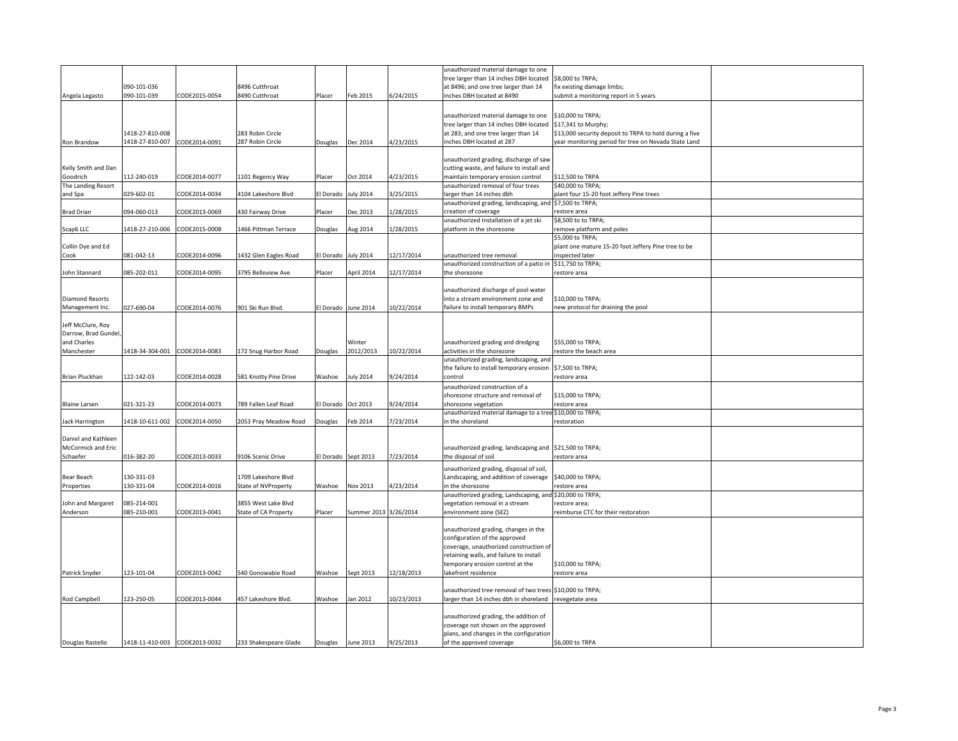|                        |                               |               |                       |                     |                       |            | unauthorized material damage to one                                               |                                                         |  |
|------------------------|-------------------------------|---------------|-----------------------|---------------------|-----------------------|------------|-----------------------------------------------------------------------------------|---------------------------------------------------------|--|
|                        |                               |               |                       |                     |                       |            | tree larger than 14 inches DBH located                                            | \$8,000 to TRPA;                                        |  |
|                        | 090-101-036                   |               | 8496 Cutthroat        |                     |                       |            | at 8496; and one tree larger than 14                                              | fix existing damage limbs;                              |  |
| Angela Legasto         | 090-101-039                   | CODE2015-0054 | 8490 Cutthroat        | Placer              | Feb 2015              | 6/24/2015  | inches DBH located at 8490                                                        | submit a monitoring report in 5 years                   |  |
|                        |                               |               |                       |                     |                       |            |                                                                                   |                                                         |  |
|                        |                               |               |                       |                     |                       |            |                                                                                   |                                                         |  |
|                        |                               |               |                       |                     |                       |            | unauthorized material damage to one                                               | \$10,000 to TRPA;                                       |  |
|                        |                               |               |                       |                     |                       |            | tree larger than 14 inches DBH located                                            | \$17,341 to Murphy;                                     |  |
|                        | 1418-27-810-008               |               | 283 Robin Circle      |                     |                       |            | at 283; and one tree larger than 14                                               | \$13,000 security deposit to TRPA to hold during a five |  |
| Ron Brandow            | 1418-27-810-007               | CODE2014-0091 | 287 Robin Circle      | Douglas             | Dec 2014              | 4/23/2015  | inches DBH located at 287                                                         | year monitoring period for tree on Nevada State Land    |  |
|                        |                               |               |                       |                     |                       |            |                                                                                   |                                                         |  |
|                        |                               |               |                       |                     |                       |            | unauthorized grading, discharge of saw                                            |                                                         |  |
| Kelly Smith and Dan    |                               |               |                       |                     |                       |            | cutting waste, and failure to install and                                         |                                                         |  |
| Goodrich               | 112-240-019                   | CODE2014-0077 | 1101 Regency Way      | Placer              | Oct 2014              | 4/23/2015  | maintain temporary erosion control                                                | \$12,500 to TRPA                                        |  |
| The Landing Resort     |                               |               |                       |                     |                       |            | unauthorized removal of four trees                                                | \$40,000 to TRPA;                                       |  |
| and Spa                | 029-602-01                    | CODE2014-0034 | 4104 Lakeshore Blvd   | El Dorado           | <b>July 2014</b>      | 3/25/2015  | larger than 14 inches dbh                                                         | plant four 15-20 foot Jeffery Pine trees                |  |
|                        |                               |               |                       |                     |                       |            | unauthorized grading, landscaping, and \$7,500 to TRPA;                           |                                                         |  |
| <b>Brad Drian</b>      | 094-060-013                   | CODE2013-0069 | 430 Fairway Drive     | Placer              | Dec 2013              | 1/28/2015  | creation of coverage                                                              | restore area                                            |  |
|                        |                               |               |                       |                     |                       |            | unauthorized Installation of a jet ski                                            | \$8,500 to to TRPA;                                     |  |
| Scap6 LLC              | 1418-27-210-006               | CODE2015-0008 | 1466 Pittman Terrace  | Douglas             | Aug 2014              | 1/28/2015  | platform in the shorezone                                                         | remove platform and poles                               |  |
|                        |                               |               |                       |                     |                       |            |                                                                                   | \$5,000 to TRPA;                                        |  |
| Collin Dye and Ed      |                               |               |                       |                     |                       |            |                                                                                   | plant one mature 15-20 foot Jeffery Pine tree to be     |  |
| Cook                   | 081-042-13                    | CODE2014-0096 | 1432 Glen Eagles Road | El Dorado July 2014 |                       | 12/17/2014 | unauthorized tree removal                                                         | inspected later                                         |  |
|                        |                               |               |                       |                     |                       |            | unauthorized construction of a patio in                                           | \$11,750 to TRPA;                                       |  |
| John Stannard          | 085-202-011                   | CODE2014-0095 | 3795 Belleview Ave    | Placer              | April 2014            | 12/17/2014 | the shorezone                                                                     | restore area                                            |  |
|                        |                               |               |                       |                     |                       |            |                                                                                   |                                                         |  |
|                        |                               |               |                       |                     |                       |            | unauthorized discharge of pool water                                              |                                                         |  |
| <b>Diamond Resorts</b> |                               |               |                       |                     |                       |            | into a stream environment zone and                                                | \$10,000 to TRPA;                                       |  |
| Management Inc.        | 027-690-04                    | CODE2014-0076 | 901 Ski Run Blvd.     |                     | El Dorado June 2014   | 10/22/2014 | failure to install temporary BMPs                                                 | new protocol for draining the pool                      |  |
|                        |                               |               |                       |                     |                       |            |                                                                                   |                                                         |  |
| Jeff McClure, Roy      |                               |               |                       |                     |                       |            |                                                                                   |                                                         |  |
| Darrow, Brad Gundel,   |                               |               |                       |                     |                       |            |                                                                                   |                                                         |  |
| and Charles            |                               |               |                       |                     | Winter                |            | unauthorized grading and dredging                                                 | \$55,000 to TRPA;                                       |  |
| Manchester             | 1418-34-304-001               | CODE2014-0083 | 172 Snug Harbor Road  | Douglas             | 2012/2013             | 10/22/2014 | activities in the shorezone                                                       | restore the beach area                                  |  |
|                        |                               |               |                       |                     |                       |            | unauthorized grading, landscaping, and                                            |                                                         |  |
|                        |                               |               |                       |                     |                       |            | the failure to install temporary erosion                                          | \$7,500 to TRPA;                                        |  |
| <b>Brian Pluckhan</b>  | 122-142-03                    | CODE2014-0028 | 581 Knotty Pine Drive | Washoe              | uly 2014              | 9/24/2014  | control                                                                           | restore area                                            |  |
|                        |                               |               |                       |                     |                       |            |                                                                                   |                                                         |  |
|                        |                               |               |                       |                     |                       |            | unauthorized construction of a                                                    |                                                         |  |
|                        |                               |               |                       |                     |                       |            | shorezone structure and removal of                                                | \$15,000 to TRPA;                                       |  |
| <b>Blaine Larsen</b>   | 021-321-23                    | CODE2014-0073 | 789 Fallen Leaf Road  | El Dorado Oct 2013  |                       | 9/24/2014  | shorezone vegetation                                                              | restore area                                            |  |
|                        |                               |               |                       |                     |                       |            | unauthorized material damage to a tree \$10,000 to TRPA;                          |                                                         |  |
| <b>Jack Harrington</b> | 1418-10-611-002               | CODE2014-0050 | 2053 Pray Meadow Road | Douglas             | Feb 2014              | 7/23/2014  | in the shoreland                                                                  | estoration                                              |  |
|                        |                               |               |                       |                     |                       |            |                                                                                   |                                                         |  |
| Daniel and Kathleen    |                               |               |                       |                     |                       |            |                                                                                   |                                                         |  |
| McCormick and Eric     |                               |               |                       |                     |                       |            | unauthorized grading, landscaping and \$21,500 to TRPA;                           |                                                         |  |
| Schaefer               | 016-382-20                    | CODE2013-0033 | 9106 Scenic Drive     |                     | El Dorado Sept 2013   | 7/23/2014  | the disposal of soil                                                              | restore area                                            |  |
|                        |                               |               |                       |                     |                       |            | unauthorized grading, disposal of soil,                                           |                                                         |  |
| Bear Beach             | 130-331-03                    |               | 1709 Lakeshore Blvd   |                     |                       |            | Landscaping, and addition of coverage                                             | \$40,000 to TRPA;                                       |  |
| Properties             | 130-331-04                    | CODE2014-0016 | State of NVProperty   | Washoe              | Nov 2013              | 4/23/2014  | in the shorezone                                                                  | restore area                                            |  |
|                        |                               |               |                       |                     |                       |            | unauthorized grading, Landscaping, and \$20,000 to TRPA;                          |                                                         |  |
| John and Margaret      | 085-214-001                   |               | 3855 West Lake Blvd   |                     |                       |            | vegetation removal in a stream                                                    | estore area;                                            |  |
| Anderson               | 085-210-001                   | CODE2013-0041 | State of CA Property  | Placer              | Summer 2013 3/26/2014 |            | environment zone (SEZ)                                                            | reimburse CTC for their restoration                     |  |
|                        |                               |               |                       |                     |                       |            |                                                                                   |                                                         |  |
|                        |                               |               |                       |                     |                       |            | unauthorized grading, changes in the                                              |                                                         |  |
|                        |                               |               |                       |                     |                       |            |                                                                                   |                                                         |  |
|                        |                               |               |                       |                     |                       |            | configuration of the approved                                                     |                                                         |  |
|                        |                               |               |                       |                     |                       |            | coverage, unauthorized construction of<br>retaining walls, and failure to install |                                                         |  |
|                        |                               |               |                       |                     |                       |            |                                                                                   |                                                         |  |
|                        |                               |               |                       |                     |                       |            | temporary erosion control at the                                                  | \$10,000 to TRPA;                                       |  |
| Patrick Snyder         | 123-101-04                    | CODE2013-0042 | 540 Gonowabie Road    | Washoe              | Sept 2013             | 12/18/2013 | lakefront residence                                                               | restore area                                            |  |
|                        |                               |               |                       |                     |                       |            |                                                                                   |                                                         |  |
|                        |                               |               |                       |                     |                       |            | unauthorized tree removal of two trees \$10,000 to TRPA;                          |                                                         |  |
| Rod Campbell           | 123-250-05                    | CODE2013-0044 | 457 Lakeshore Blvd.   | Washoe              | lan 2012              | 10/23/2013 | larger than 14 inches dbh in shoreland                                            | revegetate area                                         |  |
|                        |                               |               |                       |                     |                       |            |                                                                                   |                                                         |  |
|                        |                               |               |                       |                     |                       |            | unauthorized grading, the addition of                                             |                                                         |  |
|                        |                               |               |                       |                     |                       |            | coverage not shown on the approved                                                |                                                         |  |
|                        |                               |               |                       |                     |                       |            | plans, and changes in the configuration                                           |                                                         |  |
| Douglas Rastello       | 1418-11-410-003 CODE2013-0032 |               | 233 Shakespeare Glade |                     | Douglas June 2013     | 9/25/2013  | of the approved coverage                                                          | \$6,000 to TRPA                                         |  |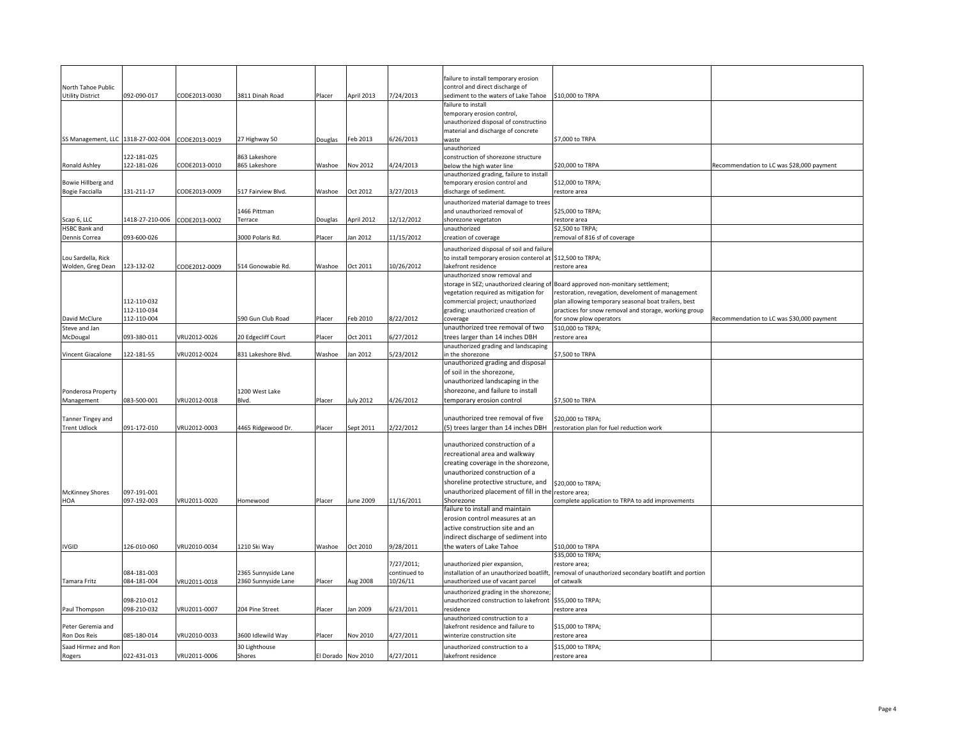|                                          |                            |               |                         |                    |            |              | failure to install temporary erosion                                        |                                                                                  |                                           |
|------------------------------------------|----------------------------|---------------|-------------------------|--------------------|------------|--------------|-----------------------------------------------------------------------------|----------------------------------------------------------------------------------|-------------------------------------------|
| North Tahoe Public                       |                            |               |                         |                    |            |              | control and direct discharge of                                             |                                                                                  |                                           |
| <b>Utility District</b>                  | 092-090-017                | CODE2013-0030 | 3811 Dinah Road         | Placer             | April 2013 | 7/24/2013    | sediment to the waters of Lake Tahoe                                        | \$10,000 to TRPA                                                                 |                                           |
|                                          |                            |               |                         |                    |            |              | failure to install                                                          |                                                                                  |                                           |
|                                          |                            |               |                         |                    |            |              | temporary erosion control,<br>unauthorized disposal of constructino         |                                                                                  |                                           |
|                                          |                            |               |                         |                    |            |              | material and discharge of concrete                                          |                                                                                  |                                           |
| SS Management, LLC 1318-27-002-004       |                            | CODE2013-0019 | 27 Highway 50           | Douglas            | Feb 2013   | 6/26/2013    | waste                                                                       | \$7,000 to TRPA                                                                  |                                           |
|                                          | 122-181-025                |               | 863 Lakeshore           |                    |            |              | unauthorized                                                                |                                                                                  |                                           |
| Ronald Ashley                            | 122-181-026                | CODE2013-0010 | 865 Lakeshore           | Washoe             | Nov 2012   | 4/24/2013    | construction of shorezone structure<br>below the high water line            | \$20,000 to TRPA                                                                 | Recommendation to LC was \$28,000 payment |
|                                          |                            |               |                         |                    |            |              | unauthorized grading, failure to install                                    |                                                                                  |                                           |
| Bowie Hillberg and                       |                            |               |                         |                    |            |              | temporary erosion control and                                               | \$12,000 to TRPA;                                                                |                                           |
| <b>Bogie Faccialla</b>                   | 131-211-17                 | CODE2013-0009 | 517 Fairview Blvd.      | Washoe             | Oct 2012   | 3/27/2013    | discharge of sediment.                                                      | estore area                                                                      |                                           |
|                                          |                            |               | 1466 Pittman            |                    |            |              | unauthorized material damage to trees<br>and unauthorized removal of        | \$25,000 to TRPA;                                                                |                                           |
| Scap 6, LLC                              | 1418-27-210-006            | CODE2013-0002 | Terrace                 | Douglas            | April 2012 | 12/12/2012   | shorezone vegetaton                                                         | estore area                                                                      |                                           |
| <b>HSBC Bank and</b>                     |                            |               |                         |                    |            |              | unauthorized                                                                | \$2,500 to TRPA;                                                                 |                                           |
| Dennis Correa                            | 093-600-026                |               | 3000 Polaris Rd.        | Placer             | Jan 2012   | 11/15/2012   | creation of coverage                                                        | removal of 816 sf of coverage                                                    |                                           |
|                                          |                            |               |                         |                    |            |              | unauthorized disposal of soil and failure                                   |                                                                                  |                                           |
| Lou Sardella, Rick                       |                            |               |                         |                    |            |              | to install temporary erosion conterol at \$12,500 to TRPA;                  |                                                                                  |                                           |
| Wolden, Greg Dean                        | 123-132-02                 | CODE2012-0009 | 514 Gonowabie Rd.       | Washoe             | Oct 2011   | 10/26/2012   | lakefront residence<br>unauthorized snow removal and                        | restore area                                                                     |                                           |
|                                          |                            |               |                         |                    |            |              | storage in SEZ; unauthorized clearing o                                     | Board approved non-monitary settlement;                                          |                                           |
|                                          |                            |               |                         |                    |            |              | vegetation required as mitigation for                                       | restoration, revegation, develoment of management                                |                                           |
|                                          | 112-110-032                |               |                         |                    |            |              | commercial project; unauthorized                                            | plan allowing temporary seasonal boat trailers, best                             |                                           |
| David McClure                            | 112-110-034<br>112-110-004 |               | 590 Gun Club Road       | Placer             | Feb 2010   | 8/22/2012    | grading; unauthorized creation of<br>coverage                               | practices for snow removal and storage, working group<br>for snow plow operators | Recommendation to LC was \$30,000 payment |
| Steve and Jan                            |                            |               |                         |                    |            |              | unauthorized tree removal of two                                            | \$10,000 to TRPA;                                                                |                                           |
| McDougal                                 | 093-380-011                | VRU2012-0026  | 20 Edgecliff Court      | Placer             | Oct 2011   | 6/27/2012    | trees larger than 14 inches DBH                                             | restore area                                                                     |                                           |
|                                          |                            |               |                         |                    |            |              | unauthorized grading and landscaping                                        |                                                                                  |                                           |
| Vincent Giacalone                        | 122-181-55                 | VRU2012-0024  | 831 Lakeshore Blvd.     | Washoe             | Jan 2012   | 5/23/2012    | in the shorezone<br>unauthorized grading and disposal                       | \$7,500 to TRPA                                                                  |                                           |
|                                          |                            |               |                         |                    |            |              | of soil in the shorezone,                                                   |                                                                                  |                                           |
|                                          |                            |               |                         |                    |            |              | unauthorized landscaping in the                                             |                                                                                  |                                           |
| Ponderosa Property                       |                            |               | 1200 West Lake          |                    |            |              | shorezone, and failure to install                                           |                                                                                  |                                           |
| Management                               | 083-500-001                | VRU2012-0018  | Blvd.                   | Placer             | July 2012  | 4/26/2012    | temporary erosion control                                                   | \$7,500 to TRPA                                                                  |                                           |
|                                          |                            |               |                         |                    |            |              |                                                                             |                                                                                  |                                           |
| Tanner Tingey and<br><b>Trent Udlock</b> | 091-172-010                | VRU2012-0003  | 4465 Ridgewood Dr.      | Placer             | Sept 2011  | 2/22/2012    | unauthorized tree removal of five<br>(5) trees larger than 14 inches DBH    | \$20,000 to TRPA;<br>restoration plan for fuel reduction work                    |                                           |
|                                          |                            |               |                         |                    |            |              |                                                                             |                                                                                  |                                           |
|                                          |                            |               |                         |                    |            |              | unauthorized construction of a                                              |                                                                                  |                                           |
|                                          |                            |               |                         |                    |            |              | recreational area and walkway                                               |                                                                                  |                                           |
|                                          |                            |               |                         |                    |            |              | creating coverage in the shorezone,                                         |                                                                                  |                                           |
|                                          |                            |               |                         |                    |            |              | unauthorized construction of a<br>shoreline protective structure, and       |                                                                                  |                                           |
| <b>McKinney Shores</b>                   | 097-191-001                |               |                         |                    |            |              | unauthorized placement of fill in the                                       | \$20,000 to TRPA;<br>restore area;                                               |                                           |
| HOA                                      | 097-192-003                | VRU2011-0020  | <b>Homewood</b>         | Placer             | June 2009  | 11/16/2011   | Shorezone                                                                   | complete application to TRPA to add improvements                                 |                                           |
|                                          |                            |               |                         |                    |            |              | failure to install and maintain                                             |                                                                                  |                                           |
|                                          |                            |               |                         |                    |            |              | erosion control measures at an                                              |                                                                                  |                                           |
|                                          |                            |               |                         |                    |            |              | active construction site and an<br>indirect discharge of sediment into      |                                                                                  |                                           |
| IVGID                                    | 126-010-060                | VRU2010-0034  | 1210 Ski Way            | Washoe             | Oct 2010   | 9/28/2011    | the waters of Lake Tahoe                                                    | \$10,000 to TRPA                                                                 |                                           |
|                                          |                            |               |                         |                    |            |              |                                                                             | \$35,000 to TRPA;                                                                |                                           |
|                                          |                            |               |                         |                    |            | 7/27/2011;   | unauthorized pier expansion,                                                | restore area;                                                                    |                                           |
|                                          | 084-181-003                |               | 2365 Sunnyside Lane     |                    |            | continued to | installation of an unauthorized boatlift                                    | removal of unauthorized secondary boatlift and portion                           |                                           |
| Tamara Fritz                             | 084-181-004                | VRU2011-0018  | 2360 Sunnyside Lane     | Placer             | Aug 2008   | 10/26/11     | unauthorized use of vacant parcel<br>unauthorized grading in the shorezone; | of catwalk                                                                       |                                           |
|                                          | 098-210-012                |               |                         |                    |            |              | unauthorized construction to lakefront \$55,000 to TRPA;                    |                                                                                  |                                           |
| Paul Thompson                            | 098-210-032                | VRU2011-0007  | 204 Pine Street         | Placer             | lan 2009   | 5/23/2011    | residence                                                                   | restore area                                                                     |                                           |
|                                          |                            |               |                         |                    |            |              | unauthorized construction to a                                              |                                                                                  |                                           |
| Peter Geremia and<br>Ron Dos Reis        | 085-180-014                | VRU2010-0033  | 3600 Idlewild Way       |                    | Nov 2010   | 4/27/2011    | lakefront residence and failure to<br>winterize construction site           | \$15,000 to TRPA;                                                                |                                           |
|                                          |                            |               |                         | Placer             |            |              |                                                                             | restore area                                                                     |                                           |
| Saad Hirmez and Ror<br>Rogers            | 022-431-013                | VRU2011-0006  | 30 Lighthouse<br>Shores | El Dorado Nov 2010 |            | 4/27/2011    | unauthorized construction to a<br>lakefront residence                       | \$15,000 to TRPA;<br>restore area                                                |                                           |
|                                          |                            |               |                         |                    |            |              |                                                                             |                                                                                  |                                           |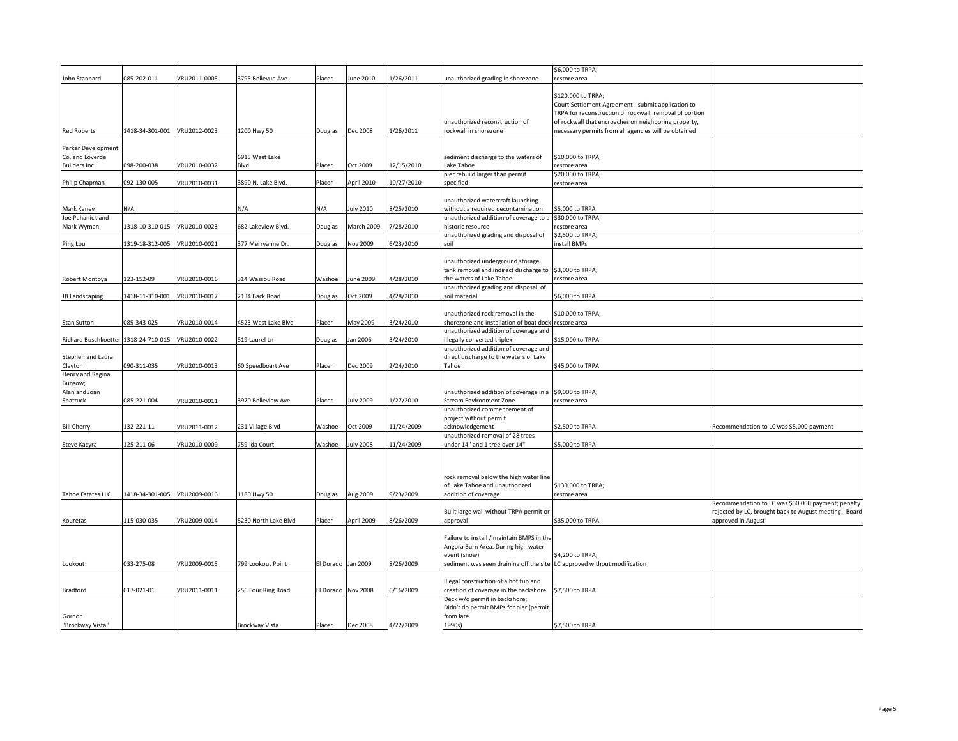|                                      |                 |              |                      |                    |            |            |                                                                          | \$6,000 to TRPA;                                        |                                                        |
|--------------------------------------|-----------------|--------------|----------------------|--------------------|------------|------------|--------------------------------------------------------------------------|---------------------------------------------------------|--------------------------------------------------------|
| John Stannard                        | 085-202-011     | VRU2011-0005 | 3795 Bellevue Ave.   | Placer             | June 2010  | 1/26/2011  | unauthorized grading in shorezone                                        | restore area                                            |                                                        |
|                                      |                 |              |                      |                    |            |            |                                                                          |                                                         |                                                        |
|                                      |                 |              |                      |                    |            |            |                                                                          | \$120,000 to TRPA;                                      |                                                        |
|                                      |                 |              |                      |                    |            |            |                                                                          | Court Settlement Agreement - submit application to      |                                                        |
|                                      |                 |              |                      |                    |            |            |                                                                          | TRPA for reconstruction of rockwall, removal of portion |                                                        |
|                                      |                 |              |                      |                    |            |            | unauthorized reconstruction of                                           | of rockwall that encroaches on neighboring property,    |                                                        |
| <b>Red Roberts</b>                   | 1418-34-301-001 | VRU2012-0023 | 1200 Hwy 50          | Douglas            | Dec 2008   | 1/26/2011  | rockwall in shorezone                                                    | necessary permits from all agencies will be obtained    |                                                        |
|                                      |                 |              |                      |                    |            |            |                                                                          |                                                         |                                                        |
| Parker Development                   |                 |              |                      |                    |            |            |                                                                          |                                                         |                                                        |
| Co. and Loverde                      |                 |              | 6915 West Lake       |                    |            |            | sediment discharge to the waters of                                      | \$10,000 to TRPA;                                       |                                                        |
| <b>Builders Inc</b>                  | 098-200-038     | VRU2010-0032 | Blvd.                | Placer             | Oct 2009   | 12/15/2010 | Lake Tahoe                                                               | restore area                                            |                                                        |
|                                      |                 |              |                      |                    |            |            | pier rebuild larger than permit                                          | \$20,000 to TRPA;                                       |                                                        |
| Philip Chapman                       | 092-130-005     | VRU2010-0031 | 3890 N. Lake Blvd.   | Placer             | April 2010 | 10/27/2010 | specified                                                                | restore area                                            |                                                        |
|                                      |                 |              |                      |                    |            |            |                                                                          |                                                         |                                                        |
|                                      |                 |              |                      |                    |            |            | unauthorized watercraft launching                                        |                                                         |                                                        |
| Mark Kanev                           | N/A             |              | N/A                  | N/A                | July 2010  | 8/25/2010  | without a required decontamination                                       | \$5,000 to TRPA                                         |                                                        |
| Joe Pehanick and                     |                 |              |                      |                    |            |            | unauthorized addition of coverage to a                                   | \$30,000 to TRPA;                                       |                                                        |
| Mark Wyman                           | 1318-10-310-015 | VRU2010-0023 | 682 Lakeview Blvd.   | Douglas            | March 2009 | 7/28/2010  | historic resource                                                        | restore area                                            |                                                        |
|                                      |                 |              |                      |                    |            |            | unauthorized grading and disposal of                                     | \$2,500 to TRPA;                                        |                                                        |
| Ping Lou                             | 1319-18-312-005 | VRU2010-0021 | 377 Merryanne Dr.    | Douglas            | Nov 2009   | 6/23/2010  | soil                                                                     | nstall BMPs                                             |                                                        |
|                                      |                 |              |                      |                    |            |            |                                                                          |                                                         |                                                        |
|                                      |                 |              |                      |                    |            |            | unauthorized underground storage                                         |                                                         |                                                        |
|                                      |                 |              |                      |                    |            |            | tank removal and indirect discharge to \$3,000 to TRPA;                  |                                                         |                                                        |
| Robert Montoya                       | 123-152-09      | VRU2010-0016 | 314 Wassou Road      | Washoe             | June 2009  | 4/28/2010  | the waters of Lake Tahoe                                                 | restore area                                            |                                                        |
|                                      |                 |              |                      |                    |            |            | unauthorized grading and disposal of                                     |                                                         |                                                        |
| JB Landscaping                       | 1418-11-310-001 | VRU2010-0017 | 2134 Back Road       | Douglas            | Oct 2009   | 4/28/2010  | soil material                                                            | \$6,000 to TRPA                                         |                                                        |
|                                      |                 |              |                      |                    |            |            |                                                                          |                                                         |                                                        |
|                                      |                 |              |                      |                    |            |            | unauthorized rock removal in the                                         | \$10,000 to TRPA;                                       |                                                        |
|                                      | 085-343-025     |              |                      |                    |            |            | shorezone and installation of boat dock                                  |                                                         |                                                        |
| Stan Sutton                          |                 | VRU2010-0014 | 4523 West Lake Blvd  | Placer             | May 2009   | 3/24/2010  | unauthorized addition of coverage and                                    | restore area                                            |                                                        |
| Richard Buschkoetter 1318-24-710-015 |                 | VRU2010-0022 | 519 Laurel Ln        |                    | Jan 2006   | 3/24/2010  | illegally converted triplex                                              | \$15,000 to TRPA                                        |                                                        |
|                                      |                 |              |                      | Douglas            |            |            | unauthorized addition of coverage and                                    |                                                         |                                                        |
|                                      |                 |              |                      |                    |            |            |                                                                          |                                                         |                                                        |
| Stephen and Laura                    |                 |              |                      |                    |            |            | direct discharge to the waters of Lake                                   |                                                         |                                                        |
| Clayton                              | 090-311-035     | VRU2010-0013 | 60 Speedboart Ave    | Placer             | Dec 2009   | 2/24/2010  | Tahoe                                                                    | \$45,000 to TRPA                                        |                                                        |
| Henry and Regina                     |                 |              |                      |                    |            |            |                                                                          |                                                         |                                                        |
| Bunsow;                              |                 |              |                      |                    |            |            |                                                                          |                                                         |                                                        |
| Alan and Joan                        |                 |              |                      |                    |            |            | unauthorized addition of coverage in a                                   | \$9,000 to TRPA;                                        |                                                        |
| Shattuck                             | 085-221-004     | VRU2010-0011 | 3970 Belleview Ave   | Placer             | July 2009  | 1/27/2010  | <b>Stream Environment Zone</b>                                           | restore area                                            |                                                        |
|                                      |                 |              |                      |                    |            |            | unauthorized commencement of                                             |                                                         |                                                        |
|                                      |                 |              |                      |                    |            |            | project without permit                                                   |                                                         |                                                        |
| <b>Bill Cherry</b>                   | 132-221-11      | VRU2011-0012 | 231 Village Blvd     | Washoe             | Oct 2009   | 11/24/2009 | acknowledgement                                                          | \$2,500 to TRPA                                         | Recommendation to LC was \$5,000 payment               |
|                                      |                 |              |                      |                    |            |            | unauthorized removal of 28 trees                                         |                                                         |                                                        |
| Steve Kacyra                         | 125-211-06      | VRU2010-0009 | 759 Ida Court        | Washoe             | July 2008  | 11/24/2009 | under 14" and 1 tree over 14"                                            | \$5,000 to TRPA                                         |                                                        |
|                                      |                 |              |                      |                    |            |            |                                                                          |                                                         |                                                        |
|                                      |                 |              |                      |                    |            |            |                                                                          |                                                         |                                                        |
|                                      |                 |              |                      |                    |            |            |                                                                          |                                                         |                                                        |
|                                      |                 |              |                      |                    |            |            | rock removal below the high water line                                   |                                                         |                                                        |
|                                      |                 |              |                      |                    |            |            | of Lake Tahoe and unauthorized                                           | \$130,000 to TRPA;                                      |                                                        |
| Tahoe Estates LLC                    | 1418-34-301-005 | VRU2009-0016 | 1180 Hwy 50          | Douglas            | Aug 2009   | 9/23/2009  | addition of coverage                                                     | restore area                                            |                                                        |
|                                      |                 |              |                      |                    |            |            |                                                                          |                                                         | Recommendation to LC was \$30,000 payment; penalty     |
|                                      |                 |              |                      |                    |            |            | Built large wall without TRPA permit or                                  |                                                         | rejected by LC, brought back to August meeting - Board |
| Kouretas                             | 115-030-035     | VRU2009-0014 | 5230 North Lake Blvd | Placer             | April 2009 | 8/26/2009  | approval                                                                 | \$35,000 to TRPA                                        | approved in August                                     |
|                                      |                 |              |                      |                    |            |            |                                                                          |                                                         |                                                        |
|                                      |                 |              |                      |                    |            |            | Failure to install / maintain BMPS in the                                |                                                         |                                                        |
|                                      |                 |              |                      |                    |            |            | Angora Burn Area. During high water                                      |                                                         |                                                        |
|                                      |                 |              |                      |                    |            |            | event (snow)                                                             | \$4,200 to TRPA;                                        |                                                        |
| Lookout                              | 033-275-08      | VRU2009-0015 | 799 Lookout Point    | El Dorado          | Jan 2009   | 8/26/2009  | sediment was seen draining off the site LC approved without modification |                                                         |                                                        |
|                                      |                 |              |                      |                    |            |            |                                                                          |                                                         |                                                        |
|                                      |                 |              |                      |                    |            |            | Illegal construction of a hot tub and                                    |                                                         |                                                        |
| Bradford                             | 017-021-01      | VRU2011-0011 | 256 Four Ring Road   | El Dorado Nov 2008 |            | 6/16/2009  | creation of coverage in the backshore                                    | \$7,500 to TRPA                                         |                                                        |
|                                      |                 |              |                      |                    |            |            | Deck w/o permit in backshore;                                            |                                                         |                                                        |
|                                      |                 |              |                      |                    |            |            | Didn't do permit BMPs for pier (permit                                   |                                                         |                                                        |
| Gordon                               |                 |              |                      |                    |            |            | from late                                                                |                                                         |                                                        |
| "Brockway Vista"                     |                 |              | Brockway Vista       | Placer             | Dec 2008   | 4/22/2009  | 1990s)                                                                   | \$7,500 to TRPA                                         |                                                        |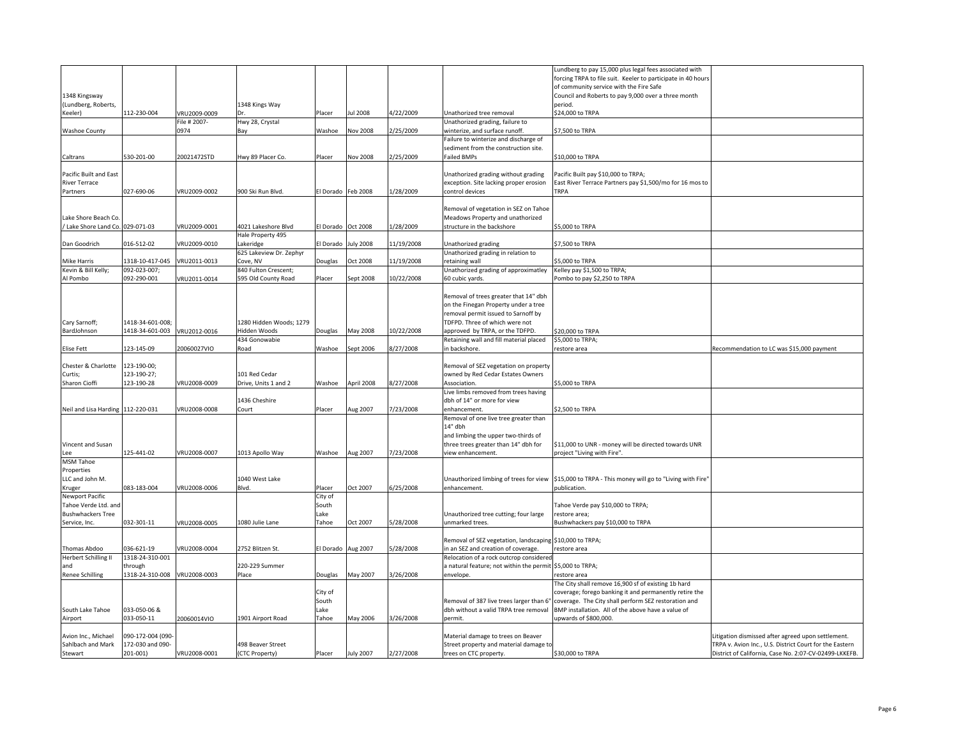|                                           |                   |              |                         |                    |                  |            |                                                           | Lundberg to pay 15,000 plus legal fees associated with                                             |                                                         |
|-------------------------------------------|-------------------|--------------|-------------------------|--------------------|------------------|------------|-----------------------------------------------------------|----------------------------------------------------------------------------------------------------|---------------------------------------------------------|
|                                           |                   |              |                         |                    |                  |            |                                                           | forcing TRPA to file suit. Keeler to participate in 40 hours                                       |                                                         |
|                                           |                   |              |                         |                    |                  |            |                                                           | of community service with the Fire Safe                                                            |                                                         |
| 1348 Kingsway                             |                   |              |                         |                    |                  |            |                                                           | Council and Roberts to pay 9,000 over a three month                                                |                                                         |
|                                           |                   |              |                         |                    |                  |            |                                                           |                                                                                                    |                                                         |
| (Lundberg, Roberts,<br>Keeler)            | 112-230-004       | VRU2009-0009 | 1348 Kings Way          |                    | ul 2008          | 4/22/2009  | Unathorized tree removal                                  | period.<br>\$24,000 to TRPA                                                                        |                                                         |
|                                           |                   | File # 2007- |                         | Placer             |                  |            | Unathorized grading, failure to                           |                                                                                                    |                                                         |
|                                           |                   | 0974         | Hwy 28, Crystal         |                    |                  |            |                                                           |                                                                                                    |                                                         |
| <b>Washoe County</b>                      |                   |              | Bay                     | Washoe             | <b>Nov 2008</b>  | 2/25/2009  | winterize, and surface runoff.                            | \$7,500 to TRPA                                                                                    |                                                         |
|                                           |                   |              |                         |                    |                  |            | Failure to winterize and discharge of                     |                                                                                                    |                                                         |
|                                           |                   |              |                         |                    |                  |            | sediment from the construction site.                      |                                                                                                    |                                                         |
| Caltrans                                  | 530-201-00        | 20021472STD  | Hwy 89 Placer Co.       | Placer             | Nov 2008         | 2/25/2009  | Failed BMPs                                               | \$10,000 to TRPA                                                                                   |                                                         |
|                                           |                   |              |                         |                    |                  |            |                                                           |                                                                                                    |                                                         |
| Pacific Built and East                    |                   |              |                         |                    |                  |            | Unathorized grading without grading                       | Pacific Built pay \$10,000 to TRPA;                                                                |                                                         |
| River Terrace                             |                   |              |                         |                    |                  |            | exception. Site lacking proper erosion                    | East River Terrace Partners pay \$1,500/mo for 16 mos to                                           |                                                         |
| Partners                                  | 027-690-06        | VRU2009-0002 | 900 Ski Run Blvd.       | El Dorado Feb 2008 |                  | 1/28/2009  | control devices                                           | <b>TRPA</b>                                                                                        |                                                         |
|                                           |                   |              |                         |                    |                  |            |                                                           |                                                                                                    |                                                         |
|                                           |                   |              |                         |                    |                  |            | Removal of vegetation in SEZ on Tahoe                     |                                                                                                    |                                                         |
| Lake Shore Beach Co.                      |                   |              |                         |                    |                  |            | Meadows Property and unathorized                          |                                                                                                    |                                                         |
| Lake Shore Land Co. 029-071-03            |                   | VRU2009-0001 | 4021 Lakeshore Blvd     | El Dorado          | Oct 2008         | 1/28/2009  | structure in the backshore                                | \$5,000 to TRPA                                                                                    |                                                         |
|                                           |                   |              | Hale Property 495       |                    |                  |            |                                                           |                                                                                                    |                                                         |
| Dan Goodrich                              | 016-512-02        | VRU2009-0010 | akeridge                | El Dorado          | <b>July 2008</b> | 11/19/2008 | Unathorized grading                                       | \$7,500 to TRPA                                                                                    |                                                         |
|                                           |                   |              | 625 Lakeview Dr. Zephyr |                    |                  |            | Unathorized grading in relation to                        |                                                                                                    |                                                         |
| Mike Harris                               | 1318-10-417-045   | VRU2011-0013 | Cove, NV                | Douglas            | Oct 2008         | 11/19/2008 | retaining wall                                            | \$5,000 to TRPA                                                                                    |                                                         |
| Kevin & Bill Kelly;                       | 092-023-007;      |              | 840 Fulton Crescent;    |                    |                  |            | Unathorized grading of approximatley                      | Kelley pay \$1,500 to TRPA;                                                                        |                                                         |
|                                           |                   |              |                         |                    |                  |            |                                                           |                                                                                                    |                                                         |
| Al Pombo                                  | 092-290-001       | VRU2011-0014 | 595 Old County Road     | Placer             | Sept 2008        | 10/22/2008 | 60 cubic yards.                                           | Pombo to pay \$2,250 to TRPA                                                                       |                                                         |
|                                           |                   |              |                         |                    |                  |            |                                                           |                                                                                                    |                                                         |
|                                           |                   |              |                         |                    |                  |            | Removal of trees greater that 14" dbh                     |                                                                                                    |                                                         |
|                                           |                   |              |                         |                    |                  |            | on the Finegan Property under a tree                      |                                                                                                    |                                                         |
|                                           |                   |              |                         |                    |                  |            | removal permit issued to Sarnoff by                       |                                                                                                    |                                                         |
| Cary Sarnoff;                             | 1418-34-601-008   |              | 1280 Hidden Woods; 1279 |                    |                  |            | TDFPD. Three of which were not                            |                                                                                                    |                                                         |
| BardJohnson                               | 1418-34-601-003   | VRU2012-0016 | Hidden Woods            | Douglas            | May 2008         | 10/22/2008 | approved by TRPA, or the TDFPD.                           | \$20,000 to TRPA                                                                                   |                                                         |
|                                           |                   |              | 434 Gonowabie           |                    |                  |            | Retaining wall and fill material placed                   | \$5,000 to TRPA;                                                                                   |                                                         |
| Elise Fett                                | 123-145-09        | 20060027VIO  | Road                    | Washoe             | Sept 2006        | 8/27/2008  | in backshore.                                             | restore area                                                                                       | Recommendation to LC was \$15,000 payment               |
|                                           |                   |              |                         |                    |                  |            |                                                           |                                                                                                    |                                                         |
|                                           |                   |              |                         |                    |                  |            |                                                           |                                                                                                    |                                                         |
| Chester & Charlotte                       | 123-190-00;       |              |                         |                    |                  |            |                                                           |                                                                                                    |                                                         |
|                                           |                   |              | 101 Red Cedar           |                    |                  |            | Removal of SEZ vegetation on property                     |                                                                                                    |                                                         |
| Curtis;                                   | 123-190-27;       |              |                         |                    |                  |            | owned by Red Cedar Estates Owners                         |                                                                                                    |                                                         |
| Sharon Cioffi                             | 123-190-28        | VRU2008-0009 | Drive, Units 1 and 2    | Washoe             | April 2008       | 8/27/2008  | Association.                                              | \$5,000 to TRPA                                                                                    |                                                         |
|                                           |                   |              |                         |                    |                  |            | Live limbs removed from trees having                      |                                                                                                    |                                                         |
|                                           |                   |              | 1436 Cheshire           |                    |                  |            | dbh of 14" or more for view                               |                                                                                                    |                                                         |
| Neil and Lisa Harding 112-220-031         |                   | VRU2008-0008 | Court                   | Placer             | Aug 2007         | 7/23/2008  | enhancement.                                              | \$2,500 to TRPA                                                                                    |                                                         |
|                                           |                   |              |                         |                    |                  |            | Removal of one live tree greater than                     |                                                                                                    |                                                         |
|                                           |                   |              |                         |                    |                  |            | 14" dbh                                                   |                                                                                                    |                                                         |
|                                           |                   |              |                         |                    |                  |            | and limbing the upper two-thirds of                       |                                                                                                    |                                                         |
| Vincent and Susan                         |                   |              |                         |                    |                  |            | three trees greater than 14" dbh for                      | \$11,000 to UNR - money will be directed towards UNR                                               |                                                         |
| ee                                        | 125-441-02        | VRU2008-0007 | 1013 Apollo Way         | Washoe             | Aug 2007         | 7/23/2008  | view enhancement.                                         | project "Living with Fire".                                                                        |                                                         |
| <b>MSM Tahoe</b>                          |                   |              |                         |                    |                  |            |                                                           |                                                                                                    |                                                         |
| Properties                                |                   |              |                         |                    |                  |            |                                                           |                                                                                                    |                                                         |
| LLC and John M.                           |                   |              | 1040 West Lake          |                    |                  |            |                                                           | Unauthorized limbing of trees for view \$15,000 to TRPA - This money will go to "Living with Fire" |                                                         |
| Kruger                                    | 083-183-004       | VRU2008-0006 | Blvd.                   | Placer             | Oct 2007         | 6/25/2008  | enhancement.                                              | publication.                                                                                       |                                                         |
| Newport Pacific                           |                   |              |                         | City of            |                  |            |                                                           |                                                                                                    |                                                         |
| Tahoe Verde Ltd, and                      |                   |              |                         | South              |                  |            |                                                           | Tahoe Verde pay \$10,000 to TRPA;                                                                  |                                                         |
|                                           |                   |              |                         | Lake               |                  |            |                                                           |                                                                                                    |                                                         |
| <b>Bushwhackers Tree</b><br>Service, Inc. | 032-301-11        | VRU2008-0005 | 1080 Julie Lane         | Tahoe              | Oct 2007         | 5/28/2008  | Unauthorized tree cutting; four large<br>unmarked trees.  | restore area;<br>Bushwhackers pay \$10,000 to TRPA                                                 |                                                         |
|                                           |                   |              |                         |                    |                  |            |                                                           |                                                                                                    |                                                         |
|                                           |                   |              |                         |                    |                  |            |                                                           |                                                                                                    |                                                         |
|                                           |                   |              |                         |                    |                  |            | Removal of SEZ vegetation, landscaping \$10,000 to TRPA;  |                                                                                                    |                                                         |
| Thomas Abdoo                              | 036-621-19        | VRU2008-0004 | 2752 Blitzen St.        | El Dorado          | Aug 2007         | 5/28/2008  | in an SEZ and creation of coverage.                       | restore area                                                                                       |                                                         |
| <b>Herbert Schilling II</b>               | 1318-24-310-001   |              |                         |                    |                  |            | Relocation of a rock outcrop considered                   |                                                                                                    |                                                         |
| and                                       | through           |              | 220-229 Summer          |                    |                  |            | a natural feature; not within the permit \$5,000 to TRPA; |                                                                                                    |                                                         |
| <b>Renee Schilling</b>                    | 1318-24-310-008   | VRU2008-0003 | Place                   | Douglas            | May 2007         | 3/26/2008  | envelope.                                                 | restore area                                                                                       |                                                         |
|                                           |                   |              |                         |                    |                  |            |                                                           | The City shall remove 16,900 sf of existing 1b hard                                                |                                                         |
|                                           |                   |              |                         | City of            |                  |            |                                                           | coverage; forego banking it and permanently retire the                                             |                                                         |
|                                           |                   |              |                         | South              |                  |            | Removal of 387 live trees larger than 6"                  | coverage. The City shall perform SEZ restoration and                                               |                                                         |
| South Lake Tahoe                          | 033-050-06 &      |              |                         | Lake               |                  |            | dbh without a valid TRPA tree removal                     | BMP installation. All of the above have a value of                                                 |                                                         |
| Airport                                   | 033-050-11        | 20060014VIO  | 1901 Airport Road       | Tahoe              | May 2006         | 3/26/2008  | permit.                                                   | upwards of \$800,000.                                                                              |                                                         |
|                                           |                   |              |                         |                    |                  |            |                                                           |                                                                                                    |                                                         |
| Avion Inc., Michael                       | 090-172-004 (090- |              |                         |                    |                  |            | Material damage to trees on Beaver                        |                                                                                                    | Litigation dismissed after agreed upon settlement.      |
| Sahlbach and Mark                         | 172-030 and 090-  |              | 498 Beaver Street       |                    |                  |            | Street property and material damage to                    |                                                                                                    | TRPA v. Avion Inc., U.S. District Court for the Eastern |
| Stewart                                   | 201-001)          | VRU2008-0001 | (CTC Property)          | Placer             | <b>July 2007</b> | 2/27/2008  | trees on CTC property.                                    | \$30,000 to TRPA                                                                                   | District of California, Case No. 2:07-CV-02499-LKKEFB.  |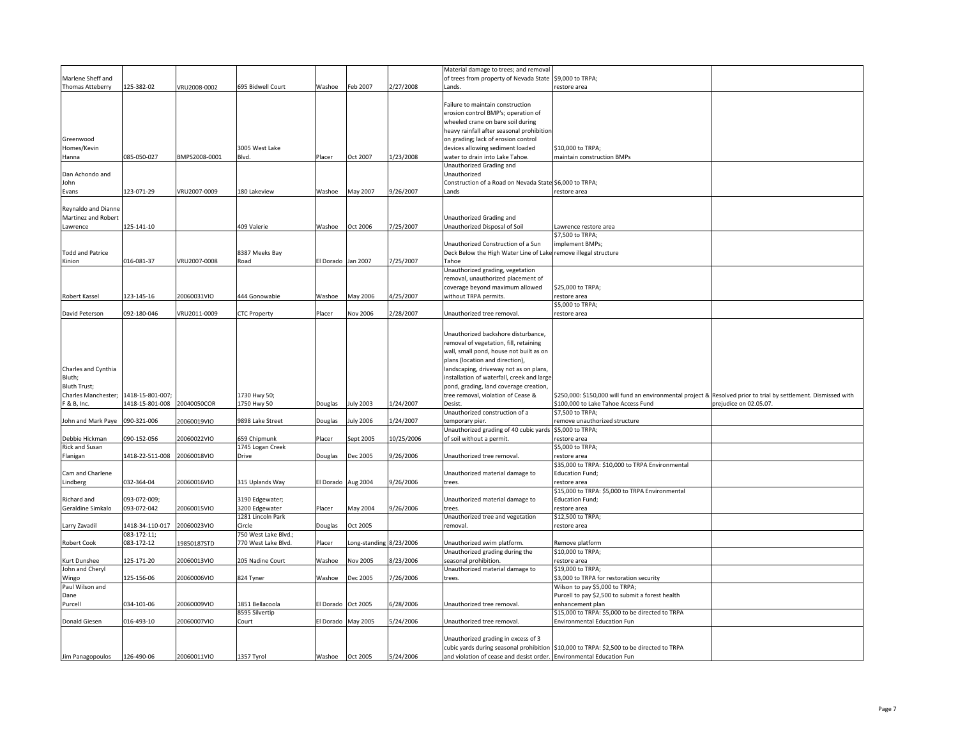|                                |                  |               |                      |                    |                        |            | Material damage to trees; and removal                                   |                                                                                          |                                                       |
|--------------------------------|------------------|---------------|----------------------|--------------------|------------------------|------------|-------------------------------------------------------------------------|------------------------------------------------------------------------------------------|-------------------------------------------------------|
| Marlene Sheff and              |                  |               |                      |                    |                        |            | of trees from property of Nevada State \$9,000 to TRPA;                 |                                                                                          |                                                       |
| <b>Thomas Atteberry</b>        | 125-382-02       | VRU2008-0002  | 695 Bidwell Court    | Washoe             | Feb 2007               | 2/27/2008  | Lands.                                                                  | restore area                                                                             |                                                       |
|                                |                  |               |                      |                    |                        |            |                                                                         |                                                                                          |                                                       |
|                                |                  |               |                      |                    |                        |            | Failure to maintain construction<br>erosion control BMP's; operation of |                                                                                          |                                                       |
|                                |                  |               |                      |                    |                        |            | wheeled crane on bare soil during                                       |                                                                                          |                                                       |
|                                |                  |               |                      |                    |                        |            | heavy rainfall after seasonal prohibition                               |                                                                                          |                                                       |
| Greenwood                      |                  |               |                      |                    |                        |            | on grading; lack of erosion control                                     |                                                                                          |                                                       |
| Homes/Kevin                    |                  |               | 3005 West Lake       |                    |                        |            | devices allowing sediment loaded                                        | \$10,000 to TRPA;                                                                        |                                                       |
| Hanna                          | 085-050-027      | BMPS2008-0001 | Blvd.                | Placer             | Oct 2007               | 1/23/2008  | water to drain into Lake Tahoe.                                         | maintain construction BMPs                                                               |                                                       |
|                                |                  |               |                      |                    |                        |            | Unauthorized Grading and                                                |                                                                                          |                                                       |
| Dan Achondo and                |                  |               |                      |                    |                        |            | Unauthorized                                                            |                                                                                          |                                                       |
| John                           |                  |               |                      |                    |                        |            | Construction of a Road on Nevada State \$6,000 to TRPA;                 |                                                                                          |                                                       |
| Evans                          | 123-071-29       | VRU2007-0009  | 180 Lakeview         | Washoe             | May 2007               | 9/26/2007  | ands                                                                    | restore area                                                                             |                                                       |
|                                |                  |               |                      |                    |                        |            |                                                                         |                                                                                          |                                                       |
| Reynaldo and Dianne            |                  |               |                      |                    |                        |            |                                                                         |                                                                                          |                                                       |
| Martinez and Robert            |                  |               |                      |                    |                        |            | Unauthorized Grading and                                                |                                                                                          |                                                       |
| Lawrence                       | 125-141-10       |               | 409 Valerie          | Washoe             | Oct 2006               | 7/25/2007  | Unauthorized Disposal of Soil                                           | Lawrence restore area                                                                    |                                                       |
|                                |                  |               |                      |                    |                        |            |                                                                         | 57,500 to TRPA;                                                                          |                                                       |
|                                |                  |               |                      |                    |                        |            | Unauthorized Construction of a Sun                                      | mplement BMPs;                                                                           |                                                       |
| <b>Fodd and Patrice</b>        |                  |               | 8387 Meeks Bay       |                    |                        |            | Deck Below the High Water Line of Lake remove illegal structure         |                                                                                          |                                                       |
| Kinion                         | 016-081-37       | VRU2007-0008  | Road                 | El Dorado Jan 2007 |                        | 7/25/2007  | Tahoe                                                                   |                                                                                          |                                                       |
|                                |                  |               |                      |                    |                        |            | Unauthorized grading, vegetation                                        |                                                                                          |                                                       |
|                                |                  |               |                      |                    |                        |            | removal, unauthorized placement of                                      |                                                                                          |                                                       |
|                                |                  |               |                      |                    |                        |            | coverage beyond maximum allowed                                         | \$25,000 to TRPA;                                                                        |                                                       |
| Robert Kassel                  | 123-145-16       | 20060031VIO   | 444 Gonowabie        | Washoe             | May 2006               | 4/25/2007  | without TRPA permits.                                                   | restore area                                                                             |                                                       |
|                                |                  |               |                      |                    |                        |            |                                                                         | \$5,000 to TRPA;                                                                         |                                                       |
| David Peterson                 | 092-180-046      | VRU2011-0009  | <b>CTC Property</b>  | Placer             | Nov 2006               | 2/28/2007  | Unauthorized tree removal.                                              | restore area                                                                             |                                                       |
|                                |                  |               |                      |                    |                        |            |                                                                         |                                                                                          |                                                       |
|                                |                  |               |                      |                    |                        |            | Unauthorized backshore disturbance,                                     |                                                                                          |                                                       |
|                                |                  |               |                      |                    |                        |            | removal of vegetation, fill, retaining                                  |                                                                                          |                                                       |
|                                |                  |               |                      |                    |                        |            | wall, small pond, house not built as on                                 |                                                                                          |                                                       |
|                                |                  |               |                      |                    |                        |            | plans (location and direction),                                         |                                                                                          |                                                       |
| Charles and Cynthia            |                  |               |                      |                    |                        |            | landscaping, driveway not as on plans,                                  |                                                                                          |                                                       |
| Bluth;                         |                  |               |                      |                    |                        |            | installation of waterfall, creek and large                              |                                                                                          |                                                       |
| Bluth Trust;                   |                  |               |                      |                    |                        |            | pond, grading, land coverage creation,                                  |                                                                                          |                                                       |
| Charles Manchester;            | 1418-15-801-007; |               | 1730 Hwy 50;         |                    |                        |            | tree removal, violation of Cease &                                      | \$250,000: \$150,000 will fund an environmental project &                                | Resolved prior to trial by settlement. Dismissed with |
| 8 B, Inc.                      | 418-15-801-008   | 20040050COR   | 1750 Hwy 50          | Douglas            | <b>July 2003</b>       | 1/24/2007  | Desist.                                                                 | \$100,000 to Lake Tahoe Access Fund                                                      | orejudice on 02.05.07.                                |
| John and Mark Paye 090-321-006 |                  | 20060019VIO   | 9898 Lake Street     | Douglas            | July 2006              | 1/24/2007  | Unauthorized construction of a<br>temporary pier.                       | \$7,500 to TRPA;<br>remove unauthorized structure                                        |                                                       |
|                                |                  |               |                      |                    |                        |            | Unauthorized grading of 40 cubic yards \$5,000 to TRPA;                 |                                                                                          |                                                       |
| Debbie Hickman                 | 090-152-056      | 20060022VIO   | 659 Chipmunk         | Placer             | Sept 2005              | 10/25/2006 | of soil without a permit.                                               | estore area                                                                              |                                                       |
| Rick and Susan                 |                  |               | 1745 Logan Creek     |                    |                        |            |                                                                         | \$5,000 to TRPA;                                                                         |                                                       |
| Flanigan                       | 418-22-511-008   | 20060018VIO   | Drive                | Douglas            | Dec 2005               | 9/26/2006  | Jnauthorized tree removal.                                              | restore area                                                                             |                                                       |
|                                |                  |               |                      |                    |                        |            |                                                                         | \$35,000 to TRPA: \$10,000 to TRPA Environmental                                         |                                                       |
| Cam and Charlene               |                  |               |                      |                    |                        |            | Unauthorized material damage to                                         | <b>Education Fund;</b>                                                                   |                                                       |
| Lindberg                       | 032-364-04       | 20060016VIO   | 315 Uplands Way      | El Dorado Aug 2004 |                        | 9/26/2006  | trees.                                                                  | restore area                                                                             |                                                       |
|                                |                  |               |                      |                    |                        |            |                                                                         | \$15,000 to TRPA: \$5,000 to TRPA Environmental                                          |                                                       |
| Richard and                    | 093-072-009;     |               | 3190 Edgewater;      |                    |                        |            | Unauthorized material damage to                                         | <b>Education Fund;</b>                                                                   |                                                       |
| Geraldine Simkalo              | 093-072-042      | 20060015VIO   | 3200 Edgewater       | Placer             | May 2004               | 9/26/2006  | trees.                                                                  | restore area                                                                             |                                                       |
|                                |                  |               | 1281 Lincoln Park    |                    |                        |            | Unauthorized tree and vegetation                                        | \$12,500 to TRPA;                                                                        |                                                       |
| Larry Zavadil                  | 1418-34-110-017  | 20060023VIO   | Circle               | Douglas            | Oct 2005               |            | removal                                                                 | restore area                                                                             |                                                       |
|                                | 083-172-11;      |               | 750 West Lake Blvd.; |                    |                        |            |                                                                         |                                                                                          |                                                       |
| <b>Robert Cook</b>             | 083-172-12       | 19850187STD   | 770 West Lake Blvd.  | Placer             | ong-standing 8/23/2006 |            | Jnauthorized swim platform.                                             | Remove platform                                                                          |                                                       |
|                                |                  |               |                      |                    |                        |            | Unauthorized grading during the                                         | \$10,000 to TRPA;                                                                        |                                                       |
| Kurt Dunshee                   | 125-171-20       | 20060013VIO   | 205 Nadine Court     | Washoe             | <b>Vov 2005</b>        | 8/23/2006  | seasonal prohibition.                                                   | restore area                                                                             |                                                       |
| John and Cheryl                |                  |               |                      |                    |                        |            | Unauthorized material damage to                                         | \$19,000 to TRPA;                                                                        |                                                       |
| Wingo                          | 125-156-06       | 20060006VIO   | 824 Tyner            | Washoe             | Dec 2005               | 7/26/2006  | trees.                                                                  | \$3,000 to TRPA for restoration security                                                 |                                                       |
| Paul Wilson and                |                  |               |                      |                    |                        |            |                                                                         | Wilson to pay \$5,000 to TRPA;                                                           |                                                       |
| Dane                           |                  |               |                      |                    |                        |            |                                                                         | Purcell to pay \$2,500 to submit a forest health                                         |                                                       |
| Purcell                        | 034-101-06       | 20060009VIO   | 1851 Bellacoola      | El Dorado Oct 2005 |                        | 6/28/2006  | Unauthorized tree removal.                                              | enhancement plan                                                                         |                                                       |
|                                |                  | 20060007VIO   | 8595 Silvertip       |                    |                        |            |                                                                         | \$15,000 to TRPA: \$5,000 to be directed to TRPA                                         |                                                       |
| Donald Giesen                  | 016-493-10       |               | Court                |                    | El Dorado May 2005     | 5/24/2006  | Unauthorized tree removal.                                              | <b>Environmental Education Fun</b>                                                       |                                                       |
|                                |                  |               |                      |                    |                        |            | Unauthorized grading in excess of 3                                     |                                                                                          |                                                       |
|                                |                  |               |                      |                    |                        |            |                                                                         | cubic yards during seasonal prohibition \$10,000 to TRPA: \$2,500 to be directed to TRPA |                                                       |
| Jim Panagopoulos               | 126-490-06       | 20060011VIO   | 1357 Tyrol           | Washoe Oct 2005    |                        | 5/24/2006  | and violation of cease and desist order. Environmental Education Fun    |                                                                                          |                                                       |
|                                |                  |               |                      |                    |                        |            |                                                                         |                                                                                          |                                                       |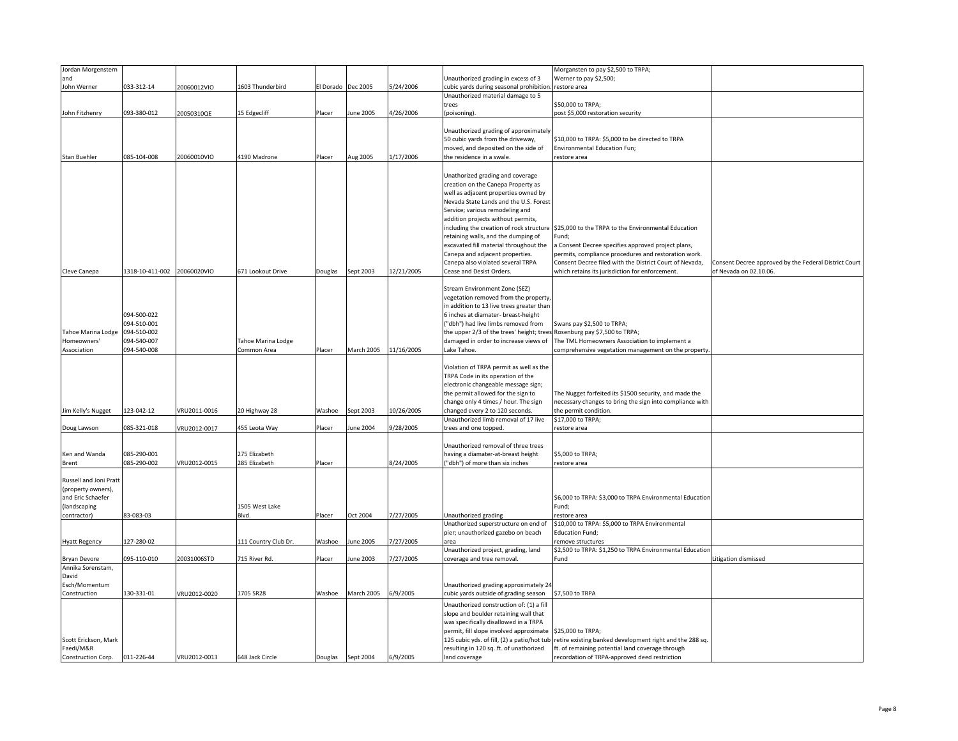| Jordan Morgenstern                                                                                      |                                                                         |              |                                   |                    |                   |            |                                                                                                                                                                                                                                                                                                                                                                                                                                        | Morgansten to pay \$2,500 to TRPA;                                                                                                                                                                                                    |                                                       |
|---------------------------------------------------------------------------------------------------------|-------------------------------------------------------------------------|--------------|-----------------------------------|--------------------|-------------------|------------|----------------------------------------------------------------------------------------------------------------------------------------------------------------------------------------------------------------------------------------------------------------------------------------------------------------------------------------------------------------------------------------------------------------------------------------|---------------------------------------------------------------------------------------------------------------------------------------------------------------------------------------------------------------------------------------|-------------------------------------------------------|
| and                                                                                                     |                                                                         |              |                                   |                    |                   |            | Unauthorized grading in excess of 3                                                                                                                                                                                                                                                                                                                                                                                                    | Werner to pay \$2,500;                                                                                                                                                                                                                |                                                       |
| John Werner                                                                                             | 033-312-14                                                              | 20060012VIO  | 1603 Thunderbird                  | El Dorado Dec 2005 |                   | 5/24/2006  | cubic yards during seasonal prohibition.                                                                                                                                                                                                                                                                                                                                                                                               | estore area                                                                                                                                                                                                                           |                                                       |
|                                                                                                         |                                                                         |              |                                   |                    |                   |            | Unauthorized material damage to 5                                                                                                                                                                                                                                                                                                                                                                                                      |                                                                                                                                                                                                                                       |                                                       |
|                                                                                                         |                                                                         |              |                                   |                    |                   |            | trees                                                                                                                                                                                                                                                                                                                                                                                                                                  | \$50,000 to TRPA;                                                                                                                                                                                                                     |                                                       |
| John Fitzhenry                                                                                          | 093-380-012                                                             | 20050310QE   | 15 Edgecliff                      | Placer             | June 2005         | 4/26/2006  | (poisoning).                                                                                                                                                                                                                                                                                                                                                                                                                           | post \$5,000 restoration security                                                                                                                                                                                                     |                                                       |
|                                                                                                         |                                                                         |              |                                   |                    |                   |            |                                                                                                                                                                                                                                                                                                                                                                                                                                        |                                                                                                                                                                                                                                       |                                                       |
|                                                                                                         |                                                                         |              |                                   |                    |                   |            | Unauthorized grading of approximately                                                                                                                                                                                                                                                                                                                                                                                                  |                                                                                                                                                                                                                                       |                                                       |
|                                                                                                         |                                                                         |              |                                   |                    |                   |            | 50 cubic yards from the driveway,                                                                                                                                                                                                                                                                                                                                                                                                      | \$10,000 to TRPA: \$5,000 to be directed to TRPA                                                                                                                                                                                      |                                                       |
|                                                                                                         |                                                                         |              |                                   |                    |                   |            | moved, and deposited on the side of                                                                                                                                                                                                                                                                                                                                                                                                    | Environmental Education Fun;                                                                                                                                                                                                          |                                                       |
| <b>Stan Buehler</b>                                                                                     | 085-104-008                                                             | 20060010VIO  | 4190 Madrone                      | Placer             | Aug 2005          | 1/17/2006  | the residence in a swale.                                                                                                                                                                                                                                                                                                                                                                                                              | restore area                                                                                                                                                                                                                          |                                                       |
|                                                                                                         |                                                                         |              |                                   |                    |                   |            | Unathorized grading and coverage<br>creation on the Canepa Property as<br>well as adjacent properties owned by<br>Nevada State Lands and the U.S. Forest<br>Service; various remodeling and<br>addition projects without permits,<br>including the creation of rock structure<br>retaining walls, and the dumping of<br>excavated fill material throughout the<br>Canepa and adjacent properties.<br>Canepa also violated several TRPA | \$25,000 to the TRPA to the Environmental Education<br>Fund;<br>a Consent Decree specifies approved project plans,<br>permits, compliance procedures and restoration work.<br>Consent Decree filed with the District Court of Nevada, | Consent Decree approved by the Federal District Court |
| Cleve Canepa                                                                                            | 1318-10-411-002 20060020VIO                                             |              | 671 Lookout Drive                 | Douglas            | Sept 2003         | 12/21/2005 | Cease and Desist Orders.                                                                                                                                                                                                                                                                                                                                                                                                               | which retains its jurisdiction for enforcement.                                                                                                                                                                                       | of Nevada on 02.10.06.                                |
| Tahoe Marina Lodge<br>Homeowners'<br>Association                                                        | 094-500-022<br>094-510-001<br>094-510-002<br>094-540-007<br>094-540-008 |              | Tahoe Marina Lodge<br>Common Area | Placer             | March 2005        | 11/16/2005 | Stream Environment Zone (SEZ)<br>vegetation removed from the property,<br>in addition to 13 live trees greater than<br>6 inches at diamater- breast-height<br>("dbh") had live limbs removed from<br>the upper 2/3 of the trees' height; trees Rosenburg pay \$7,500 to TRPA;<br>damaged in order to increase views of<br>Lake Tahoe.                                                                                                  | Swans pay \$2,500 to TRPA;<br>The TML Homeowners Association to implement a<br>comprehensive vegetation management on the property                                                                                                    |                                                       |
| Jim Kelly's Nugget                                                                                      | 123-042-12                                                              | VRU2011-0016 | 20 Highway 28                     | Washoe             | Sept 2003         | 10/26/2005 | Violation of TRPA permit as well as the<br>TRPA Code in its operation of the<br>electronic changeable message sign;<br>the permit allowed for the sign to<br>change only 4 times / hour. The sign<br>changed every 2 to 120 seconds.                                                                                                                                                                                                   | The Nugget forfeited its \$1500 security, and made the<br>necessary changes to bring the sign into compliance with<br>the permit condition.                                                                                           |                                                       |
|                                                                                                         | 085-321-018                                                             | VRU2012-0017 | 455 Leota Way                     | Placer             | June 2004         | 9/28/2005  | Unauthorized limb removal of 17 live<br>trees and one topped.                                                                                                                                                                                                                                                                                                                                                                          | \$17,000 to TRPA;                                                                                                                                                                                                                     |                                                       |
| Doug Lawson                                                                                             |                                                                         |              |                                   |                    |                   |            |                                                                                                                                                                                                                                                                                                                                                                                                                                        | restore area                                                                                                                                                                                                                          |                                                       |
| Ken and Wanda<br>Brent                                                                                  | 085-290-001<br>085-290-002                                              | VRU2012-0015 | 275 Elizabeth<br>285 Elizabeth    | Placer             |                   | 8/24/2005  | Unauthorized removal of three trees<br>having a diamater-at-breast height<br>"dbh") of more than six inches                                                                                                                                                                                                                                                                                                                            | \$5,000 to TRPA;<br>restore area                                                                                                                                                                                                      |                                                       |
| <b>Russell and Joni Pratt</b><br>(property owners),<br>and Eric Schaefer<br>(landscaping<br>contractor) | 83-083-03                                                               |              | 1505 West Lake<br>Blvd.           | Placer             | Oct 2004          | 7/27/2005  | Unauthorized grading                                                                                                                                                                                                                                                                                                                                                                                                                   | \$6,000 to TRPA: \$3,000 to TRPA Environmental Educatior<br>Fund;<br>restore area                                                                                                                                                     |                                                       |
|                                                                                                         |                                                                         |              |                                   |                    |                   |            | Unathorized superstructure on end of                                                                                                                                                                                                                                                                                                                                                                                                   | \$10,000 to TRPA: \$5,000 to TRPA Environmental                                                                                                                                                                                       |                                                       |
|                                                                                                         |                                                                         |              |                                   |                    |                   |            | pier; unauthorized gazebo on beach                                                                                                                                                                                                                                                                                                                                                                                                     | Education Fund;                                                                                                                                                                                                                       |                                                       |
| <b>Hyatt Regency</b>                                                                                    | 127-280-02                                                              |              | 111 Country Club Dr.              | Washoe             | une 2005          | 7/27/2005  | area                                                                                                                                                                                                                                                                                                                                                                                                                                   | remove structures                                                                                                                                                                                                                     |                                                       |
|                                                                                                         |                                                                         |              |                                   |                    |                   |            | Unauthorized project, grading, land                                                                                                                                                                                                                                                                                                                                                                                                    | \$2,500 to TRPA: \$1,250 to TRPA Environmental Educatior                                                                                                                                                                              |                                                       |
| Bryan Devore<br>Annika Sorenstam,                                                                       | 095-110-010                                                             | 20031006STD  | 715 River Rd.                     | Placer             | June 2003         | 7/27/2005  | coverage and tree removal.                                                                                                                                                                                                                                                                                                                                                                                                             | Fund                                                                                                                                                                                                                                  | itigation dismissed.                                  |
| David<br>Esch/Momentum                                                                                  |                                                                         |              |                                   |                    |                   |            | Unauthorized grading approximately 24                                                                                                                                                                                                                                                                                                                                                                                                  |                                                                                                                                                                                                                                       |                                                       |
| Construction                                                                                            | 130-331-01                                                              | VRU2012-0020 | 1705 SR28                         | Washoe             | March 2005        | 6/9/2005   | cubic yards outside of grading season                                                                                                                                                                                                                                                                                                                                                                                                  | \$7,500 to TRPA                                                                                                                                                                                                                       |                                                       |
| Scott Erickson, Mark<br>Faedi/M&R<br>Construction Corp.                                                 | 011-226-44                                                              | VRU2012-0013 | 648 Jack Circle                   |                    | Douglas Sept 2004 | 6/9/2005   | Unauthorized construction of: (1) a fill<br>slope and boulder retaining wall that<br>was specifically disallowed in a TRPA<br>permit, fill slope involved approximate<br>resulting in 120 sq. ft. of unathorized<br>land coverage                                                                                                                                                                                                      | \$25,000 to TRPA;<br>125 cubic yds. of fill, (2) a patio/hot tub retire existing banked development right and the 288 sq.<br>ft. of remaining potential land coverage through<br>recordation of TRPA-approved deed restriction        |                                                       |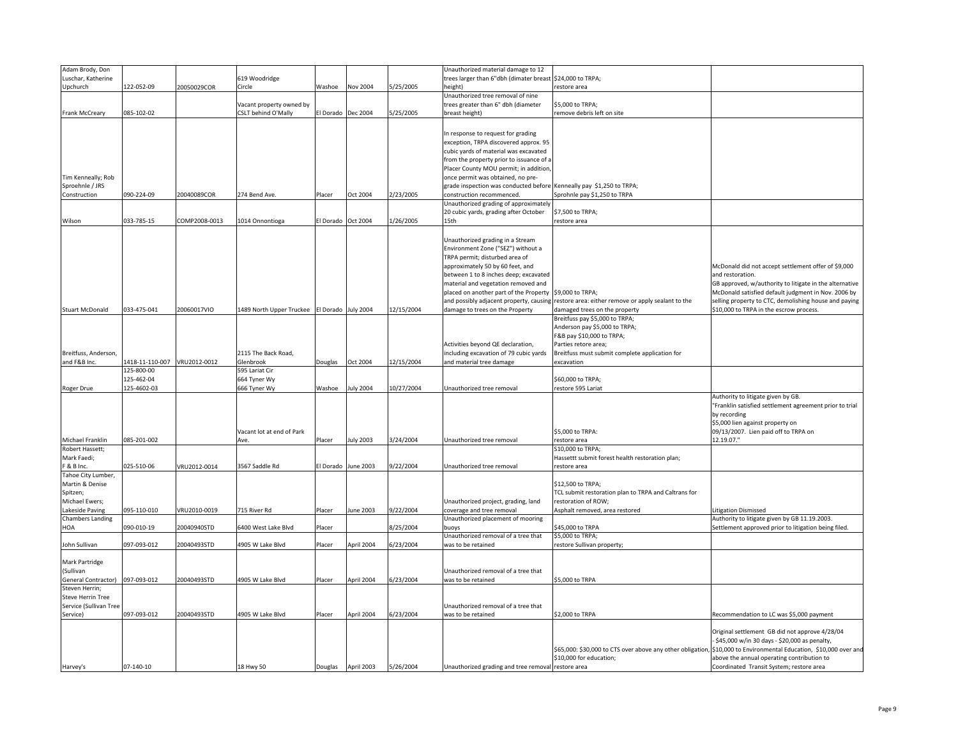| trees larger than 6"dbh (dimater breast \$24,000 to TRPA;<br>122-052-09<br>20050029COR<br>5/25/2005<br>Upchurch<br>Circle<br>Washoe<br>Nov 2004<br>height)<br>restore area<br>Unauthorized tree removal of nine<br>trees greater than 6" dbh (diameter<br>\$5,000 to TRPA;<br>Vacant property owned by<br>5/25/2005<br>085-102-02<br><b>SLT behind O'Mally</b><br>Frank McCreary<br>El Dorado<br>Dec 2004<br>breast height)<br>remove debris left on site<br>In response to request for grading<br>exception, TRPA discovered approx. 95<br>cubic yards of material was excavated<br>from the property prior to issuance of a<br>Placer County MOU permit; in addition,<br>Tim Kenneally; Rob<br>once permit was obtained, no pre-<br>Sproehnle / JRS<br>grade inspection was conducted before Kenneally pay \$1,250 to TRPA;<br>090-224-09<br>2/23/2005<br>Construction<br>20040089COR<br>274 Bend Ave.<br>Placer<br>Oct 2004<br>construction recommenced.<br>Sprohnle pay \$1,250 to TRPA<br>Unauthorized grading of approximately<br>\$7,500 to TRPA;<br>20 cubic yards, grading after October<br>033-785-15<br>COMP2008-0013<br>El Dorado Oct 2004<br>1/26/2005<br>Wilson<br>1014 Onnontioga<br>15th<br>restore area<br>Unauthorized grading in a Stream<br>Environment Zone ("SEZ") without a<br>TRPA permit; disturbed area of<br>approximately 50 by 60 feet, and<br>McDonald did not accept settlement offer of \$9,000<br>between 1 to 8 inches deep; excavated<br>and restoration.<br>material and vegetation removed and<br>GB approved, w/authority to litigate in the alternative<br>placed on another part of the Property \$9,000 to TRPA;<br>McDonald satisfied default judgment in Nov. 2006 by<br>restore area: either remove or apply sealant to the<br>selling property to CTC, demolishing house and paying<br>and possibly adjacent property, causing<br><b>Stuart McDonald</b><br>033-475-041<br>20060017VIO<br>1489 North Upper Truckee El Dorado July 2004<br>12/15/2004<br>damaged trees on the property<br>\$10,000 to TRPA in the escrow process.<br>damage to trees on the Property<br>Breitfuss pay \$5,000 to TRPA;<br>Anderson pay \$5,000 to TRPA;<br>F&B pay \$10,000 to TRPA;<br>Activities beyond QE declaration,<br>Parties retore area;<br>2115 The Back Road,<br>including excavation of 79 cubic yards<br>Breitfuss must submit complete application for<br>Breitfuss, Anderson,<br>and F&B Inc.<br>418-11-110-007 VRU2012-0012<br>12/15/2004<br>Glenbrook<br>Douglas<br>Oct 2004<br>and material tree damage<br>excavation<br>125-800-00<br>595 Lariat Cir<br>125-462-04<br>664 Tyner Wy<br>\$60,000 to TRPA;<br>125-4602-03<br>666 Tyner Wy<br>Washoe<br>July 2004<br>10/27/2004<br>Unauthorized tree removal<br>restore 595 Lariat<br>Roger Drue<br>Authority to litigate given by GB.<br>"Franklin satisfied settlement agreement prior to trial<br>by recording<br>\$5,000 lien against property on<br>\$5,000 to TRPA:<br>09/13/2007. Lien paid off to TRPA on<br>Vacant lot at end of Park<br>Michael Franklin<br>085-201-002<br>Placer<br>July 2003<br>3/24/2004<br>Unauthorized tree removal<br>restore area<br>12.19.07."<br>Ave.<br>Robert Hassett;<br>S10,000 to TRPA;<br>Mark Faedi;<br>Hassettt submit forest health restoration plan;<br>F & B Inc.<br>025-510-06<br>3567 Saddle Rd<br><b>June 2003</b><br>9/22/2004<br>VRU2012-0014<br>El Dorado<br>Unauthorized tree removal<br>restore area<br>Tahoe City Lumber,<br>Martin & Denise<br>\$12,500 to TRPA;<br>TCL submit restoration plan to TRPA and Caltrans for<br>Spitzen;<br>Michael Ewers;<br>Unauthorized project, grading, land<br>restoration of ROW;<br>Lakeside Paving<br>095-110-010<br>VRU2010-0019<br>715 River Rd<br>une 2003<br>9/22/2004<br>coverage and tree removal<br>Asphalt removed, area restored<br>Placer<br>Litigation Dismissed<br><b>Chambers Landing</b><br>Unauthorized placement of mooring<br>Authority to litigate given by GB 11.19.2003.<br>20040940STD<br>8/25/2004<br>Settlement approved prior to litigation being filed.<br>HOA<br>090-010-19<br>6400 West Lake Blvd<br>Placer<br>buoys<br>\$45,000 to TRPA<br>Unauthorized removal of a tree that<br>\$5,000 to TRPA;<br>April 2004<br>John Sullivan<br>097-093-012<br>20040493STD<br>4905 W Lake Blvd<br>Placer<br>6/23/2004<br>was to be retained<br>restore Sullivan property;<br>(Sullivan<br>Unauthorized removal of a tree that<br>097-093-012<br>20040493STD<br>6/23/2004<br>4905 W Lake Blvd<br>Placer<br>April 2004<br>was to be retained<br>\$5,000 to TRPA<br>Unauthorized removal of a tree that<br>097-093-012<br>20040493STD<br>6/23/2004<br>4905 W Lake Blvd<br>April 2004<br>was to be retained<br>\$2,000 to TRPA<br>Recommendation to LC was \$5,000 payment<br>Placer<br>Original settlement GB did not approve 4/28/04<br>\$45,000 w/in 30 days - \$20,000 as penalty,<br>\$65,000: \$30,000 to CTS over above any other obligation,<br>\$10,000 to Environmental Education, \$10,000 over and<br>\$10,000 for education;<br>above the annual operating contribution to<br>07-140-10<br>18 Hwy 50<br>Douglas April 2003<br>5/26/2004<br>Unauthorized grading and tree removal restore area<br>Coordinated Transit System; restore area<br>Harvey's | Adam Brody, Don          |  |               |  | Unauthorized material damage to 12 |  |
|-------------------------------------------------------------------------------------------------------------------------------------------------------------------------------------------------------------------------------------------------------------------------------------------------------------------------------------------------------------------------------------------------------------------------------------------------------------------------------------------------------------------------------------------------------------------------------------------------------------------------------------------------------------------------------------------------------------------------------------------------------------------------------------------------------------------------------------------------------------------------------------------------------------------------------------------------------------------------------------------------------------------------------------------------------------------------------------------------------------------------------------------------------------------------------------------------------------------------------------------------------------------------------------------------------------------------------------------------------------------------------------------------------------------------------------------------------------------------------------------------------------------------------------------------------------------------------------------------------------------------------------------------------------------------------------------------------------------------------------------------------------------------------------------------------------------------------------------------------------------------------------------------------------------------------------------------------------------------------------------------------------------------------------------------------------------------------------------------------------------------------------------------------------------------------------------------------------------------------------------------------------------------------------------------------------------------------------------------------------------------------------------------------------------------------------------------------------------------------------------------------------------------------------------------------------------------------------------------------------------------------------------------------------------------------------------------------------------------------------------------------------------------------------------------------------------------------------------------------------------------------------------------------------------------------------------------------------------------------------------------------------------------------------------------------------------------------------------------------------------------------------------------------------------------------------------------------------------------------------------------------------------------------------------------------------------------------------------------------------------------------------------------------------------------------------------------------------------------------------------------------------------------------------------------------------------------------------------------------------------------------------------------------------------------------------------------------------------------------------------------------------------------------------------------------------------------------------------------------------------------------------------------------------------------------------------------------------------------------------------------------------------------------------------------------------------------------------------------------------------------------------------------------------------------------------------------------------------------------------------------------------------------------------------------------------------------------------------------------------------------------------------------------------------------------------------------------------------------------------------------------------------------------------------------------------------------------------------------------------------------------------------------------------------------------------------------------------------------------------------------------------------------------------------------------------------------------------------------------------------------------------------------------------------------------------------------------------------------------------------------------------------------------------------------------------------------------------------------------------------------------------------------------------------------------------------------------------------------------------------------------------------------|--------------------------|--|---------------|--|------------------------------------|--|
|                                                                                                                                                                                                                                                                                                                                                                                                                                                                                                                                                                                                                                                                                                                                                                                                                                                                                                                                                                                                                                                                                                                                                                                                                                                                                                                                                                                                                                                                                                                                                                                                                                                                                                                                                                                                                                                                                                                                                                                                                                                                                                                                                                                                                                                                                                                                                                                                                                                                                                                                                                                                                                                                                                                                                                                                                                                                                                                                                                                                                                                                                                                                                                                                                                                                                                                                                                                                                                                                                                                                                                                                                                                                                                                                                                                                                                                                                                                                                                                                                                                                                                                                                                                                                                                                                                                                                                                                                                                                                                                                                                                                                                                                                                                                                                                                                                                                                                                                                                                                                                                                                                                                                                                                                                                                         | Luschar, Katherine       |  | 619 Woodridge |  |                                    |  |
|                                                                                                                                                                                                                                                                                                                                                                                                                                                                                                                                                                                                                                                                                                                                                                                                                                                                                                                                                                                                                                                                                                                                                                                                                                                                                                                                                                                                                                                                                                                                                                                                                                                                                                                                                                                                                                                                                                                                                                                                                                                                                                                                                                                                                                                                                                                                                                                                                                                                                                                                                                                                                                                                                                                                                                                                                                                                                                                                                                                                                                                                                                                                                                                                                                                                                                                                                                                                                                                                                                                                                                                                                                                                                                                                                                                                                                                                                                                                                                                                                                                                                                                                                                                                                                                                                                                                                                                                                                                                                                                                                                                                                                                                                                                                                                                                                                                                                                                                                                                                                                                                                                                                                                                                                                                                         |                          |  |               |  |                                    |  |
|                                                                                                                                                                                                                                                                                                                                                                                                                                                                                                                                                                                                                                                                                                                                                                                                                                                                                                                                                                                                                                                                                                                                                                                                                                                                                                                                                                                                                                                                                                                                                                                                                                                                                                                                                                                                                                                                                                                                                                                                                                                                                                                                                                                                                                                                                                                                                                                                                                                                                                                                                                                                                                                                                                                                                                                                                                                                                                                                                                                                                                                                                                                                                                                                                                                                                                                                                                                                                                                                                                                                                                                                                                                                                                                                                                                                                                                                                                                                                                                                                                                                                                                                                                                                                                                                                                                                                                                                                                                                                                                                                                                                                                                                                                                                                                                                                                                                                                                                                                                                                                                                                                                                                                                                                                                                         |                          |  |               |  |                                    |  |
|                                                                                                                                                                                                                                                                                                                                                                                                                                                                                                                                                                                                                                                                                                                                                                                                                                                                                                                                                                                                                                                                                                                                                                                                                                                                                                                                                                                                                                                                                                                                                                                                                                                                                                                                                                                                                                                                                                                                                                                                                                                                                                                                                                                                                                                                                                                                                                                                                                                                                                                                                                                                                                                                                                                                                                                                                                                                                                                                                                                                                                                                                                                                                                                                                                                                                                                                                                                                                                                                                                                                                                                                                                                                                                                                                                                                                                                                                                                                                                                                                                                                                                                                                                                                                                                                                                                                                                                                                                                                                                                                                                                                                                                                                                                                                                                                                                                                                                                                                                                                                                                                                                                                                                                                                                                                         |                          |  |               |  |                                    |  |
|                                                                                                                                                                                                                                                                                                                                                                                                                                                                                                                                                                                                                                                                                                                                                                                                                                                                                                                                                                                                                                                                                                                                                                                                                                                                                                                                                                                                                                                                                                                                                                                                                                                                                                                                                                                                                                                                                                                                                                                                                                                                                                                                                                                                                                                                                                                                                                                                                                                                                                                                                                                                                                                                                                                                                                                                                                                                                                                                                                                                                                                                                                                                                                                                                                                                                                                                                                                                                                                                                                                                                                                                                                                                                                                                                                                                                                                                                                                                                                                                                                                                                                                                                                                                                                                                                                                                                                                                                                                                                                                                                                                                                                                                                                                                                                                                                                                                                                                                                                                                                                                                                                                                                                                                                                                                         |                          |  |               |  |                                    |  |
|                                                                                                                                                                                                                                                                                                                                                                                                                                                                                                                                                                                                                                                                                                                                                                                                                                                                                                                                                                                                                                                                                                                                                                                                                                                                                                                                                                                                                                                                                                                                                                                                                                                                                                                                                                                                                                                                                                                                                                                                                                                                                                                                                                                                                                                                                                                                                                                                                                                                                                                                                                                                                                                                                                                                                                                                                                                                                                                                                                                                                                                                                                                                                                                                                                                                                                                                                                                                                                                                                                                                                                                                                                                                                                                                                                                                                                                                                                                                                                                                                                                                                                                                                                                                                                                                                                                                                                                                                                                                                                                                                                                                                                                                                                                                                                                                                                                                                                                                                                                                                                                                                                                                                                                                                                                                         |                          |  |               |  |                                    |  |
|                                                                                                                                                                                                                                                                                                                                                                                                                                                                                                                                                                                                                                                                                                                                                                                                                                                                                                                                                                                                                                                                                                                                                                                                                                                                                                                                                                                                                                                                                                                                                                                                                                                                                                                                                                                                                                                                                                                                                                                                                                                                                                                                                                                                                                                                                                                                                                                                                                                                                                                                                                                                                                                                                                                                                                                                                                                                                                                                                                                                                                                                                                                                                                                                                                                                                                                                                                                                                                                                                                                                                                                                                                                                                                                                                                                                                                                                                                                                                                                                                                                                                                                                                                                                                                                                                                                                                                                                                                                                                                                                                                                                                                                                                                                                                                                                                                                                                                                                                                                                                                                                                                                                                                                                                                                                         |                          |  |               |  |                                    |  |
|                                                                                                                                                                                                                                                                                                                                                                                                                                                                                                                                                                                                                                                                                                                                                                                                                                                                                                                                                                                                                                                                                                                                                                                                                                                                                                                                                                                                                                                                                                                                                                                                                                                                                                                                                                                                                                                                                                                                                                                                                                                                                                                                                                                                                                                                                                                                                                                                                                                                                                                                                                                                                                                                                                                                                                                                                                                                                                                                                                                                                                                                                                                                                                                                                                                                                                                                                                                                                                                                                                                                                                                                                                                                                                                                                                                                                                                                                                                                                                                                                                                                                                                                                                                                                                                                                                                                                                                                                                                                                                                                                                                                                                                                                                                                                                                                                                                                                                                                                                                                                                                                                                                                                                                                                                                                         |                          |  |               |  |                                    |  |
|                                                                                                                                                                                                                                                                                                                                                                                                                                                                                                                                                                                                                                                                                                                                                                                                                                                                                                                                                                                                                                                                                                                                                                                                                                                                                                                                                                                                                                                                                                                                                                                                                                                                                                                                                                                                                                                                                                                                                                                                                                                                                                                                                                                                                                                                                                                                                                                                                                                                                                                                                                                                                                                                                                                                                                                                                                                                                                                                                                                                                                                                                                                                                                                                                                                                                                                                                                                                                                                                                                                                                                                                                                                                                                                                                                                                                                                                                                                                                                                                                                                                                                                                                                                                                                                                                                                                                                                                                                                                                                                                                                                                                                                                                                                                                                                                                                                                                                                                                                                                                                                                                                                                                                                                                                                                         |                          |  |               |  |                                    |  |
|                                                                                                                                                                                                                                                                                                                                                                                                                                                                                                                                                                                                                                                                                                                                                                                                                                                                                                                                                                                                                                                                                                                                                                                                                                                                                                                                                                                                                                                                                                                                                                                                                                                                                                                                                                                                                                                                                                                                                                                                                                                                                                                                                                                                                                                                                                                                                                                                                                                                                                                                                                                                                                                                                                                                                                                                                                                                                                                                                                                                                                                                                                                                                                                                                                                                                                                                                                                                                                                                                                                                                                                                                                                                                                                                                                                                                                                                                                                                                                                                                                                                                                                                                                                                                                                                                                                                                                                                                                                                                                                                                                                                                                                                                                                                                                                                                                                                                                                                                                                                                                                                                                                                                                                                                                                                         |                          |  |               |  |                                    |  |
|                                                                                                                                                                                                                                                                                                                                                                                                                                                                                                                                                                                                                                                                                                                                                                                                                                                                                                                                                                                                                                                                                                                                                                                                                                                                                                                                                                                                                                                                                                                                                                                                                                                                                                                                                                                                                                                                                                                                                                                                                                                                                                                                                                                                                                                                                                                                                                                                                                                                                                                                                                                                                                                                                                                                                                                                                                                                                                                                                                                                                                                                                                                                                                                                                                                                                                                                                                                                                                                                                                                                                                                                                                                                                                                                                                                                                                                                                                                                                                                                                                                                                                                                                                                                                                                                                                                                                                                                                                                                                                                                                                                                                                                                                                                                                                                                                                                                                                                                                                                                                                                                                                                                                                                                                                                                         |                          |  |               |  |                                    |  |
|                                                                                                                                                                                                                                                                                                                                                                                                                                                                                                                                                                                                                                                                                                                                                                                                                                                                                                                                                                                                                                                                                                                                                                                                                                                                                                                                                                                                                                                                                                                                                                                                                                                                                                                                                                                                                                                                                                                                                                                                                                                                                                                                                                                                                                                                                                                                                                                                                                                                                                                                                                                                                                                                                                                                                                                                                                                                                                                                                                                                                                                                                                                                                                                                                                                                                                                                                                                                                                                                                                                                                                                                                                                                                                                                                                                                                                                                                                                                                                                                                                                                                                                                                                                                                                                                                                                                                                                                                                                                                                                                                                                                                                                                                                                                                                                                                                                                                                                                                                                                                                                                                                                                                                                                                                                                         |                          |  |               |  |                                    |  |
|                                                                                                                                                                                                                                                                                                                                                                                                                                                                                                                                                                                                                                                                                                                                                                                                                                                                                                                                                                                                                                                                                                                                                                                                                                                                                                                                                                                                                                                                                                                                                                                                                                                                                                                                                                                                                                                                                                                                                                                                                                                                                                                                                                                                                                                                                                                                                                                                                                                                                                                                                                                                                                                                                                                                                                                                                                                                                                                                                                                                                                                                                                                                                                                                                                                                                                                                                                                                                                                                                                                                                                                                                                                                                                                                                                                                                                                                                                                                                                                                                                                                                                                                                                                                                                                                                                                                                                                                                                                                                                                                                                                                                                                                                                                                                                                                                                                                                                                                                                                                                                                                                                                                                                                                                                                                         |                          |  |               |  |                                    |  |
|                                                                                                                                                                                                                                                                                                                                                                                                                                                                                                                                                                                                                                                                                                                                                                                                                                                                                                                                                                                                                                                                                                                                                                                                                                                                                                                                                                                                                                                                                                                                                                                                                                                                                                                                                                                                                                                                                                                                                                                                                                                                                                                                                                                                                                                                                                                                                                                                                                                                                                                                                                                                                                                                                                                                                                                                                                                                                                                                                                                                                                                                                                                                                                                                                                                                                                                                                                                                                                                                                                                                                                                                                                                                                                                                                                                                                                                                                                                                                                                                                                                                                                                                                                                                                                                                                                                                                                                                                                                                                                                                                                                                                                                                                                                                                                                                                                                                                                                                                                                                                                                                                                                                                                                                                                                                         |                          |  |               |  |                                    |  |
|                                                                                                                                                                                                                                                                                                                                                                                                                                                                                                                                                                                                                                                                                                                                                                                                                                                                                                                                                                                                                                                                                                                                                                                                                                                                                                                                                                                                                                                                                                                                                                                                                                                                                                                                                                                                                                                                                                                                                                                                                                                                                                                                                                                                                                                                                                                                                                                                                                                                                                                                                                                                                                                                                                                                                                                                                                                                                                                                                                                                                                                                                                                                                                                                                                                                                                                                                                                                                                                                                                                                                                                                                                                                                                                                                                                                                                                                                                                                                                                                                                                                                                                                                                                                                                                                                                                                                                                                                                                                                                                                                                                                                                                                                                                                                                                                                                                                                                                                                                                                                                                                                                                                                                                                                                                                         |                          |  |               |  |                                    |  |
|                                                                                                                                                                                                                                                                                                                                                                                                                                                                                                                                                                                                                                                                                                                                                                                                                                                                                                                                                                                                                                                                                                                                                                                                                                                                                                                                                                                                                                                                                                                                                                                                                                                                                                                                                                                                                                                                                                                                                                                                                                                                                                                                                                                                                                                                                                                                                                                                                                                                                                                                                                                                                                                                                                                                                                                                                                                                                                                                                                                                                                                                                                                                                                                                                                                                                                                                                                                                                                                                                                                                                                                                                                                                                                                                                                                                                                                                                                                                                                                                                                                                                                                                                                                                                                                                                                                                                                                                                                                                                                                                                                                                                                                                                                                                                                                                                                                                                                                                                                                                                                                                                                                                                                                                                                                                         |                          |  |               |  |                                    |  |
|                                                                                                                                                                                                                                                                                                                                                                                                                                                                                                                                                                                                                                                                                                                                                                                                                                                                                                                                                                                                                                                                                                                                                                                                                                                                                                                                                                                                                                                                                                                                                                                                                                                                                                                                                                                                                                                                                                                                                                                                                                                                                                                                                                                                                                                                                                                                                                                                                                                                                                                                                                                                                                                                                                                                                                                                                                                                                                                                                                                                                                                                                                                                                                                                                                                                                                                                                                                                                                                                                                                                                                                                                                                                                                                                                                                                                                                                                                                                                                                                                                                                                                                                                                                                                                                                                                                                                                                                                                                                                                                                                                                                                                                                                                                                                                                                                                                                                                                                                                                                                                                                                                                                                                                                                                                                         |                          |  |               |  |                                    |  |
|                                                                                                                                                                                                                                                                                                                                                                                                                                                                                                                                                                                                                                                                                                                                                                                                                                                                                                                                                                                                                                                                                                                                                                                                                                                                                                                                                                                                                                                                                                                                                                                                                                                                                                                                                                                                                                                                                                                                                                                                                                                                                                                                                                                                                                                                                                                                                                                                                                                                                                                                                                                                                                                                                                                                                                                                                                                                                                                                                                                                                                                                                                                                                                                                                                                                                                                                                                                                                                                                                                                                                                                                                                                                                                                                                                                                                                                                                                                                                                                                                                                                                                                                                                                                                                                                                                                                                                                                                                                                                                                                                                                                                                                                                                                                                                                                                                                                                                                                                                                                                                                                                                                                                                                                                                                                         |                          |  |               |  |                                    |  |
|                                                                                                                                                                                                                                                                                                                                                                                                                                                                                                                                                                                                                                                                                                                                                                                                                                                                                                                                                                                                                                                                                                                                                                                                                                                                                                                                                                                                                                                                                                                                                                                                                                                                                                                                                                                                                                                                                                                                                                                                                                                                                                                                                                                                                                                                                                                                                                                                                                                                                                                                                                                                                                                                                                                                                                                                                                                                                                                                                                                                                                                                                                                                                                                                                                                                                                                                                                                                                                                                                                                                                                                                                                                                                                                                                                                                                                                                                                                                                                                                                                                                                                                                                                                                                                                                                                                                                                                                                                                                                                                                                                                                                                                                                                                                                                                                                                                                                                                                                                                                                                                                                                                                                                                                                                                                         |                          |  |               |  |                                    |  |
|                                                                                                                                                                                                                                                                                                                                                                                                                                                                                                                                                                                                                                                                                                                                                                                                                                                                                                                                                                                                                                                                                                                                                                                                                                                                                                                                                                                                                                                                                                                                                                                                                                                                                                                                                                                                                                                                                                                                                                                                                                                                                                                                                                                                                                                                                                                                                                                                                                                                                                                                                                                                                                                                                                                                                                                                                                                                                                                                                                                                                                                                                                                                                                                                                                                                                                                                                                                                                                                                                                                                                                                                                                                                                                                                                                                                                                                                                                                                                                                                                                                                                                                                                                                                                                                                                                                                                                                                                                                                                                                                                                                                                                                                                                                                                                                                                                                                                                                                                                                                                                                                                                                                                                                                                                                                         |                          |  |               |  |                                    |  |
|                                                                                                                                                                                                                                                                                                                                                                                                                                                                                                                                                                                                                                                                                                                                                                                                                                                                                                                                                                                                                                                                                                                                                                                                                                                                                                                                                                                                                                                                                                                                                                                                                                                                                                                                                                                                                                                                                                                                                                                                                                                                                                                                                                                                                                                                                                                                                                                                                                                                                                                                                                                                                                                                                                                                                                                                                                                                                                                                                                                                                                                                                                                                                                                                                                                                                                                                                                                                                                                                                                                                                                                                                                                                                                                                                                                                                                                                                                                                                                                                                                                                                                                                                                                                                                                                                                                                                                                                                                                                                                                                                                                                                                                                                                                                                                                                                                                                                                                                                                                                                                                                                                                                                                                                                                                                         |                          |  |               |  |                                    |  |
|                                                                                                                                                                                                                                                                                                                                                                                                                                                                                                                                                                                                                                                                                                                                                                                                                                                                                                                                                                                                                                                                                                                                                                                                                                                                                                                                                                                                                                                                                                                                                                                                                                                                                                                                                                                                                                                                                                                                                                                                                                                                                                                                                                                                                                                                                                                                                                                                                                                                                                                                                                                                                                                                                                                                                                                                                                                                                                                                                                                                                                                                                                                                                                                                                                                                                                                                                                                                                                                                                                                                                                                                                                                                                                                                                                                                                                                                                                                                                                                                                                                                                                                                                                                                                                                                                                                                                                                                                                                                                                                                                                                                                                                                                                                                                                                                                                                                                                                                                                                                                                                                                                                                                                                                                                                                         |                          |  |               |  |                                    |  |
|                                                                                                                                                                                                                                                                                                                                                                                                                                                                                                                                                                                                                                                                                                                                                                                                                                                                                                                                                                                                                                                                                                                                                                                                                                                                                                                                                                                                                                                                                                                                                                                                                                                                                                                                                                                                                                                                                                                                                                                                                                                                                                                                                                                                                                                                                                                                                                                                                                                                                                                                                                                                                                                                                                                                                                                                                                                                                                                                                                                                                                                                                                                                                                                                                                                                                                                                                                                                                                                                                                                                                                                                                                                                                                                                                                                                                                                                                                                                                                                                                                                                                                                                                                                                                                                                                                                                                                                                                                                                                                                                                                                                                                                                                                                                                                                                                                                                                                                                                                                                                                                                                                                                                                                                                                                                         |                          |  |               |  |                                    |  |
|                                                                                                                                                                                                                                                                                                                                                                                                                                                                                                                                                                                                                                                                                                                                                                                                                                                                                                                                                                                                                                                                                                                                                                                                                                                                                                                                                                                                                                                                                                                                                                                                                                                                                                                                                                                                                                                                                                                                                                                                                                                                                                                                                                                                                                                                                                                                                                                                                                                                                                                                                                                                                                                                                                                                                                                                                                                                                                                                                                                                                                                                                                                                                                                                                                                                                                                                                                                                                                                                                                                                                                                                                                                                                                                                                                                                                                                                                                                                                                                                                                                                                                                                                                                                                                                                                                                                                                                                                                                                                                                                                                                                                                                                                                                                                                                                                                                                                                                                                                                                                                                                                                                                                                                                                                                                         |                          |  |               |  |                                    |  |
|                                                                                                                                                                                                                                                                                                                                                                                                                                                                                                                                                                                                                                                                                                                                                                                                                                                                                                                                                                                                                                                                                                                                                                                                                                                                                                                                                                                                                                                                                                                                                                                                                                                                                                                                                                                                                                                                                                                                                                                                                                                                                                                                                                                                                                                                                                                                                                                                                                                                                                                                                                                                                                                                                                                                                                                                                                                                                                                                                                                                                                                                                                                                                                                                                                                                                                                                                                                                                                                                                                                                                                                                                                                                                                                                                                                                                                                                                                                                                                                                                                                                                                                                                                                                                                                                                                                                                                                                                                                                                                                                                                                                                                                                                                                                                                                                                                                                                                                                                                                                                                                                                                                                                                                                                                                                         |                          |  |               |  |                                    |  |
|                                                                                                                                                                                                                                                                                                                                                                                                                                                                                                                                                                                                                                                                                                                                                                                                                                                                                                                                                                                                                                                                                                                                                                                                                                                                                                                                                                                                                                                                                                                                                                                                                                                                                                                                                                                                                                                                                                                                                                                                                                                                                                                                                                                                                                                                                                                                                                                                                                                                                                                                                                                                                                                                                                                                                                                                                                                                                                                                                                                                                                                                                                                                                                                                                                                                                                                                                                                                                                                                                                                                                                                                                                                                                                                                                                                                                                                                                                                                                                                                                                                                                                                                                                                                                                                                                                                                                                                                                                                                                                                                                                                                                                                                                                                                                                                                                                                                                                                                                                                                                                                                                                                                                                                                                                                                         |                          |  |               |  |                                    |  |
|                                                                                                                                                                                                                                                                                                                                                                                                                                                                                                                                                                                                                                                                                                                                                                                                                                                                                                                                                                                                                                                                                                                                                                                                                                                                                                                                                                                                                                                                                                                                                                                                                                                                                                                                                                                                                                                                                                                                                                                                                                                                                                                                                                                                                                                                                                                                                                                                                                                                                                                                                                                                                                                                                                                                                                                                                                                                                                                                                                                                                                                                                                                                                                                                                                                                                                                                                                                                                                                                                                                                                                                                                                                                                                                                                                                                                                                                                                                                                                                                                                                                                                                                                                                                                                                                                                                                                                                                                                                                                                                                                                                                                                                                                                                                                                                                                                                                                                                                                                                                                                                                                                                                                                                                                                                                         |                          |  |               |  |                                    |  |
|                                                                                                                                                                                                                                                                                                                                                                                                                                                                                                                                                                                                                                                                                                                                                                                                                                                                                                                                                                                                                                                                                                                                                                                                                                                                                                                                                                                                                                                                                                                                                                                                                                                                                                                                                                                                                                                                                                                                                                                                                                                                                                                                                                                                                                                                                                                                                                                                                                                                                                                                                                                                                                                                                                                                                                                                                                                                                                                                                                                                                                                                                                                                                                                                                                                                                                                                                                                                                                                                                                                                                                                                                                                                                                                                                                                                                                                                                                                                                                                                                                                                                                                                                                                                                                                                                                                                                                                                                                                                                                                                                                                                                                                                                                                                                                                                                                                                                                                                                                                                                                                                                                                                                                                                                                                                         |                          |  |               |  |                                    |  |
|                                                                                                                                                                                                                                                                                                                                                                                                                                                                                                                                                                                                                                                                                                                                                                                                                                                                                                                                                                                                                                                                                                                                                                                                                                                                                                                                                                                                                                                                                                                                                                                                                                                                                                                                                                                                                                                                                                                                                                                                                                                                                                                                                                                                                                                                                                                                                                                                                                                                                                                                                                                                                                                                                                                                                                                                                                                                                                                                                                                                                                                                                                                                                                                                                                                                                                                                                                                                                                                                                                                                                                                                                                                                                                                                                                                                                                                                                                                                                                                                                                                                                                                                                                                                                                                                                                                                                                                                                                                                                                                                                                                                                                                                                                                                                                                                                                                                                                                                                                                                                                                                                                                                                                                                                                                                         |                          |  |               |  |                                    |  |
|                                                                                                                                                                                                                                                                                                                                                                                                                                                                                                                                                                                                                                                                                                                                                                                                                                                                                                                                                                                                                                                                                                                                                                                                                                                                                                                                                                                                                                                                                                                                                                                                                                                                                                                                                                                                                                                                                                                                                                                                                                                                                                                                                                                                                                                                                                                                                                                                                                                                                                                                                                                                                                                                                                                                                                                                                                                                                                                                                                                                                                                                                                                                                                                                                                                                                                                                                                                                                                                                                                                                                                                                                                                                                                                                                                                                                                                                                                                                                                                                                                                                                                                                                                                                                                                                                                                                                                                                                                                                                                                                                                                                                                                                                                                                                                                                                                                                                                                                                                                                                                                                                                                                                                                                                                                                         |                          |  |               |  |                                    |  |
|                                                                                                                                                                                                                                                                                                                                                                                                                                                                                                                                                                                                                                                                                                                                                                                                                                                                                                                                                                                                                                                                                                                                                                                                                                                                                                                                                                                                                                                                                                                                                                                                                                                                                                                                                                                                                                                                                                                                                                                                                                                                                                                                                                                                                                                                                                                                                                                                                                                                                                                                                                                                                                                                                                                                                                                                                                                                                                                                                                                                                                                                                                                                                                                                                                                                                                                                                                                                                                                                                                                                                                                                                                                                                                                                                                                                                                                                                                                                                                                                                                                                                                                                                                                                                                                                                                                                                                                                                                                                                                                                                                                                                                                                                                                                                                                                                                                                                                                                                                                                                                                                                                                                                                                                                                                                         |                          |  |               |  |                                    |  |
|                                                                                                                                                                                                                                                                                                                                                                                                                                                                                                                                                                                                                                                                                                                                                                                                                                                                                                                                                                                                                                                                                                                                                                                                                                                                                                                                                                                                                                                                                                                                                                                                                                                                                                                                                                                                                                                                                                                                                                                                                                                                                                                                                                                                                                                                                                                                                                                                                                                                                                                                                                                                                                                                                                                                                                                                                                                                                                                                                                                                                                                                                                                                                                                                                                                                                                                                                                                                                                                                                                                                                                                                                                                                                                                                                                                                                                                                                                                                                                                                                                                                                                                                                                                                                                                                                                                                                                                                                                                                                                                                                                                                                                                                                                                                                                                                                                                                                                                                                                                                                                                                                                                                                                                                                                                                         |                          |  |               |  |                                    |  |
|                                                                                                                                                                                                                                                                                                                                                                                                                                                                                                                                                                                                                                                                                                                                                                                                                                                                                                                                                                                                                                                                                                                                                                                                                                                                                                                                                                                                                                                                                                                                                                                                                                                                                                                                                                                                                                                                                                                                                                                                                                                                                                                                                                                                                                                                                                                                                                                                                                                                                                                                                                                                                                                                                                                                                                                                                                                                                                                                                                                                                                                                                                                                                                                                                                                                                                                                                                                                                                                                                                                                                                                                                                                                                                                                                                                                                                                                                                                                                                                                                                                                                                                                                                                                                                                                                                                                                                                                                                                                                                                                                                                                                                                                                                                                                                                                                                                                                                                                                                                                                                                                                                                                                                                                                                                                         |                          |  |               |  |                                    |  |
|                                                                                                                                                                                                                                                                                                                                                                                                                                                                                                                                                                                                                                                                                                                                                                                                                                                                                                                                                                                                                                                                                                                                                                                                                                                                                                                                                                                                                                                                                                                                                                                                                                                                                                                                                                                                                                                                                                                                                                                                                                                                                                                                                                                                                                                                                                                                                                                                                                                                                                                                                                                                                                                                                                                                                                                                                                                                                                                                                                                                                                                                                                                                                                                                                                                                                                                                                                                                                                                                                                                                                                                                                                                                                                                                                                                                                                                                                                                                                                                                                                                                                                                                                                                                                                                                                                                                                                                                                                                                                                                                                                                                                                                                                                                                                                                                                                                                                                                                                                                                                                                                                                                                                                                                                                                                         |                          |  |               |  |                                    |  |
|                                                                                                                                                                                                                                                                                                                                                                                                                                                                                                                                                                                                                                                                                                                                                                                                                                                                                                                                                                                                                                                                                                                                                                                                                                                                                                                                                                                                                                                                                                                                                                                                                                                                                                                                                                                                                                                                                                                                                                                                                                                                                                                                                                                                                                                                                                                                                                                                                                                                                                                                                                                                                                                                                                                                                                                                                                                                                                                                                                                                                                                                                                                                                                                                                                                                                                                                                                                                                                                                                                                                                                                                                                                                                                                                                                                                                                                                                                                                                                                                                                                                                                                                                                                                                                                                                                                                                                                                                                                                                                                                                                                                                                                                                                                                                                                                                                                                                                                                                                                                                                                                                                                                                                                                                                                                         |                          |  |               |  |                                    |  |
|                                                                                                                                                                                                                                                                                                                                                                                                                                                                                                                                                                                                                                                                                                                                                                                                                                                                                                                                                                                                                                                                                                                                                                                                                                                                                                                                                                                                                                                                                                                                                                                                                                                                                                                                                                                                                                                                                                                                                                                                                                                                                                                                                                                                                                                                                                                                                                                                                                                                                                                                                                                                                                                                                                                                                                                                                                                                                                                                                                                                                                                                                                                                                                                                                                                                                                                                                                                                                                                                                                                                                                                                                                                                                                                                                                                                                                                                                                                                                                                                                                                                                                                                                                                                                                                                                                                                                                                                                                                                                                                                                                                                                                                                                                                                                                                                                                                                                                                                                                                                                                                                                                                                                                                                                                                                         |                          |  |               |  |                                    |  |
|                                                                                                                                                                                                                                                                                                                                                                                                                                                                                                                                                                                                                                                                                                                                                                                                                                                                                                                                                                                                                                                                                                                                                                                                                                                                                                                                                                                                                                                                                                                                                                                                                                                                                                                                                                                                                                                                                                                                                                                                                                                                                                                                                                                                                                                                                                                                                                                                                                                                                                                                                                                                                                                                                                                                                                                                                                                                                                                                                                                                                                                                                                                                                                                                                                                                                                                                                                                                                                                                                                                                                                                                                                                                                                                                                                                                                                                                                                                                                                                                                                                                                                                                                                                                                                                                                                                                                                                                                                                                                                                                                                                                                                                                                                                                                                                                                                                                                                                                                                                                                                                                                                                                                                                                                                                                         |                          |  |               |  |                                    |  |
|                                                                                                                                                                                                                                                                                                                                                                                                                                                                                                                                                                                                                                                                                                                                                                                                                                                                                                                                                                                                                                                                                                                                                                                                                                                                                                                                                                                                                                                                                                                                                                                                                                                                                                                                                                                                                                                                                                                                                                                                                                                                                                                                                                                                                                                                                                                                                                                                                                                                                                                                                                                                                                                                                                                                                                                                                                                                                                                                                                                                                                                                                                                                                                                                                                                                                                                                                                                                                                                                                                                                                                                                                                                                                                                                                                                                                                                                                                                                                                                                                                                                                                                                                                                                                                                                                                                                                                                                                                                                                                                                                                                                                                                                                                                                                                                                                                                                                                                                                                                                                                                                                                                                                                                                                                                                         |                          |  |               |  |                                    |  |
|                                                                                                                                                                                                                                                                                                                                                                                                                                                                                                                                                                                                                                                                                                                                                                                                                                                                                                                                                                                                                                                                                                                                                                                                                                                                                                                                                                                                                                                                                                                                                                                                                                                                                                                                                                                                                                                                                                                                                                                                                                                                                                                                                                                                                                                                                                                                                                                                                                                                                                                                                                                                                                                                                                                                                                                                                                                                                                                                                                                                                                                                                                                                                                                                                                                                                                                                                                                                                                                                                                                                                                                                                                                                                                                                                                                                                                                                                                                                                                                                                                                                                                                                                                                                                                                                                                                                                                                                                                                                                                                                                                                                                                                                                                                                                                                                                                                                                                                                                                                                                                                                                                                                                                                                                                                                         |                          |  |               |  |                                    |  |
|                                                                                                                                                                                                                                                                                                                                                                                                                                                                                                                                                                                                                                                                                                                                                                                                                                                                                                                                                                                                                                                                                                                                                                                                                                                                                                                                                                                                                                                                                                                                                                                                                                                                                                                                                                                                                                                                                                                                                                                                                                                                                                                                                                                                                                                                                                                                                                                                                                                                                                                                                                                                                                                                                                                                                                                                                                                                                                                                                                                                                                                                                                                                                                                                                                                                                                                                                                                                                                                                                                                                                                                                                                                                                                                                                                                                                                                                                                                                                                                                                                                                                                                                                                                                                                                                                                                                                                                                                                                                                                                                                                                                                                                                                                                                                                                                                                                                                                                                                                                                                                                                                                                                                                                                                                                                         |                          |  |               |  |                                    |  |
|                                                                                                                                                                                                                                                                                                                                                                                                                                                                                                                                                                                                                                                                                                                                                                                                                                                                                                                                                                                                                                                                                                                                                                                                                                                                                                                                                                                                                                                                                                                                                                                                                                                                                                                                                                                                                                                                                                                                                                                                                                                                                                                                                                                                                                                                                                                                                                                                                                                                                                                                                                                                                                                                                                                                                                                                                                                                                                                                                                                                                                                                                                                                                                                                                                                                                                                                                                                                                                                                                                                                                                                                                                                                                                                                                                                                                                                                                                                                                                                                                                                                                                                                                                                                                                                                                                                                                                                                                                                                                                                                                                                                                                                                                                                                                                                                                                                                                                                                                                                                                                                                                                                                                                                                                                                                         |                          |  |               |  |                                    |  |
|                                                                                                                                                                                                                                                                                                                                                                                                                                                                                                                                                                                                                                                                                                                                                                                                                                                                                                                                                                                                                                                                                                                                                                                                                                                                                                                                                                                                                                                                                                                                                                                                                                                                                                                                                                                                                                                                                                                                                                                                                                                                                                                                                                                                                                                                                                                                                                                                                                                                                                                                                                                                                                                                                                                                                                                                                                                                                                                                                                                                                                                                                                                                                                                                                                                                                                                                                                                                                                                                                                                                                                                                                                                                                                                                                                                                                                                                                                                                                                                                                                                                                                                                                                                                                                                                                                                                                                                                                                                                                                                                                                                                                                                                                                                                                                                                                                                                                                                                                                                                                                                                                                                                                                                                                                                                         |                          |  |               |  |                                    |  |
|                                                                                                                                                                                                                                                                                                                                                                                                                                                                                                                                                                                                                                                                                                                                                                                                                                                                                                                                                                                                                                                                                                                                                                                                                                                                                                                                                                                                                                                                                                                                                                                                                                                                                                                                                                                                                                                                                                                                                                                                                                                                                                                                                                                                                                                                                                                                                                                                                                                                                                                                                                                                                                                                                                                                                                                                                                                                                                                                                                                                                                                                                                                                                                                                                                                                                                                                                                                                                                                                                                                                                                                                                                                                                                                                                                                                                                                                                                                                                                                                                                                                                                                                                                                                                                                                                                                                                                                                                                                                                                                                                                                                                                                                                                                                                                                                                                                                                                                                                                                                                                                                                                                                                                                                                                                                         |                          |  |               |  |                                    |  |
|                                                                                                                                                                                                                                                                                                                                                                                                                                                                                                                                                                                                                                                                                                                                                                                                                                                                                                                                                                                                                                                                                                                                                                                                                                                                                                                                                                                                                                                                                                                                                                                                                                                                                                                                                                                                                                                                                                                                                                                                                                                                                                                                                                                                                                                                                                                                                                                                                                                                                                                                                                                                                                                                                                                                                                                                                                                                                                                                                                                                                                                                                                                                                                                                                                                                                                                                                                                                                                                                                                                                                                                                                                                                                                                                                                                                                                                                                                                                                                                                                                                                                                                                                                                                                                                                                                                                                                                                                                                                                                                                                                                                                                                                                                                                                                                                                                                                                                                                                                                                                                                                                                                                                                                                                                                                         |                          |  |               |  |                                    |  |
|                                                                                                                                                                                                                                                                                                                                                                                                                                                                                                                                                                                                                                                                                                                                                                                                                                                                                                                                                                                                                                                                                                                                                                                                                                                                                                                                                                                                                                                                                                                                                                                                                                                                                                                                                                                                                                                                                                                                                                                                                                                                                                                                                                                                                                                                                                                                                                                                                                                                                                                                                                                                                                                                                                                                                                                                                                                                                                                                                                                                                                                                                                                                                                                                                                                                                                                                                                                                                                                                                                                                                                                                                                                                                                                                                                                                                                                                                                                                                                                                                                                                                                                                                                                                                                                                                                                                                                                                                                                                                                                                                                                                                                                                                                                                                                                                                                                                                                                                                                                                                                                                                                                                                                                                                                                                         |                          |  |               |  |                                    |  |
|                                                                                                                                                                                                                                                                                                                                                                                                                                                                                                                                                                                                                                                                                                                                                                                                                                                                                                                                                                                                                                                                                                                                                                                                                                                                                                                                                                                                                                                                                                                                                                                                                                                                                                                                                                                                                                                                                                                                                                                                                                                                                                                                                                                                                                                                                                                                                                                                                                                                                                                                                                                                                                                                                                                                                                                                                                                                                                                                                                                                                                                                                                                                                                                                                                                                                                                                                                                                                                                                                                                                                                                                                                                                                                                                                                                                                                                                                                                                                                                                                                                                                                                                                                                                                                                                                                                                                                                                                                                                                                                                                                                                                                                                                                                                                                                                                                                                                                                                                                                                                                                                                                                                                                                                                                                                         |                          |  |               |  |                                    |  |
|                                                                                                                                                                                                                                                                                                                                                                                                                                                                                                                                                                                                                                                                                                                                                                                                                                                                                                                                                                                                                                                                                                                                                                                                                                                                                                                                                                                                                                                                                                                                                                                                                                                                                                                                                                                                                                                                                                                                                                                                                                                                                                                                                                                                                                                                                                                                                                                                                                                                                                                                                                                                                                                                                                                                                                                                                                                                                                                                                                                                                                                                                                                                                                                                                                                                                                                                                                                                                                                                                                                                                                                                                                                                                                                                                                                                                                                                                                                                                                                                                                                                                                                                                                                                                                                                                                                                                                                                                                                                                                                                                                                                                                                                                                                                                                                                                                                                                                                                                                                                                                                                                                                                                                                                                                                                         |                          |  |               |  |                                    |  |
|                                                                                                                                                                                                                                                                                                                                                                                                                                                                                                                                                                                                                                                                                                                                                                                                                                                                                                                                                                                                                                                                                                                                                                                                                                                                                                                                                                                                                                                                                                                                                                                                                                                                                                                                                                                                                                                                                                                                                                                                                                                                                                                                                                                                                                                                                                                                                                                                                                                                                                                                                                                                                                                                                                                                                                                                                                                                                                                                                                                                                                                                                                                                                                                                                                                                                                                                                                                                                                                                                                                                                                                                                                                                                                                                                                                                                                                                                                                                                                                                                                                                                                                                                                                                                                                                                                                                                                                                                                                                                                                                                                                                                                                                                                                                                                                                                                                                                                                                                                                                                                                                                                                                                                                                                                                                         |                          |  |               |  |                                    |  |
|                                                                                                                                                                                                                                                                                                                                                                                                                                                                                                                                                                                                                                                                                                                                                                                                                                                                                                                                                                                                                                                                                                                                                                                                                                                                                                                                                                                                                                                                                                                                                                                                                                                                                                                                                                                                                                                                                                                                                                                                                                                                                                                                                                                                                                                                                                                                                                                                                                                                                                                                                                                                                                                                                                                                                                                                                                                                                                                                                                                                                                                                                                                                                                                                                                                                                                                                                                                                                                                                                                                                                                                                                                                                                                                                                                                                                                                                                                                                                                                                                                                                                                                                                                                                                                                                                                                                                                                                                                                                                                                                                                                                                                                                                                                                                                                                                                                                                                                                                                                                                                                                                                                                                                                                                                                                         |                          |  |               |  |                                    |  |
|                                                                                                                                                                                                                                                                                                                                                                                                                                                                                                                                                                                                                                                                                                                                                                                                                                                                                                                                                                                                                                                                                                                                                                                                                                                                                                                                                                                                                                                                                                                                                                                                                                                                                                                                                                                                                                                                                                                                                                                                                                                                                                                                                                                                                                                                                                                                                                                                                                                                                                                                                                                                                                                                                                                                                                                                                                                                                                                                                                                                                                                                                                                                                                                                                                                                                                                                                                                                                                                                                                                                                                                                                                                                                                                                                                                                                                                                                                                                                                                                                                                                                                                                                                                                                                                                                                                                                                                                                                                                                                                                                                                                                                                                                                                                                                                                                                                                                                                                                                                                                                                                                                                                                                                                                                                                         |                          |  |               |  |                                    |  |
|                                                                                                                                                                                                                                                                                                                                                                                                                                                                                                                                                                                                                                                                                                                                                                                                                                                                                                                                                                                                                                                                                                                                                                                                                                                                                                                                                                                                                                                                                                                                                                                                                                                                                                                                                                                                                                                                                                                                                                                                                                                                                                                                                                                                                                                                                                                                                                                                                                                                                                                                                                                                                                                                                                                                                                                                                                                                                                                                                                                                                                                                                                                                                                                                                                                                                                                                                                                                                                                                                                                                                                                                                                                                                                                                                                                                                                                                                                                                                                                                                                                                                                                                                                                                                                                                                                                                                                                                                                                                                                                                                                                                                                                                                                                                                                                                                                                                                                                                                                                                                                                                                                                                                                                                                                                                         |                          |  |               |  |                                    |  |
|                                                                                                                                                                                                                                                                                                                                                                                                                                                                                                                                                                                                                                                                                                                                                                                                                                                                                                                                                                                                                                                                                                                                                                                                                                                                                                                                                                                                                                                                                                                                                                                                                                                                                                                                                                                                                                                                                                                                                                                                                                                                                                                                                                                                                                                                                                                                                                                                                                                                                                                                                                                                                                                                                                                                                                                                                                                                                                                                                                                                                                                                                                                                                                                                                                                                                                                                                                                                                                                                                                                                                                                                                                                                                                                                                                                                                                                                                                                                                                                                                                                                                                                                                                                                                                                                                                                                                                                                                                                                                                                                                                                                                                                                                                                                                                                                                                                                                                                                                                                                                                                                                                                                                                                                                                                                         |                          |  |               |  |                                    |  |
|                                                                                                                                                                                                                                                                                                                                                                                                                                                                                                                                                                                                                                                                                                                                                                                                                                                                                                                                                                                                                                                                                                                                                                                                                                                                                                                                                                                                                                                                                                                                                                                                                                                                                                                                                                                                                                                                                                                                                                                                                                                                                                                                                                                                                                                                                                                                                                                                                                                                                                                                                                                                                                                                                                                                                                                                                                                                                                                                                                                                                                                                                                                                                                                                                                                                                                                                                                                                                                                                                                                                                                                                                                                                                                                                                                                                                                                                                                                                                                                                                                                                                                                                                                                                                                                                                                                                                                                                                                                                                                                                                                                                                                                                                                                                                                                                                                                                                                                                                                                                                                                                                                                                                                                                                                                                         |                          |  |               |  |                                    |  |
|                                                                                                                                                                                                                                                                                                                                                                                                                                                                                                                                                                                                                                                                                                                                                                                                                                                                                                                                                                                                                                                                                                                                                                                                                                                                                                                                                                                                                                                                                                                                                                                                                                                                                                                                                                                                                                                                                                                                                                                                                                                                                                                                                                                                                                                                                                                                                                                                                                                                                                                                                                                                                                                                                                                                                                                                                                                                                                                                                                                                                                                                                                                                                                                                                                                                                                                                                                                                                                                                                                                                                                                                                                                                                                                                                                                                                                                                                                                                                                                                                                                                                                                                                                                                                                                                                                                                                                                                                                                                                                                                                                                                                                                                                                                                                                                                                                                                                                                                                                                                                                                                                                                                                                                                                                                                         |                          |  |               |  |                                    |  |
|                                                                                                                                                                                                                                                                                                                                                                                                                                                                                                                                                                                                                                                                                                                                                                                                                                                                                                                                                                                                                                                                                                                                                                                                                                                                                                                                                                                                                                                                                                                                                                                                                                                                                                                                                                                                                                                                                                                                                                                                                                                                                                                                                                                                                                                                                                                                                                                                                                                                                                                                                                                                                                                                                                                                                                                                                                                                                                                                                                                                                                                                                                                                                                                                                                                                                                                                                                                                                                                                                                                                                                                                                                                                                                                                                                                                                                                                                                                                                                                                                                                                                                                                                                                                                                                                                                                                                                                                                                                                                                                                                                                                                                                                                                                                                                                                                                                                                                                                                                                                                                                                                                                                                                                                                                                                         |                          |  |               |  |                                    |  |
|                                                                                                                                                                                                                                                                                                                                                                                                                                                                                                                                                                                                                                                                                                                                                                                                                                                                                                                                                                                                                                                                                                                                                                                                                                                                                                                                                                                                                                                                                                                                                                                                                                                                                                                                                                                                                                                                                                                                                                                                                                                                                                                                                                                                                                                                                                                                                                                                                                                                                                                                                                                                                                                                                                                                                                                                                                                                                                                                                                                                                                                                                                                                                                                                                                                                                                                                                                                                                                                                                                                                                                                                                                                                                                                                                                                                                                                                                                                                                                                                                                                                                                                                                                                                                                                                                                                                                                                                                                                                                                                                                                                                                                                                                                                                                                                                                                                                                                                                                                                                                                                                                                                                                                                                                                                                         |                          |  |               |  |                                    |  |
|                                                                                                                                                                                                                                                                                                                                                                                                                                                                                                                                                                                                                                                                                                                                                                                                                                                                                                                                                                                                                                                                                                                                                                                                                                                                                                                                                                                                                                                                                                                                                                                                                                                                                                                                                                                                                                                                                                                                                                                                                                                                                                                                                                                                                                                                                                                                                                                                                                                                                                                                                                                                                                                                                                                                                                                                                                                                                                                                                                                                                                                                                                                                                                                                                                                                                                                                                                                                                                                                                                                                                                                                                                                                                                                                                                                                                                                                                                                                                                                                                                                                                                                                                                                                                                                                                                                                                                                                                                                                                                                                                                                                                                                                                                                                                                                                                                                                                                                                                                                                                                                                                                                                                                                                                                                                         | Mark Partridge           |  |               |  |                                    |  |
|                                                                                                                                                                                                                                                                                                                                                                                                                                                                                                                                                                                                                                                                                                                                                                                                                                                                                                                                                                                                                                                                                                                                                                                                                                                                                                                                                                                                                                                                                                                                                                                                                                                                                                                                                                                                                                                                                                                                                                                                                                                                                                                                                                                                                                                                                                                                                                                                                                                                                                                                                                                                                                                                                                                                                                                                                                                                                                                                                                                                                                                                                                                                                                                                                                                                                                                                                                                                                                                                                                                                                                                                                                                                                                                                                                                                                                                                                                                                                                                                                                                                                                                                                                                                                                                                                                                                                                                                                                                                                                                                                                                                                                                                                                                                                                                                                                                                                                                                                                                                                                                                                                                                                                                                                                                                         |                          |  |               |  |                                    |  |
|                                                                                                                                                                                                                                                                                                                                                                                                                                                                                                                                                                                                                                                                                                                                                                                                                                                                                                                                                                                                                                                                                                                                                                                                                                                                                                                                                                                                                                                                                                                                                                                                                                                                                                                                                                                                                                                                                                                                                                                                                                                                                                                                                                                                                                                                                                                                                                                                                                                                                                                                                                                                                                                                                                                                                                                                                                                                                                                                                                                                                                                                                                                                                                                                                                                                                                                                                                                                                                                                                                                                                                                                                                                                                                                                                                                                                                                                                                                                                                                                                                                                                                                                                                                                                                                                                                                                                                                                                                                                                                                                                                                                                                                                                                                                                                                                                                                                                                                                                                                                                                                                                                                                                                                                                                                                         | General Contractor)      |  |               |  |                                    |  |
|                                                                                                                                                                                                                                                                                                                                                                                                                                                                                                                                                                                                                                                                                                                                                                                                                                                                                                                                                                                                                                                                                                                                                                                                                                                                                                                                                                                                                                                                                                                                                                                                                                                                                                                                                                                                                                                                                                                                                                                                                                                                                                                                                                                                                                                                                                                                                                                                                                                                                                                                                                                                                                                                                                                                                                                                                                                                                                                                                                                                                                                                                                                                                                                                                                                                                                                                                                                                                                                                                                                                                                                                                                                                                                                                                                                                                                                                                                                                                                                                                                                                                                                                                                                                                                                                                                                                                                                                                                                                                                                                                                                                                                                                                                                                                                                                                                                                                                                                                                                                                                                                                                                                                                                                                                                                         | Steven Herrin;           |  |               |  |                                    |  |
|                                                                                                                                                                                                                                                                                                                                                                                                                                                                                                                                                                                                                                                                                                                                                                                                                                                                                                                                                                                                                                                                                                                                                                                                                                                                                                                                                                                                                                                                                                                                                                                                                                                                                                                                                                                                                                                                                                                                                                                                                                                                                                                                                                                                                                                                                                                                                                                                                                                                                                                                                                                                                                                                                                                                                                                                                                                                                                                                                                                                                                                                                                                                                                                                                                                                                                                                                                                                                                                                                                                                                                                                                                                                                                                                                                                                                                                                                                                                                                                                                                                                                                                                                                                                                                                                                                                                                                                                                                                                                                                                                                                                                                                                                                                                                                                                                                                                                                                                                                                                                                                                                                                                                                                                                                                                         | <b>Steve Herrin Tree</b> |  |               |  |                                    |  |
|                                                                                                                                                                                                                                                                                                                                                                                                                                                                                                                                                                                                                                                                                                                                                                                                                                                                                                                                                                                                                                                                                                                                                                                                                                                                                                                                                                                                                                                                                                                                                                                                                                                                                                                                                                                                                                                                                                                                                                                                                                                                                                                                                                                                                                                                                                                                                                                                                                                                                                                                                                                                                                                                                                                                                                                                                                                                                                                                                                                                                                                                                                                                                                                                                                                                                                                                                                                                                                                                                                                                                                                                                                                                                                                                                                                                                                                                                                                                                                                                                                                                                                                                                                                                                                                                                                                                                                                                                                                                                                                                                                                                                                                                                                                                                                                                                                                                                                                                                                                                                                                                                                                                                                                                                                                                         | Service (Sullivan Tree   |  |               |  |                                    |  |
|                                                                                                                                                                                                                                                                                                                                                                                                                                                                                                                                                                                                                                                                                                                                                                                                                                                                                                                                                                                                                                                                                                                                                                                                                                                                                                                                                                                                                                                                                                                                                                                                                                                                                                                                                                                                                                                                                                                                                                                                                                                                                                                                                                                                                                                                                                                                                                                                                                                                                                                                                                                                                                                                                                                                                                                                                                                                                                                                                                                                                                                                                                                                                                                                                                                                                                                                                                                                                                                                                                                                                                                                                                                                                                                                                                                                                                                                                                                                                                                                                                                                                                                                                                                                                                                                                                                                                                                                                                                                                                                                                                                                                                                                                                                                                                                                                                                                                                                                                                                                                                                                                                                                                                                                                                                                         | Service)                 |  |               |  |                                    |  |
|                                                                                                                                                                                                                                                                                                                                                                                                                                                                                                                                                                                                                                                                                                                                                                                                                                                                                                                                                                                                                                                                                                                                                                                                                                                                                                                                                                                                                                                                                                                                                                                                                                                                                                                                                                                                                                                                                                                                                                                                                                                                                                                                                                                                                                                                                                                                                                                                                                                                                                                                                                                                                                                                                                                                                                                                                                                                                                                                                                                                                                                                                                                                                                                                                                                                                                                                                                                                                                                                                                                                                                                                                                                                                                                                                                                                                                                                                                                                                                                                                                                                                                                                                                                                                                                                                                                                                                                                                                                                                                                                                                                                                                                                                                                                                                                                                                                                                                                                                                                                                                                                                                                                                                                                                                                                         |                          |  |               |  |                                    |  |
|                                                                                                                                                                                                                                                                                                                                                                                                                                                                                                                                                                                                                                                                                                                                                                                                                                                                                                                                                                                                                                                                                                                                                                                                                                                                                                                                                                                                                                                                                                                                                                                                                                                                                                                                                                                                                                                                                                                                                                                                                                                                                                                                                                                                                                                                                                                                                                                                                                                                                                                                                                                                                                                                                                                                                                                                                                                                                                                                                                                                                                                                                                                                                                                                                                                                                                                                                                                                                                                                                                                                                                                                                                                                                                                                                                                                                                                                                                                                                                                                                                                                                                                                                                                                                                                                                                                                                                                                                                                                                                                                                                                                                                                                                                                                                                                                                                                                                                                                                                                                                                                                                                                                                                                                                                                                         |                          |  |               |  |                                    |  |
|                                                                                                                                                                                                                                                                                                                                                                                                                                                                                                                                                                                                                                                                                                                                                                                                                                                                                                                                                                                                                                                                                                                                                                                                                                                                                                                                                                                                                                                                                                                                                                                                                                                                                                                                                                                                                                                                                                                                                                                                                                                                                                                                                                                                                                                                                                                                                                                                                                                                                                                                                                                                                                                                                                                                                                                                                                                                                                                                                                                                                                                                                                                                                                                                                                                                                                                                                                                                                                                                                                                                                                                                                                                                                                                                                                                                                                                                                                                                                                                                                                                                                                                                                                                                                                                                                                                                                                                                                                                                                                                                                                                                                                                                                                                                                                                                                                                                                                                                                                                                                                                                                                                                                                                                                                                                         |                          |  |               |  |                                    |  |
|                                                                                                                                                                                                                                                                                                                                                                                                                                                                                                                                                                                                                                                                                                                                                                                                                                                                                                                                                                                                                                                                                                                                                                                                                                                                                                                                                                                                                                                                                                                                                                                                                                                                                                                                                                                                                                                                                                                                                                                                                                                                                                                                                                                                                                                                                                                                                                                                                                                                                                                                                                                                                                                                                                                                                                                                                                                                                                                                                                                                                                                                                                                                                                                                                                                                                                                                                                                                                                                                                                                                                                                                                                                                                                                                                                                                                                                                                                                                                                                                                                                                                                                                                                                                                                                                                                                                                                                                                                                                                                                                                                                                                                                                                                                                                                                                                                                                                                                                                                                                                                                                                                                                                                                                                                                                         |                          |  |               |  |                                    |  |
|                                                                                                                                                                                                                                                                                                                                                                                                                                                                                                                                                                                                                                                                                                                                                                                                                                                                                                                                                                                                                                                                                                                                                                                                                                                                                                                                                                                                                                                                                                                                                                                                                                                                                                                                                                                                                                                                                                                                                                                                                                                                                                                                                                                                                                                                                                                                                                                                                                                                                                                                                                                                                                                                                                                                                                                                                                                                                                                                                                                                                                                                                                                                                                                                                                                                                                                                                                                                                                                                                                                                                                                                                                                                                                                                                                                                                                                                                                                                                                                                                                                                                                                                                                                                                                                                                                                                                                                                                                                                                                                                                                                                                                                                                                                                                                                                                                                                                                                                                                                                                                                                                                                                                                                                                                                                         |                          |  |               |  |                                    |  |
|                                                                                                                                                                                                                                                                                                                                                                                                                                                                                                                                                                                                                                                                                                                                                                                                                                                                                                                                                                                                                                                                                                                                                                                                                                                                                                                                                                                                                                                                                                                                                                                                                                                                                                                                                                                                                                                                                                                                                                                                                                                                                                                                                                                                                                                                                                                                                                                                                                                                                                                                                                                                                                                                                                                                                                                                                                                                                                                                                                                                                                                                                                                                                                                                                                                                                                                                                                                                                                                                                                                                                                                                                                                                                                                                                                                                                                                                                                                                                                                                                                                                                                                                                                                                                                                                                                                                                                                                                                                                                                                                                                                                                                                                                                                                                                                                                                                                                                                                                                                                                                                                                                                                                                                                                                                                         |                          |  |               |  |                                    |  |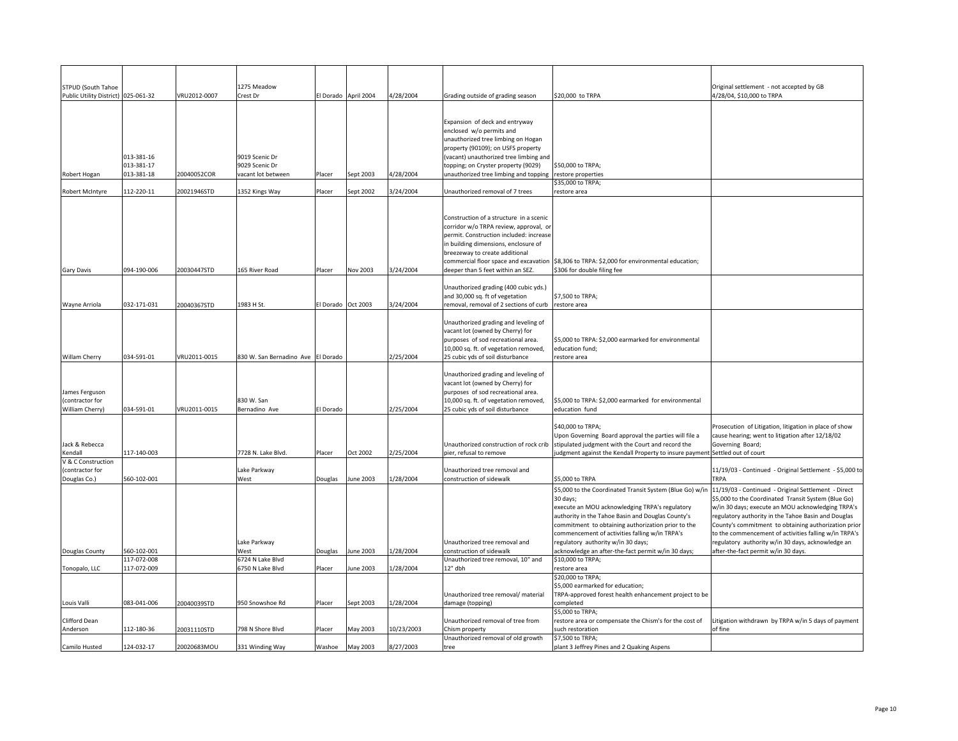| <b>STPUD (South Tahoe</b>           |             |              | 1275 Meadow                        |                      |           |            |                                                                         |                                                                                                     | Original settlement - not accepted by GB                                                                   |
|-------------------------------------|-------------|--------------|------------------------------------|----------------------|-----------|------------|-------------------------------------------------------------------------|-----------------------------------------------------------------------------------------------------|------------------------------------------------------------------------------------------------------------|
| Public Utility District) 025-061-32 |             | VRU2012-0007 | Crest Dr                           | El Dorado April 2004 |           | 4/28/2004  | Grading outside of grading season                                       | \$20,000 to TRPA                                                                                    | 4/28/04, \$10,000 to TRPA                                                                                  |
|                                     |             |              |                                    |                      |           |            |                                                                         |                                                                                                     |                                                                                                            |
|                                     |             |              |                                    |                      |           |            | Expansion of deck and entryway                                          |                                                                                                     |                                                                                                            |
|                                     |             |              |                                    |                      |           |            | enclosed w/o permits and                                                |                                                                                                     |                                                                                                            |
|                                     |             |              |                                    |                      |           |            | unauthorized tree limbing on Hogan                                      |                                                                                                     |                                                                                                            |
|                                     |             |              |                                    |                      |           |            | property (90109); on USFS property                                      |                                                                                                     |                                                                                                            |
|                                     | 013-381-16  |              | 9019 Scenic Dr                     |                      |           |            | (vacant) unauthorized tree limbing and                                  |                                                                                                     |                                                                                                            |
|                                     | 013-381-17  |              | 9029 Scenic Dr                     |                      |           |            | topping; on Cryster property (9029)                                     | \$50,000 to TRPA;                                                                                   |                                                                                                            |
| Robert Hogan                        | 013-381-18  | 20040052COR  | vacant lot between                 | Placer               | Sept 2003 | 4/28/2004  | unauthorized tree limbing and topping                                   | restore properties                                                                                  |                                                                                                            |
| Robert McIntyre                     | 112-220-11  | 20021946STD  | 1352 Kings Way                     | Placer               | Sept 2002 | 3/24/2004  | Jnauthorized removal of 7 trees                                         | \$35,000 to TRPA;<br>restore area                                                                   |                                                                                                            |
|                                     |             |              |                                    |                      |           |            |                                                                         |                                                                                                     |                                                                                                            |
|                                     |             |              |                                    |                      |           |            | Construction of a structure in a scenic                                 |                                                                                                     |                                                                                                            |
|                                     |             |              |                                    |                      |           |            | corridor w/o TRPA review, approval, or                                  |                                                                                                     |                                                                                                            |
|                                     |             |              |                                    |                      |           |            | permit. Construction included: increase                                 |                                                                                                     |                                                                                                            |
|                                     |             |              |                                    |                      |           |            | in building dimensions, enclosure of                                    |                                                                                                     |                                                                                                            |
|                                     |             |              |                                    |                      |           |            | breezeway to create additional<br>commercial floor space and excavation | \$8,306 to TRPA: \$2,000 for environmental education;                                               |                                                                                                            |
| <b>Gary Davis</b>                   | 094-190-006 | 20030447STD  | 165 River Road                     | Placer               | Nov 2003  | 3/24/2004  | deeper than 5 feet within an SEZ.                                       | \$306 for double filing fee                                                                         |                                                                                                            |
|                                     |             |              |                                    |                      |           |            |                                                                         |                                                                                                     |                                                                                                            |
|                                     |             |              |                                    |                      |           |            | Unauthorized grading (400 cubic yds.)                                   |                                                                                                     |                                                                                                            |
|                                     |             |              |                                    |                      |           |            | and 30,000 sq. ft of vegetation                                         | \$7,500 to TRPA;                                                                                    |                                                                                                            |
| Wayne Arriola                       | 032-171-031 | 20040367STD  | 1983 H St.                         | El Dorado Oct 2003   |           | 3/24/2004  | removal, removal of 2 sections of curb                                  | restore area                                                                                        |                                                                                                            |
|                                     |             |              |                                    |                      |           |            | Unauthorized grading and leveling of                                    |                                                                                                     |                                                                                                            |
|                                     |             |              |                                    |                      |           |            | vacant lot (owned by Cherry) for                                        |                                                                                                     |                                                                                                            |
|                                     |             |              |                                    |                      |           |            | purposes of sod recreational area.                                      | \$5,000 to TRPA: \$2,000 earmarked for environmental                                                |                                                                                                            |
|                                     |             |              |                                    |                      |           |            | 10,000 sq. ft. of vegetation removed,                                   | education fund;                                                                                     |                                                                                                            |
| Willam Cherry                       | 034-591-01  | VRU2011-0015 | 830 W. San Bernadino Ave El Dorado |                      |           | 2/25/2004  | 25 cubic yds of soil disturbance                                        | restore area                                                                                        |                                                                                                            |
|                                     |             |              |                                    |                      |           |            | Unauthorized grading and leveling of                                    |                                                                                                     |                                                                                                            |
|                                     |             |              |                                    |                      |           |            | vacant lot (owned by Cherry) for                                        |                                                                                                     |                                                                                                            |
| James Ferguson                      |             |              |                                    |                      |           |            | purposes of sod recreational area.                                      |                                                                                                     |                                                                                                            |
| (contractor for                     |             |              | 830 W. San                         |                      |           |            | 10,000 sq. ft. of vegetation removed,                                   | \$5,000 to TRPA: \$2,000 earmarked for environmental                                                |                                                                                                            |
| William Cherry)                     | 034-591-01  | VRU2011-0015 | Bernadino Ave                      | El Dorado            |           | 2/25/2004  | 25 cubic yds of soil disturbance                                        | education fund                                                                                      |                                                                                                            |
|                                     |             |              |                                    |                      |           |            |                                                                         |                                                                                                     |                                                                                                            |
|                                     |             |              |                                    |                      |           |            |                                                                         | \$40,000 to TRPA;<br>Upon Governing Board approval the parties will file a                          | Prosecution of Litigation, litigation in place of show<br>cause hearing; went to litigation after 12/18/02 |
| Jack & Rebecca                      |             |              |                                    |                      |           |            |                                                                         | Unauthorized construction of rock crib stipulated judgment with the Court and record the            | Governing Board;                                                                                           |
| Kendall                             | 117-140-003 |              | 7728 N. Lake Blvd.                 | Placer               | Oct 2002  | 2/25/2004  | pier, refusal to remove                                                 | udgment against the Kendall Property to insure paymen                                               | Settled out of court                                                                                       |
| V & C Construction                  |             |              |                                    |                      |           |            |                                                                         |                                                                                                     |                                                                                                            |
| contractor for                      |             |              | Lake Parkway                       |                      |           |            | Unauthorized tree removal and                                           |                                                                                                     | 11/19/03 - Continued - Original Settlement - \$5,000 to                                                    |
| Douglas Co.)                        | 560-102-001 |              | West                               | Douglas              | June 2003 | 1/28/2004  | construction of sidewalk                                                | \$5,000 to TRPA                                                                                     | TRPA                                                                                                       |
|                                     |             |              |                                    |                      |           |            |                                                                         | \$5,000 to the Coordinated Transit System (Blue Go) w/in                                            | 11/19/03 - Continued - Original Settlement - Direct                                                        |
|                                     |             |              |                                    |                      |           |            |                                                                         | 30 days;                                                                                            | \$5,000 to the Coordinated Transit System (Blue Go)                                                        |
|                                     |             |              |                                    |                      |           |            |                                                                         | execute an MOU acknowledging TRPA's regulatory<br>authority in the Tahoe Basin and Douglas County's | w/in 30 days; execute an MOU acknowledging TRPA's<br>regulatory authority in the Tahoe Basin and Douglas   |
|                                     |             |              |                                    |                      |           |            |                                                                         | commitment to obtaining authorization prior to the                                                  | County's commitment to obtaining authorization prior                                                       |
|                                     |             |              |                                    |                      |           |            |                                                                         | commencement of activities falling w/in TRPA's                                                      | to the commencement of activities falling w/in TRPA's                                                      |
|                                     |             |              | Lake Parkway                       |                      |           |            | Unauthorized tree removal and                                           | regulatory authority w/in 30 days;                                                                  | regulatory authority w/in 30 days, acknowledge an                                                          |
| Douglas County                      | 560-102-001 |              | Nest                               | Douglas              | June 2003 | 1/28/2004  | construction of sidewalk                                                | acknowledge an after-the-fact permit w/in 30 days;                                                  | after-the-fact permit w/in 30 days.                                                                        |
|                                     | 117-072-008 |              | 6724 N Lake Blvd                   |                      |           |            | Unauthorized tree removal, 10" and                                      | \$10,000 to TRPA;                                                                                   |                                                                                                            |
| Tonopalo, LLC                       | 117-072-009 |              | 6750 N Lake Blvd                   | Placer               | June 2003 | 1/28/2004  | 12" dbh                                                                 | restore area<br>\$20,000 to TRPA;                                                                   |                                                                                                            |
|                                     |             |              |                                    |                      |           |            |                                                                         | \$5,000 earmarked for education;                                                                    |                                                                                                            |
|                                     |             |              |                                    |                      |           |            | Unauthorized tree removal/ material                                     | TRPA-approved forest health enhancement project to be                                               |                                                                                                            |
| Louis Valli                         | 083-041-006 | 20040039STD  | 950 Snowshoe Rd                    | Placer               | Sept 2003 | 1/28/2004  | damage (topping)                                                        | completed                                                                                           |                                                                                                            |
|                                     |             |              |                                    |                      |           |            |                                                                         | \$5,000 to TRPA;                                                                                    |                                                                                                            |
| Clifford Dean                       |             |              |                                    |                      |           |            | Unauthorized removal of tree from                                       | restore area or compensate the Chism's for the cost of                                              | Litigation withdrawn by TRPA w/in 5 days of payment                                                        |
| Anderson                            | 112-180-36  | 20031110STD  | 798 N Shore Blvd                   | Placer               | May 2003  | 10/23/2003 | Chism property                                                          | such restoration                                                                                    | of fine                                                                                                    |
| Camilo Husted                       | 124-032-17  | 20020683MOU  | 331 Winding Way                    | Washoe               | May 2003  | 8/27/2003  | Unauthorized removal of old growth<br>tree                              | \$7,500 to TRPA;<br>plant 3 Jeffrey Pines and 2 Quaking Aspens                                      |                                                                                                            |
|                                     |             |              |                                    |                      |           |            |                                                                         |                                                                                                     |                                                                                                            |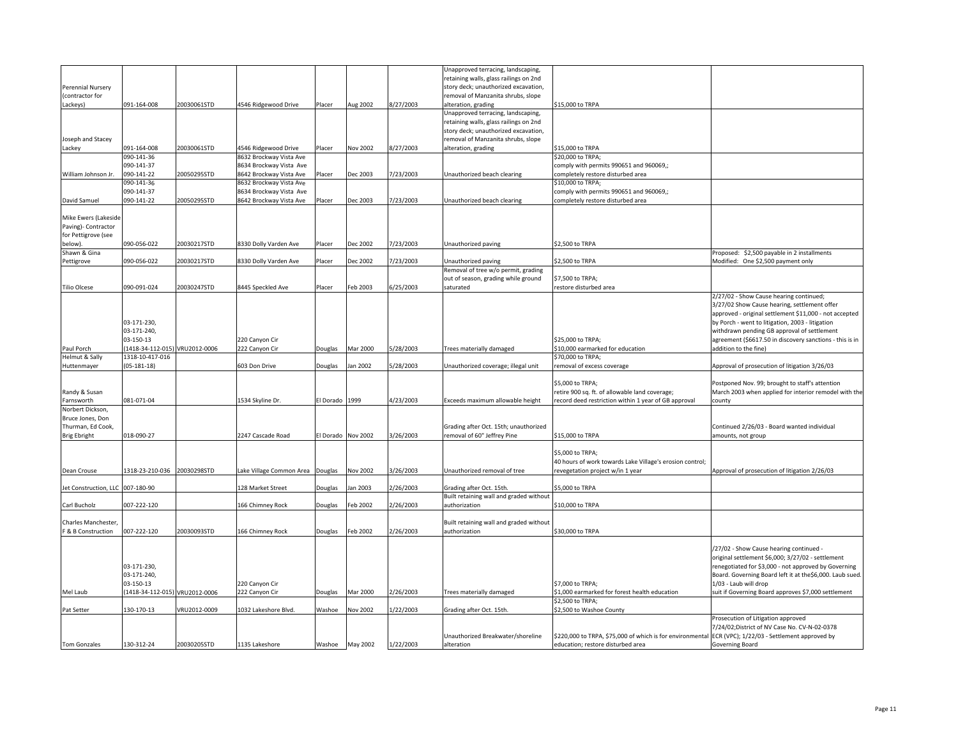|                                  |                                |              |                         |                 |                 |           | Unapproved terracing, landscaping,      |                                                                                                       |                                                          |
|----------------------------------|--------------------------------|--------------|-------------------------|-----------------|-----------------|-----------|-----------------------------------------|-------------------------------------------------------------------------------------------------------|----------------------------------------------------------|
|                                  |                                |              |                         |                 |                 |           | retaining walls, glass railings on 2nd  |                                                                                                       |                                                          |
|                                  |                                |              |                         |                 |                 |           |                                         |                                                                                                       |                                                          |
| Perennial Nursery                |                                |              |                         |                 |                 |           | story deck; unauthorized excavation,    |                                                                                                       |                                                          |
| (contractor for                  |                                |              |                         |                 |                 |           | removal of Manzanita shrubs, slope      |                                                                                                       |                                                          |
| Lackeys)                         | 091-164-008                    | 20030061STD  | 4546 Ridgewood Drive    | Placer          | Aug 2002        | 8/27/2003 | alteration, grading                     | \$15,000 to TRPA                                                                                      |                                                          |
|                                  |                                |              |                         |                 |                 |           | Unapproved terracing, landscaping,      |                                                                                                       |                                                          |
|                                  |                                |              |                         |                 |                 |           | retaining walls, glass railings on 2nd  |                                                                                                       |                                                          |
|                                  |                                |              |                         |                 |                 |           | story deck; unauthorized excavation,    |                                                                                                       |                                                          |
| Joseph and Stacey                |                                |              |                         |                 |                 |           | removal of Manzanita shrubs, slope      |                                                                                                       |                                                          |
|                                  |                                |              |                         |                 |                 |           |                                         |                                                                                                       |                                                          |
| Lackey                           | 091-164-008                    | 20030061STD  | 4546 Ridgewood Drive    | Placer          | Nov 2002        | 8/27/2003 | alteration, grading                     | \$15,000 to TRPA                                                                                      |                                                          |
|                                  | 090-141-36                     |              | 3632 Brockway Vista Ave |                 |                 |           |                                         | \$20,000 to TRPA;                                                                                     |                                                          |
|                                  | 090-141-37                     |              | 8634 Brockway Vista Ave |                 |                 |           |                                         | comply with permits 990651 and 960069,;                                                               |                                                          |
| William Johnson Jr.              | 090-141-22                     | 20050295STD  | 8642 Brockway Vista Ave | Placer          | Dec 2003        | 7/23/2003 | Unauthorized beach clearing             | completely restore disturbed area                                                                     |                                                          |
|                                  | 090-141-36                     |              | 3632 Brockway Vista Ave |                 |                 |           |                                         | \$10,000 to TRPA;                                                                                     |                                                          |
|                                  | 090-141-37                     |              | 8634 Brockway Vista Ave |                 |                 |           |                                         | comply with permits 990651 and 960069,;                                                               |                                                          |
|                                  |                                |              |                         |                 |                 |           |                                         |                                                                                                       |                                                          |
| David Samuel                     | 090-141-22                     | 20050295STD  | 3642 Brockway Vista Ave | Placer          | Dec 2003        | 7/23/2003 | Unauthorized beach clearing             | completely restore disturbed area                                                                     |                                                          |
|                                  |                                |              |                         |                 |                 |           |                                         |                                                                                                       |                                                          |
| Mike Ewers (Lakeside             |                                |              |                         |                 |                 |           |                                         |                                                                                                       |                                                          |
| Paving)- Contractor              |                                |              |                         |                 |                 |           |                                         |                                                                                                       |                                                          |
| for Pettigrove (see              |                                |              |                         |                 |                 |           |                                         |                                                                                                       |                                                          |
| below).                          | 090-056-022                    | 20030217STD  | 3330 Dolly Varden Ave   | Placer          | Dec 2002        | 7/23/2003 | Unauthorized paving                     | \$2,500 to TRPA                                                                                       |                                                          |
|                                  |                                |              |                         |                 |                 |           |                                         |                                                                                                       |                                                          |
| Shawn & Gina                     |                                |              |                         |                 |                 |           |                                         |                                                                                                       | Proposed: \$2,500 payable in 2 installments              |
| Pettigrove                       | 090-056-022                    | 20030217STD  | 3330 Dolly Varden Ave   | Placer          | Dec 2002        | 7/23/2003 | Unauthorized paving                     | \$2,500 to TRPA                                                                                       | Modified: One \$2,500 payment only                       |
|                                  |                                |              |                         |                 |                 |           | Removal of tree w/o permit, grading     |                                                                                                       |                                                          |
|                                  |                                |              |                         |                 |                 |           | out of season, grading while ground     | \$7,500 to TRPA;                                                                                      |                                                          |
| Tilio Olcese                     | 090-091-024                    | 20030247STD  | 3445 Speckled Ave       | Placer          | Feb 2003        | 6/25/2003 | saturated                               | restore disturbed area                                                                                |                                                          |
|                                  |                                |              |                         |                 |                 |           |                                         |                                                                                                       | 2/27/02 - Show Cause hearing continued;                  |
|                                  |                                |              |                         |                 |                 |           |                                         |                                                                                                       |                                                          |
|                                  |                                |              |                         |                 |                 |           |                                         |                                                                                                       | 3/27/02 Show Cause hearing, settlement offer             |
|                                  |                                |              |                         |                 |                 |           |                                         |                                                                                                       | approved - original settlement \$11,000 - not accepted   |
|                                  | 03-171-230,                    |              |                         |                 |                 |           |                                         |                                                                                                       | by Porch - went to litigation, 2003 - litigation         |
|                                  | 03-171-240,                    |              |                         |                 |                 |           |                                         |                                                                                                       | withdrawn pending GB approval of settlement              |
|                                  | 03-150-13                      |              | 220 Canyon Cir          |                 |                 |           |                                         | \$25,000 to TRPA;                                                                                     | agreement (\$6617.50 in discovery sanctions - this is in |
|                                  |                                |              |                         |                 |                 |           |                                         |                                                                                                       |                                                          |
| Paul Porch                       | (1418-34-112-015) VRU2012-0006 |              | 222 Canyon Cir          | Douglas         | Mar 2000        | 5/28/2003 | Trees materially damaged                | \$10,000 earmarked for education                                                                      | addition to the fine)                                    |
| Helmut & Sally                   | 1318-10-417-016                |              |                         |                 |                 |           |                                         | \$70,000 to TRPA;                                                                                     |                                                          |
| Huttenmayer                      | $(05-181-18)$                  |              | 503 Don Drive           | Douglas         | an 2002         | 5/28/2003 | Unauthorized coverage; illegal unit     | removal of excess coverage                                                                            | Approval of prosecution of litigation 3/26/03            |
|                                  |                                |              |                         |                 |                 |           |                                         |                                                                                                       |                                                          |
|                                  |                                |              |                         |                 |                 |           |                                         | \$5,000 to TRPA;                                                                                      | Postponed Nov. 99; brought to staff's attention          |
| Randy & Susan                    |                                |              |                         |                 |                 |           |                                         | retire 900 sq. ft. of allowable land coverage;                                                        | March 2003 when applied for interior remodel with the    |
|                                  | 081-071-04                     |              | 1534 Skyline Dr.        |                 | 1999            | 4/23/2003 | Exceeds maximum allowable height        |                                                                                                       |                                                          |
| Farnsworth                       |                                |              |                         | El Dorado       |                 |           |                                         | record deed restriction within 1 year of GB approval                                                  | county                                                   |
| Norbert Dickson,                 |                                |              |                         |                 |                 |           |                                         |                                                                                                       |                                                          |
| Bruce Jones, Don                 |                                |              |                         |                 |                 |           |                                         |                                                                                                       |                                                          |
| Thurman, Ed Cook,                |                                |              |                         |                 |                 |           | Grading after Oct. 15th; unauthorized   |                                                                                                       | Continued 2/26/03 - Board wanted individual              |
| <b>Brig Ebright</b>              | 018-090-27                     |              | 2247 Cascade Road       | El Dorado       | <b>Nov 2002</b> | 3/26/2003 | removal of 60" Jeffrey Pine             | \$15,000 to TRPA                                                                                      | amounts, not group                                       |
|                                  |                                |              |                         |                 |                 |           |                                         |                                                                                                       |                                                          |
|                                  |                                |              |                         |                 |                 |           |                                         |                                                                                                       |                                                          |
|                                  |                                |              |                         |                 |                 |           |                                         | \$5,000 to TRPA:                                                                                      |                                                          |
|                                  |                                |              |                         |                 |                 |           |                                         | 40 hours of work towards Lake Village's erosion control;                                              |                                                          |
| Dean Crouse                      | 1318-23-210-036                | 20030298STD  | ake Village Common Area | Douglas         | <b>Nov 2002</b> | 3/26/2003 | Unauthorized removal of tree            | revegetation project w/in 1 year                                                                      | Approval of prosecution of litigation 2/26/03            |
|                                  |                                |              |                         |                 |                 |           |                                         |                                                                                                       |                                                          |
| Jet Construction, LLC 007-180-90 |                                |              | 128 Market Street       | Douglas         | lan 2003        | 2/26/2003 | Grading after Oct. 15th.                | \$5,000 to TRPA                                                                                       |                                                          |
|                                  |                                |              |                         |                 |                 |           |                                         |                                                                                                       |                                                          |
|                                  |                                |              |                         |                 |                 |           | Built retaining wall and graded without |                                                                                                       |                                                          |
| Carl Bucholz                     | 007-222-120                    |              | 166 Chimney Rock        | Douglas         | Feb 2002        | 2/26/2003 | authorization                           | \$10,000 to TRPA                                                                                      |                                                          |
|                                  |                                |              |                         |                 |                 |           |                                         |                                                                                                       |                                                          |
| Charles Manchester,              |                                |              |                         |                 |                 |           | Built retaining wall and graded without |                                                                                                       |                                                          |
| F & B Construction               | 007-222-120                    | 20030093STD  | 166 Chimney Rock        | Douglas         | Feb 2002        | 2/26/2003 | authorization                           | \$30,000 to TRPA                                                                                      |                                                          |
|                                  |                                |              |                         |                 |                 |           |                                         |                                                                                                       |                                                          |
|                                  |                                |              |                         |                 |                 |           |                                         |                                                                                                       |                                                          |
|                                  |                                |              |                         |                 |                 |           |                                         |                                                                                                       | /27/02 - Show Cause hearing continued -                  |
|                                  |                                |              |                         |                 |                 |           |                                         |                                                                                                       | original settlement \$6,000; 3/27/02 - settlement        |
|                                  | 03-171-230,                    |              |                         |                 |                 |           |                                         |                                                                                                       | renegotiated for \$3,000 - not approved by Governing     |
|                                  | 03-171-240,                    |              |                         |                 |                 |           |                                         |                                                                                                       | Board. Governing Board left it at the\$6,000. Laub sued. |
|                                  | 03-150-13                      |              | 220 Canyon Cir          |                 |                 |           |                                         | \$7,000 to TRPA;                                                                                      | 1/03 - Laub will drop                                    |
|                                  |                                |              |                         |                 |                 |           |                                         |                                                                                                       |                                                          |
| Mel Laub                         | (1418-34-112-015) VRU2012-0006 |              | 222 Canyon Cir          | Douglas         | Mar 2000        | 2/26/2003 | Trees materially damaged                | \$1,000 earmarked for forest health education                                                         | suit if Governing Board approves \$7,000 settlement      |
|                                  |                                |              |                         |                 |                 |           |                                         | \$2,500 to TRPA;                                                                                      |                                                          |
| Pat Setter                       | 130-170-13                     | VRU2012-0009 | 1032 Lakeshore Blvd.    | Washoe          | Nov 2002        | 1/22/2003 | Grading after Oct. 15th.                | \$2,500 to Washoe County                                                                              |                                                          |
|                                  |                                |              |                         |                 |                 |           |                                         |                                                                                                       | Prosecution of Litigation approved                       |
|                                  |                                |              |                         |                 |                 |           |                                         |                                                                                                       | 7/24/02;District of NV Case No. CV-N-02-0378             |
|                                  |                                |              |                         |                 |                 |           |                                         |                                                                                                       |                                                          |
|                                  |                                |              |                         |                 |                 |           | Unauthorized Breakwater/shoreline       | \$220,000 to TRPA, \$75,000 of which is for environmental ECR (VPC); 1/22/03 - Settlement approved by |                                                          |
| Tom Gonzales                     | 130-312-24                     | 20030205STD  | 1135 Lakeshore          | Washoe May 2002 |                 | 1/22/2003 | alteration                              | education; restore disturbed area                                                                     | Governing Board                                          |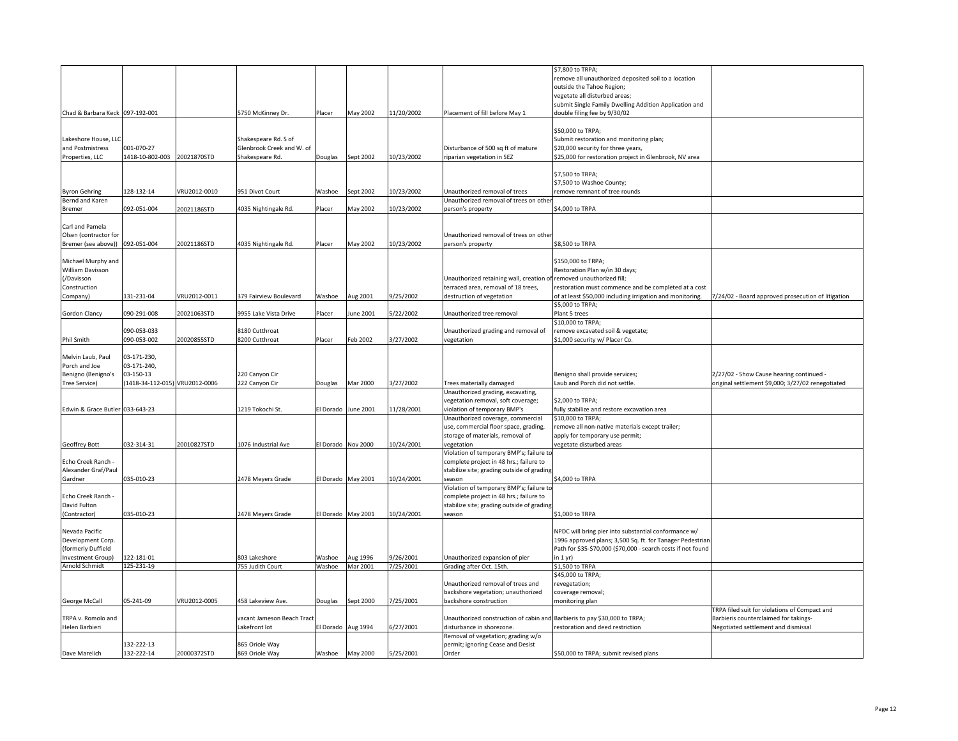|                                 |                                |              |                            |                    |           |            |                                                                                     | \$7,800 to TRPA;                                                                       |                                                      |
|---------------------------------|--------------------------------|--------------|----------------------------|--------------------|-----------|------------|-------------------------------------------------------------------------------------|----------------------------------------------------------------------------------------|------------------------------------------------------|
|                                 |                                |              |                            |                    |           |            |                                                                                     | remove all unauthorized deposited soil to a location                                   |                                                      |
|                                 |                                |              |                            |                    |           |            |                                                                                     | outside the Tahoe Region;                                                              |                                                      |
|                                 |                                |              |                            |                    |           |            |                                                                                     | vegetate all disturbed areas;                                                          |                                                      |
| Chad & Barbara Keck 097-192-001 |                                |              | 5750 McKinney Dr.          | Placer             | May 2002  | 11/20/2002 | Placement of fill before May 1                                                      | submit Single Family Dwelling Addition Application and<br>double filing fee by 9/30/02 |                                                      |
|                                 |                                |              |                            |                    |           |            |                                                                                     |                                                                                        |                                                      |
|                                 |                                |              |                            |                    |           |            |                                                                                     | \$50,000 to TRPA;                                                                      |                                                      |
| Lakeshore House, LLC            |                                |              | Shakespeare Rd. S of       |                    |           |            |                                                                                     | Submit restoration and monitoring plan;                                                |                                                      |
| and Postmistress                | 001-070-27                     |              | Glenbrook Creek and W. of  |                    |           |            | Disturbance of 500 sq ft of mature                                                  | \$20,000 security for three years,                                                     |                                                      |
| Properties, LLC                 | 1418-10-802-003                | 20021870STD  | Shakespeare Rd.            | Douglas            | Sept 2002 | 10/23/2002 | riparian vegetation in SEZ                                                          | \$25,000 for restoration project in Glenbrook, NV area                                 |                                                      |
|                                 |                                |              |                            |                    |           |            |                                                                                     |                                                                                        |                                                      |
|                                 |                                |              |                            |                    |           |            |                                                                                     | \$7,500 to TRPA;                                                                       |                                                      |
|                                 |                                |              |                            |                    |           |            |                                                                                     | \$7,500 to Washoe County;                                                              |                                                      |
| <b>Byron Gehring</b>            | 128-132-14                     | VRU2012-0010 | 951 Divot Court            | Washoe             | Sept 2002 | 10/23/2002 | Unauthorized removal of trees                                                       | remove remnant of tree rounds                                                          |                                                      |
| Bernd and Karen<br>Bremer       | 092-051-004                    | 20021186STD  | 4035 Nightingale Rd.       | Placer             | Aay 2002  | 10/23/2002 | Unauthorized removal of trees on othe<br>person's property                          | \$4,000 to TRPA                                                                        |                                                      |
|                                 |                                |              |                            |                    |           |            |                                                                                     |                                                                                        |                                                      |
| Carl and Pamela                 |                                |              |                            |                    |           |            |                                                                                     |                                                                                        |                                                      |
| Olsen (contractor for           |                                |              |                            |                    |           |            | Unauthorized removal of trees on other                                              |                                                                                        |                                                      |
| Bremer (see above)) 092-051-004 |                                | 20021186STD  | 4035 Nightingale Rd.       | Placer             | May 2002  | 10/23/2002 | person's property                                                                   | \$8,500 to TRPA                                                                        |                                                      |
|                                 |                                |              |                            |                    |           |            |                                                                                     |                                                                                        |                                                      |
| Michael Murphy and              |                                |              |                            |                    |           |            |                                                                                     | \$150,000 to TRPA:                                                                     |                                                      |
| William Davisson                |                                |              |                            |                    |           |            |                                                                                     | Restoration Plan w/in 30 days;                                                         |                                                      |
| /Davisson                       |                                |              |                            |                    |           |            | Unauthorized retaining wall, creation of removed unauthorized fill;                 |                                                                                        |                                                      |
| Construction                    |                                |              |                            |                    |           |            | terraced area, removal of 18 trees,                                                 | restoration must commence and be completed at a cost                                   |                                                      |
| Company)                        | 131-231-04                     | VRU2012-0011 | 379 Fairview Boulevard     | Washoe             | Aug 2001  | 9/25/2002  | destruction of vegetation                                                           | of at least \$50,000 including irrigation and monitoring.                              | 7/24/02 - Board approved prosecution of litigation   |
| Gordon Clancy                   | 090-291-008                    | 20021063STD  | 9955 Lake Vista Drive      | Placer             | une 2001  | 5/22/2002  | Unauthorized tree removal                                                           | \$5,000 to TRPA;<br>Plant 5 trees                                                      |                                                      |
|                                 |                                |              |                            |                    |           |            |                                                                                     | \$10,000 to TRPA;                                                                      |                                                      |
|                                 | 090-053-033                    |              | 8180 Cutthroat             |                    |           |            | Unauthorized grading and removal of                                                 | remove excavated soil & vegetate;                                                      |                                                      |
| Phil Smith                      | 090-053-002                    | 20020855STD  | 8200 Cutthroat             | Placer             | Feb 2002  | 3/27/2002  | vegetation                                                                          | \$1,000 security w/ Placer Co.                                                         |                                                      |
|                                 |                                |              |                            |                    |           |            |                                                                                     |                                                                                        |                                                      |
| Melvin Laub, Paul               | 03-171-230,                    |              |                            |                    |           |            |                                                                                     |                                                                                        |                                                      |
| Porch and Joe                   | 03-171-240,                    |              |                            |                    |           |            |                                                                                     |                                                                                        |                                                      |
| Benigno (Benigno's              | 03-150-13                      |              | 220 Canyon Cir             |                    |           |            |                                                                                     | Benigno shall provide services;                                                        | 2/27/02 - Show Cause hearing continued -             |
| Tree Service)                   | (1418-34-112-015) VRU2012-0006 |              | 222 Canyon Cir             | Douglas            | Mar 2000  | 3/27/2002  | Trees materially damaged                                                            | Laub and Porch did not settle.                                                         | original settlement \$9,000; 3/27/02 renegotiated    |
|                                 |                                |              |                            |                    |           |            | Unauthorized grading, excavating,                                                   | \$2,000 to TRPA:                                                                       |                                                      |
| Edwin & Grace Butler 033-643-23 |                                |              |                            |                    |           | 11/28/2001 | vegetation removal, soft coverage;                                                  |                                                                                        |                                                      |
|                                 |                                |              | 1219 Tokochi St.           | El Dorado          | June 2001 |            | violation of temporary BMP's<br>Unauthorized coverage, commercial                   | fully stabilize and restore excavation area<br>\$10,000 to TRPA;                       |                                                      |
|                                 |                                |              |                            |                    |           |            | use, commercial floor space, grading,                                               | remove all non-native materials except trailer;                                        |                                                      |
|                                 |                                |              |                            |                    |           |            | storage of materials, removal of                                                    | apply for temporary use permit;                                                        |                                                      |
| Geoffrey Bott                   | 032-314-31                     | 20010827STD  | 1076 Industrial Ave        | El Dorado Nov 2000 |           | 10/24/2001 | vegetation                                                                          | vegetate disturbed areas                                                               |                                                      |
|                                 |                                |              |                            |                    |           |            | Violation of temporary BMP's; failure to                                            |                                                                                        |                                                      |
| Echo Creek Ranch -              |                                |              |                            |                    |           |            | complete project in 48 hrs.; failure to                                             |                                                                                        |                                                      |
| Alexander Graf/Paul             |                                |              |                            |                    |           |            | stabilize site; grading outside of grading                                          |                                                                                        |                                                      |
| Gardner                         | 035-010-23                     |              | 2478 Meyers Grade          | El Dorado May 2001 |           | 10/24/2001 | season                                                                              | \$4,000 to TRPA                                                                        |                                                      |
| Echo Creek Ranch -              |                                |              |                            |                    |           |            | Violation of temporary BMP's; failure to<br>complete project in 48 hrs.; failure to |                                                                                        |                                                      |
| David Fulton                    |                                |              |                            |                    |           |            | stabilize site; grading outside of grading                                          |                                                                                        |                                                      |
| (Contractor)                    | 035-010-23                     |              | 478 Meyers Grade           | El Dorado          | May 2001  | 10/24/2001 | season                                                                              | \$1,000 to TRPA                                                                        |                                                      |
|                                 |                                |              |                            |                    |           |            |                                                                                     |                                                                                        |                                                      |
| Nevada Pacific                  |                                |              |                            |                    |           |            |                                                                                     | NPDC will bring pier into substantial conformance w/                                   |                                                      |
| Development Corp.               |                                |              |                            |                    |           |            |                                                                                     | 1996 approved plans; 3,500 Sq. ft. for Tanager Pedestriar                              |                                                      |
| (formerly Duffield              |                                |              |                            |                    |           |            |                                                                                     | Path for \$35-\$70,000 (\$70,000 - search costs if not found                           |                                                      |
| Investment Group)               | 122-181-01                     |              | 803 Lakeshore              | Washoe             | Aug 1996  | 9/26/2001  | Unauthorized expansion of pier                                                      | in 1 yr)                                                                               |                                                      |
| Arnold Schmidt                  | 125-231-19                     |              | 755 Judith Court           | Washoe             | Mar 2001  | 7/25/2001  | Grading after Oct. 15th.                                                            | \$1,500 to TRPA                                                                        |                                                      |
|                                 |                                |              |                            |                    |           |            |                                                                                     | \$45,000 to TRPA;                                                                      |                                                      |
|                                 |                                |              |                            |                    |           |            | Unauthorized removal of trees and                                                   | revegetation;                                                                          |                                                      |
| George McCall                   | 05-241-09                      | VRU2012-0005 | 458 Lakeview Ave.          | Douglas            | Sept 2000 | 7/25/2001  | backshore vegetation; unauthorized<br>backshore construction                        | coverage removal;<br>monitoring plan                                                   |                                                      |
|                                 |                                |              |                            |                    |           |            |                                                                                     |                                                                                        | <b>TRPA filed suit for violations of Compact and</b> |
| TRPA v. Romolo and              |                                |              | vacant Jameson Beach Tract |                    |           |            | Unauthorized construction of cabin an                                               | Barbieris to pay \$30,000 to TRPA;                                                     | Barbieris counterclaimed for takings-                |
| Helen Barbieri                  |                                |              | akefront lot               | El Dorado          | Aug 1994  | 6/27/2001  | disturbance in shorezone.                                                           | restoration and deed restriction                                                       | Negotiated settlement and dismissal                  |
|                                 |                                |              |                            |                    |           |            | Removal of vegetation; grading w/o                                                  |                                                                                        |                                                      |
|                                 | 132-222-13                     |              | 865 Oriole Way             |                    |           |            | permit; ignoring Cease and Desist                                                   |                                                                                        |                                                      |
| Dave Marelich                   | 132-222-14                     | 20000372STD  | 869 Oriole Way             | Washoe             | May 2000  | 5/25/2001  | Order                                                                               | \$50,000 to TRPA; submit revised plans                                                 |                                                      |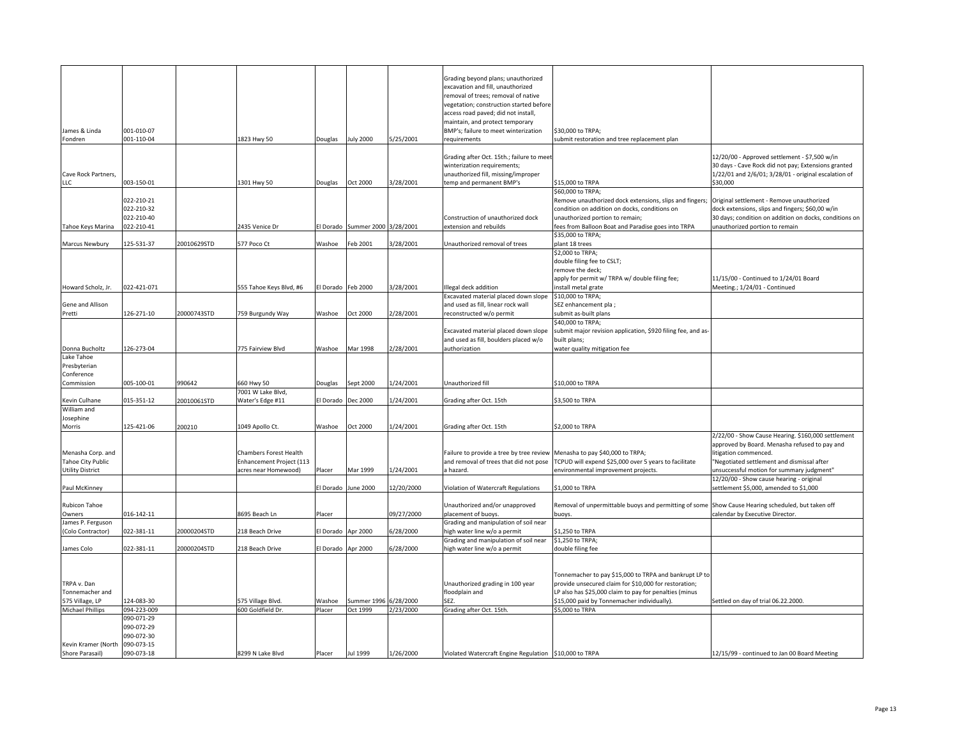|                         |             |             |                          |                    |                       |            | Grading beyond plans; unauthorized                                        |                                                                                                   |                                                        |
|-------------------------|-------------|-------------|--------------------------|--------------------|-----------------------|------------|---------------------------------------------------------------------------|---------------------------------------------------------------------------------------------------|--------------------------------------------------------|
|                         |             |             |                          |                    |                       |            | excavation and fill, unauthorized                                         |                                                                                                   |                                                        |
|                         |             |             |                          |                    |                       |            | removal of trees; removal of native                                       |                                                                                                   |                                                        |
|                         |             |             |                          |                    |                       |            | vegetation; construction started before                                   |                                                                                                   |                                                        |
|                         |             |             |                          |                    |                       |            | access road paved; did not install,                                       |                                                                                                   |                                                        |
|                         |             |             |                          |                    |                       |            | maintain, and protect temporary                                           |                                                                                                   |                                                        |
| James & Linda           | 001-010-07  |             |                          |                    |                       |            | BMP's; failure to meet winterization                                      | \$30,000 to TRPA;                                                                                 |                                                        |
| Fondren                 | 001-110-04  |             | 1823 Hwy 50              | Douglas            | <b>July 2000</b>      | 5/25/2001  | requirements                                                              | submit restoration and tree replacement plan                                                      |                                                        |
|                         |             |             |                          |                    |                       |            |                                                                           |                                                                                                   |                                                        |
|                         |             |             |                          |                    |                       |            | Grading after Oct. 15th.; failure to meet                                 |                                                                                                   | 12/20/00 - Approved settlement - \$7,500 w/in          |
|                         |             |             |                          |                    |                       |            | winterization requirements;                                               |                                                                                                   | 30 days - Cave Rock did not pay; Extensions granted    |
| Cave Rock Partners,     |             |             |                          |                    |                       |            | unauthorized fill, missing/improper                                       |                                                                                                   | 1/22/01 and 2/6/01; 3/28/01 - original escalation of   |
| LLC                     | 003-150-01  |             | 1301 Hwy 50              | Douglas            | Oct 2000              | 3/28/2001  | temp and permanent BMP's                                                  | \$15,000 to TRPA                                                                                  | \$30,000                                               |
|                         |             |             |                          |                    |                       |            |                                                                           | \$60,000 to TRPA;                                                                                 |                                                        |
|                         | 022-210-21  |             |                          |                    |                       |            |                                                                           | Remove unauthorized dock extensions, slips and fingers;                                           | Original settlement - Remove unauthorized              |
|                         | 022-210-32  |             |                          |                    |                       |            |                                                                           | condition on addition on docks, conditions on                                                     | dock extensions, slips and fingers; \$60,00 w/in       |
|                         | 022-210-40  |             |                          |                    |                       |            | Construction of unauthorized dock                                         | unauthorized portion to remain;                                                                   | 30 days; condition on addition on docks, conditions on |
| Tahoe Keys Marina       | 022-210-41  |             | 435 Venice Dr            | El Dorado          | Summer 2000 3/28/2001 |            | extension and rebuilds                                                    | fees from Balloon Boat and Paradise goes into TRPA                                                | unauthorized portion to remain                         |
|                         |             |             |                          |                    |                       |            |                                                                           | \$35,000 to TRPA;                                                                                 |                                                        |
| Marcus Newbury          | 125-531-37  | 20010629STD | 577 Poco Ct              | Washoe             | Feb 2001              | 3/28/2001  | Unauthorized removal of trees                                             | plant 18 trees                                                                                    |                                                        |
|                         |             |             |                          |                    |                       |            |                                                                           | \$2,000 to TRPA;                                                                                  |                                                        |
|                         |             |             |                          |                    |                       |            |                                                                           | double filing fee to CSLT;                                                                        |                                                        |
|                         |             |             |                          |                    |                       |            |                                                                           | remove the deck;                                                                                  |                                                        |
|                         |             |             |                          |                    |                       |            |                                                                           | apply for permit w/ TRPA w/ double filing fee;                                                    | 11/15/00 - Continued to 1/24/01 Board                  |
| Howard Scholz, Jr.      | 022-421-071 |             | 555 Tahoe Keys Blvd, #6  | l Dorado           | Feb 2000              | 3/28/2001  | Illegal deck addition                                                     | install metal grate                                                                               | Meeting.; 1/24/01 - Continued                          |
|                         |             |             |                          |                    |                       |            | Excavated material placed down slope                                      | \$10,000 to TRPA;                                                                                 |                                                        |
| Gene and Allison        |             |             |                          |                    |                       |            | and used as fill, linear rock wall                                        | SEZ enhancement pla;                                                                              |                                                        |
| Pretti                  | 126-271-10  | 20000743STD | 759 Burgundy Way         | Washoe             | Oct 2000              | 2/28/2001  | reconstructed w/o permit                                                  | submit as-built plans                                                                             |                                                        |
|                         |             |             |                          |                    |                       |            |                                                                           | \$40,000 to TRPA;                                                                                 |                                                        |
|                         |             |             |                          |                    |                       |            | Excavated material placed down slope                                      | submit major revision application, \$920 filing fee, and as-                                      |                                                        |
|                         |             |             |                          |                    |                       |            | and used as fill, boulders placed w/o                                     | built plans;                                                                                      |                                                        |
| Donna Bucholtz          | 126-273-04  |             | 775 Fairview Blvd        | Washoe             | Mar 1998              | 2/28/2001  | authorization                                                             | water quality mitigation fee                                                                      |                                                        |
| Lake Tahoe              |             |             |                          |                    |                       |            |                                                                           |                                                                                                   |                                                        |
| Presbyterian            |             |             |                          |                    |                       |            |                                                                           |                                                                                                   |                                                        |
| Conference              |             |             |                          |                    |                       |            |                                                                           |                                                                                                   |                                                        |
| Commission              | 005-100-01  | 990642      | 660 Hwy 50               | Douglas            | Sept 2000             | 1/24/2001  | Unauthorized fill                                                         | \$10,000 to TRPA                                                                                  |                                                        |
|                         |             |             | 7001 W Lake Blvd,        |                    |                       |            |                                                                           |                                                                                                   |                                                        |
| Kevin Culhane           | 015-351-12  | 20010061STD | Water's Edge #11         | El Dorado          | Dec 2000              | 1/24/2001  | Grading after Oct. 15th                                                   | \$3,500 to TRPA                                                                                   |                                                        |
| William and             |             |             |                          |                    |                       |            |                                                                           |                                                                                                   |                                                        |
| Josephine               |             |             |                          |                    |                       |            |                                                                           |                                                                                                   |                                                        |
| Morris                  | 125-421-06  | 200210      | 1049 Apollo Ct.          | Washoe             | Oct 2000              | 1/24/2001  | Grading after Oct. 15th                                                   | \$2,000 to TRPA                                                                                   |                                                        |
|                         |             |             |                          |                    |                       |            |                                                                           |                                                                                                   | 2/22/00 - Show Cause Hearing. \$160,000 settlement     |
|                         |             |             |                          |                    |                       |            |                                                                           |                                                                                                   | approved by Board. Menasha refused to pay and          |
| Menasha Corp. and       |             |             | Chambers Forest Health   |                    |                       |            | Failure to provide a tree by tree review Menasha to pay \$40,000 to TRPA; |                                                                                                   | litigation commenced.                                  |
| Tahoe City Public       |             |             | Enhancement Project (113 |                    |                       |            | and removal of trees that did not pose                                    | TCPUD will expend \$25,000 over 5 years to facilitate                                             | "Negotiated settlement and dismissal after             |
| <b>Utility District</b> |             |             | acres near Homewood)     | Placer             | Mar 1999              | 1/24/2001  | a hazard.                                                                 | environmental improvement projects.                                                               | unsuccessful motion for summary judgment"              |
|                         |             |             |                          |                    |                       |            |                                                                           |                                                                                                   | 12/20/00 - Show cause hearing - original               |
| Paul McKinney           |             |             |                          | I Dorado           | June 2000             | 12/20/2000 | Violation of Watercraft Regulations                                       | \$1,000 to TRPA                                                                                   | ettlement \$5,000, amended to \$1,000                  |
|                         |             |             |                          |                    |                       |            |                                                                           |                                                                                                   |                                                        |
| Rubicon Tahoe           |             |             |                          |                    |                       |            | Unauthorized and/or unapproved                                            | Removal of unpermittable buoys and permitting of some Show Cause Hearing scheduled, but taken off |                                                        |
| Owners                  | 016-142-11  |             | 3695 Beach Ln            | Placer             |                       | 09/27/2000 | placement of buoys.                                                       | buoys.                                                                                            | calendar by Executive Director.                        |
| James P. Ferguson       |             |             |                          |                    |                       |            | Grading and manipulation of soil near                                     |                                                                                                   |                                                        |
| (Colo Contractor)       | 022-381-11  | 20000204STD | 218 Beach Drive          | I Dorado           | Apr 2000              | 6/28/2000  | nigh water line w/o a permit                                              | \$1,250 to TRPA                                                                                   |                                                        |
|                         |             |             |                          |                    |                       |            | Grading and manipulation of soil near                                     | \$1,250 to TRPA;                                                                                  |                                                        |
| James Colo              | 022-381-11  | 20000204STD | 218 Beach Drive          | El Dorado Apr 2000 |                       | 6/28/2000  | high water line w/o a permit                                              | double filing fee                                                                                 |                                                        |
|                         |             |             |                          |                    |                       |            |                                                                           |                                                                                                   |                                                        |
|                         |             |             |                          |                    |                       |            |                                                                           |                                                                                                   |                                                        |
|                         |             |             |                          |                    |                       |            |                                                                           | Tonnemacher to pay \$15,000 to TRPA and bankrupt LP to                                            |                                                        |
| TRPA v. Dan             |             |             |                          |                    |                       |            | Unauthorized grading in 100 year                                          | provide unsecured claim for \$10,000 for restoration;                                             |                                                        |
| Tonnemacher and         |             |             |                          |                    |                       |            | floodplain and                                                            | LP also has \$25,000 claim to pay for penalties (minus                                            |                                                        |
| 575 Village, LP         | 124-083-30  |             | 575 Village Blvd.        | Washoe             | Summer 1996 6/28/2000 |            | SEZ.                                                                      | \$15,000 paid by Tonnemacher individually).                                                       | Settled on day of trial 06.22.2000.                    |
| <b>Michael Phillips</b> | 094-223-009 |             | 600 Goldfield Dr.        | Placer             | Oct 1999              | 2/23/2000  | Grading after Oct. 15th.                                                  | \$5,000 to TRPA                                                                                   |                                                        |
|                         | 090-071-29  |             |                          |                    |                       |            |                                                                           |                                                                                                   |                                                        |
|                         | 090-072-29  |             |                          |                    |                       |            |                                                                           |                                                                                                   |                                                        |
|                         | 090-072-30  |             |                          |                    |                       |            |                                                                           |                                                                                                   |                                                        |
| Kevin Kramer (North     | 090-073-15  |             |                          |                    |                       |            |                                                                           |                                                                                                   |                                                        |
| Shore Parasail)         | 090-073-18  |             | 8299 N Lake Blyd         | Placer             | Jul 1999              | 1/26/2000  | Violated Watercraft Engine Regulation \$10,000 to TRPA                    |                                                                                                   | 12/15/99 - continued to Jan 00 Board Meeting           |